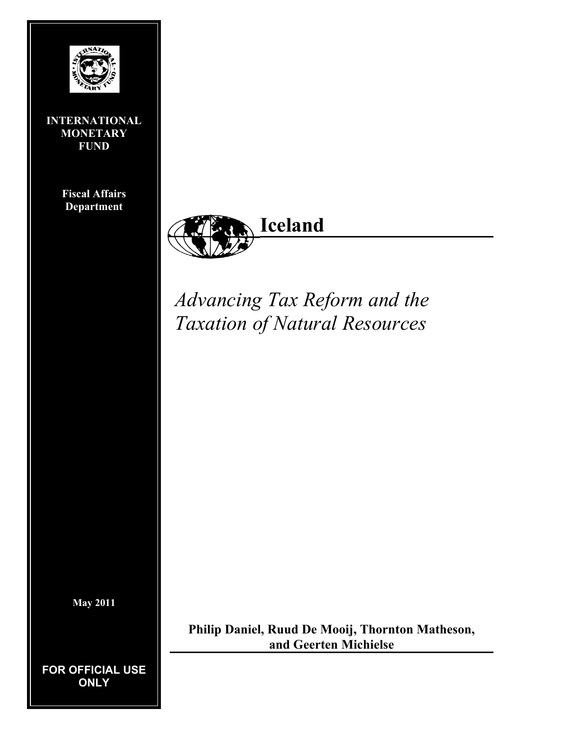

**INTERNATIONAL MONETARY FUND** 

> **Fiscal Affairs Department**



*Advancing Tax Reform and the Taxation of Natural Resources* 

**May 2011** 

**FOR OFFICIAL USE ONLY** 

**Philip Daniel, Ruud De Mooij, Thornton Matheson, and Geerten Michielse**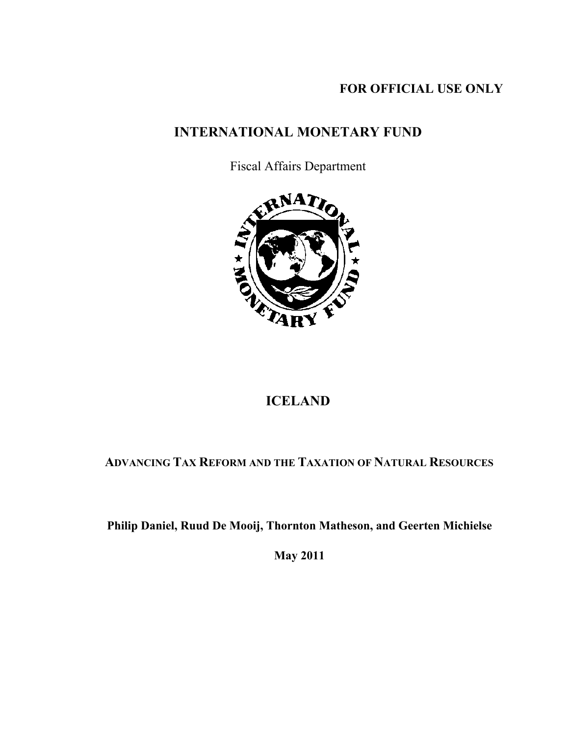# **FOR OFFICIAL USE ONLY**

# **INTERNATIONAL MONETARY FUND**

Fiscal Affairs Department



# **ICELAND**

# **ADVANCING TAX REFORM AND THE TAXATION OF NATURAL RESOURCES**

 **Philip Daniel, Ruud De Mooij, Thornton Matheson, and Geerten Michielse** 

 **May 2011**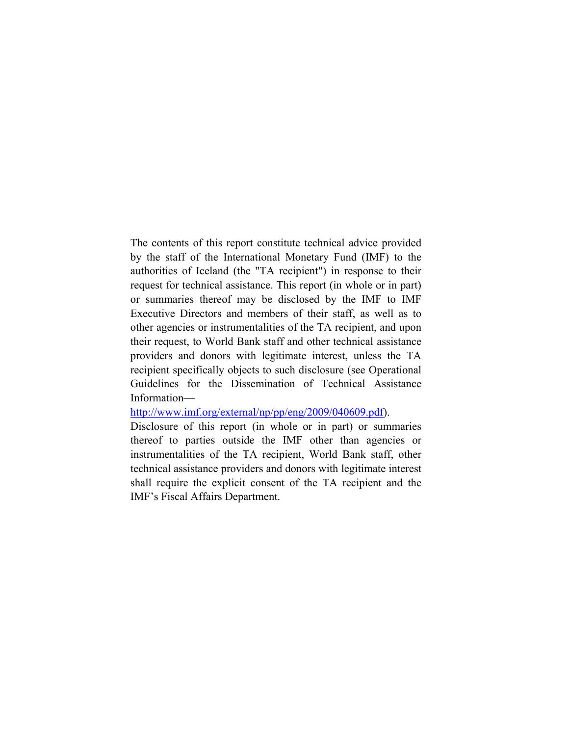The contents of this report constitute technical advice provided by the staff of the International Monetary Fund (IMF) to the authorities of Iceland (the "TA recipient") in response to their request for technical assistance. This report (in whole or in part) or summaries thereof may be disclosed by the IMF to IMF Executive Directors and members of their staff, as well as to other agencies or instrumentalities of the TA recipient, and upon their request, to World Bank staff and other technical assistance providers and donors with legitimate interest, unless the TA recipient specifically objects to such disclosure (see Operational Guidelines for the Dissemination of Technical Assistance Information—

#### http://www.imf.org/external/np/pp/eng/2009/040609.pdf).

Disclosure of this report (in whole or in part) or summaries thereof to parties outside the IMF other than agencies or instrumentalities of the TA recipient, World Bank staff, other technical assistance providers and donors with legitimate interest shall require the explicit consent of the TA recipient and the IMF's Fiscal Affairs Department.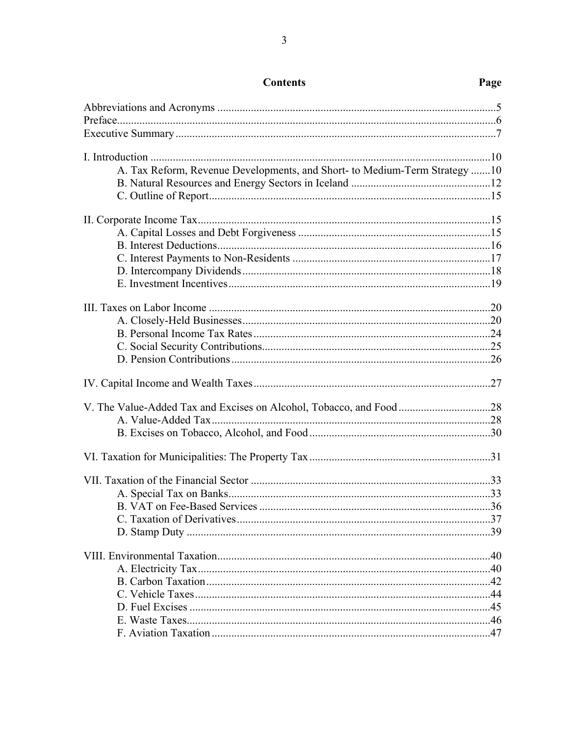| A. Tax Reform, Revenue Developments, and Short- to Medium-Term Strategy 10 |  |
|----------------------------------------------------------------------------|--|
|                                                                            |  |
|                                                                            |  |
|                                                                            |  |
|                                                                            |  |
|                                                                            |  |
|                                                                            |  |
|                                                                            |  |
|                                                                            |  |
|                                                                            |  |
|                                                                            |  |
|                                                                            |  |
|                                                                            |  |
|                                                                            |  |
|                                                                            |  |
|                                                                            |  |
|                                                                            |  |
|                                                                            |  |
|                                                                            |  |
|                                                                            |  |
|                                                                            |  |
|                                                                            |  |
|                                                                            |  |
|                                                                            |  |
|                                                                            |  |
|                                                                            |  |
|                                                                            |  |
|                                                                            |  |
|                                                                            |  |
|                                                                            |  |
|                                                                            |  |

# Page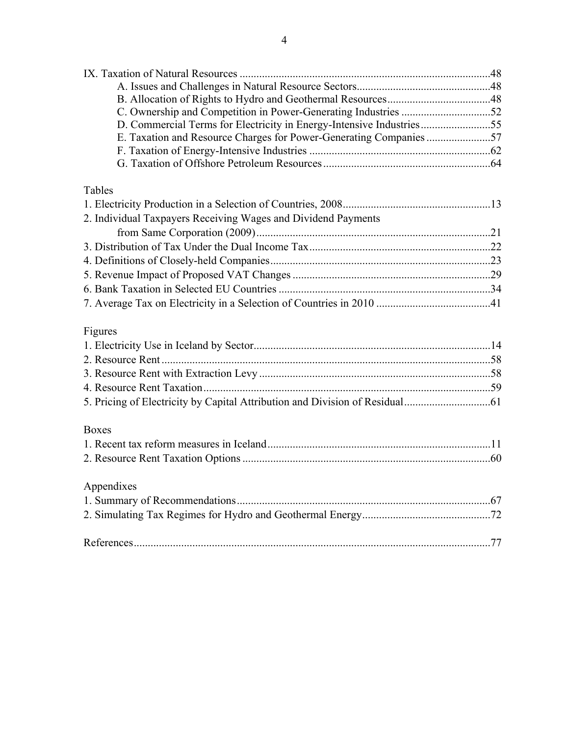| D. Commercial Terms for Electricity in Energy-Intensive Industries55 |  |
|----------------------------------------------------------------------|--|
| E. Taxation and Resource Charges for Power-Generating Companies 57   |  |
|                                                                      |  |
|                                                                      |  |
| Tables                                                               |  |
|                                                                      |  |
| 2. Individual Taxpayers Receiving Wages and Dividend Payments        |  |
|                                                                      |  |
|                                                                      |  |
|                                                                      |  |
|                                                                      |  |
|                                                                      |  |
|                                                                      |  |
| Figures                                                              |  |
|                                                                      |  |
|                                                                      |  |
|                                                                      |  |
|                                                                      |  |
|                                                                      |  |
|                                                                      |  |
| <b>Boxes</b>                                                         |  |
|                                                                      |  |
|                                                                      |  |
| Appendixes                                                           |  |
|                                                                      |  |
|                                                                      |  |
|                                                                      |  |
|                                                                      |  |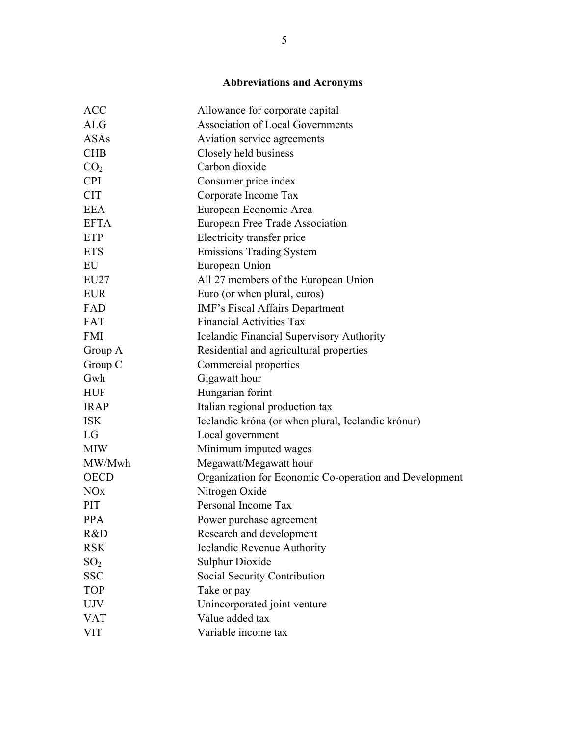# **Abbreviations and Acronyms**

| <b>ACC</b>            | Allowance for corporate capital                        |
|-----------------------|--------------------------------------------------------|
| <b>ALG</b>            | <b>Association of Local Governments</b>                |
| <b>ASAs</b>           | Aviation service agreements                            |
| <b>CHB</b>            | Closely held business                                  |
| CO <sub>2</sub>       | Carbon dioxide                                         |
| <b>CPI</b>            | Consumer price index                                   |
| <b>CIT</b>            | Corporate Income Tax                                   |
| <b>EEA</b>            | European Economic Area                                 |
| <b>EFTA</b>           | European Free Trade Association                        |
| ETP                   | Electricity transfer price                             |
| <b>ETS</b>            | <b>Emissions Trading System</b>                        |
| EU                    | European Union                                         |
| EU27                  | All 27 members of the European Union                   |
| <b>EUR</b>            | Euro (or when plural, euros)                           |
| FAD                   | IMF's Fiscal Affairs Department                        |
| <b>FAT</b>            | <b>Financial Activities Tax</b>                        |
| <b>FMI</b>            | Icelandic Financial Supervisory Authority              |
| Group A               | Residential and agricultural properties                |
| Group C               | Commercial properties                                  |
| Gwh                   | Gigawatt hour                                          |
| <b>HUF</b>            | Hungarian forint                                       |
| <b>IRAP</b>           | Italian regional production tax                        |
| <b>ISK</b>            | Icelandic króna (or when plural, Icelandic krónur)     |
| LG                    | Local government                                       |
| <b>MIW</b>            | Minimum imputed wages                                  |
| MW/Mwh                | Megawatt/Megawatt hour                                 |
| <b>OECD</b>           | Organization for Economic Co-operation and Development |
| <b>NO<sub>x</sub></b> | Nitrogen Oxide                                         |
| PIT                   | Personal Income Tax                                    |
| <b>PPA</b>            | Power purchase agreement                               |
| R&D                   | Research and development                               |
| <b>RSK</b>            | Icelandic Revenue Authority                            |
| SO <sub>2</sub>       | <b>Sulphur Dioxide</b>                                 |
| <b>SSC</b>            | Social Security Contribution                           |
| <b>TOP</b>            | Take or pay                                            |
| <b>UJV</b>            | Unincorporated joint venture                           |
| <b>VAT</b>            | Value added tax                                        |
| <b>VIT</b>            | Variable income tax                                    |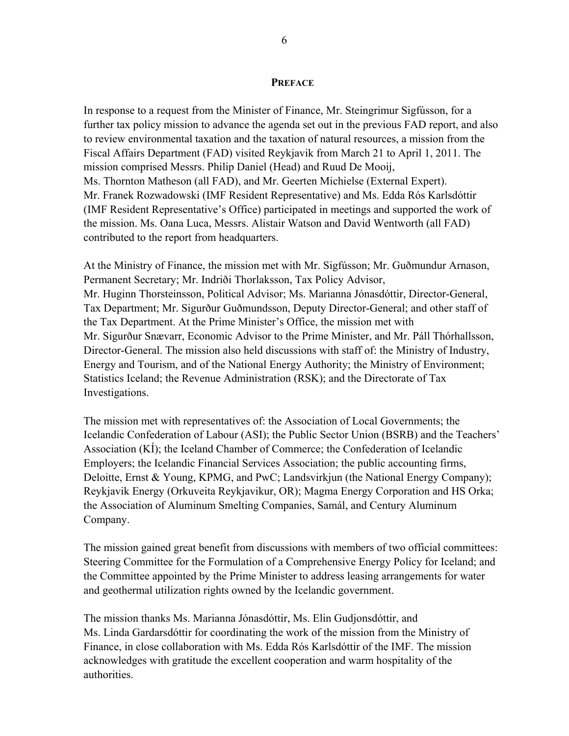#### **PREFACE**

In response to a request from the Minister of Finance, Mr. Steingrimur Sigfússon, for a further tax policy mission to advance the agenda set out in the previous FAD report, and also to review environmental taxation and the taxation of natural resources, a mission from the Fiscal Affairs Department (FAD) visited Reykjavik from March 21 to April 1, 2011. The mission comprised Messrs. Philip Daniel (Head) and Ruud De Mooij, Ms. Thornton Matheson (all FAD), and Mr. Geerten Michielse (External Expert). Mr. Franek Rozwadowski (IMF Resident Representative) and Ms. Edda Rós Karlsdóttir (IMF Resident Representative's Office) participated in meetings and supported the work of the mission. Ms. Oana Luca, Messrs. Alistair Watson and David Wentworth (all FAD) contributed to the report from headquarters.

At the Ministry of Finance, the mission met with Mr. Sigfússon; Mr. Guðmundur Arnason, Permanent Secretary; Mr. Indriði Thorlaksson, Tax Policy Advisor, Mr. Huginn Thorsteinsson, Political Advisor; Ms. Marianna Jónasdóttir, Director-General, Tax Department; Mr. Sigurður Guðmundsson, Deputy Director-General; and other staff of the Tax Department. At the Prime Minister's Office, the mission met with Mr. Sigurður Snævarr, Economic Advisor to the Prime Minister, and Mr. Páll Thórhallsson, Director-General. The mission also held discussions with staff of: the Ministry of Industry, Energy and Tourism, and of the National Energy Authority; the Ministry of Environment; Statistics Iceland; the Revenue Administration (RSK); and the Directorate of Tax Investigations.

The mission met with representatives of: the Association of Local Governments; the Icelandic Confederation of Labour (ASI); the Public Sector Union (BSRB) and the Teachers' Association (KÍ); the Iceland Chamber of Commerce; the Confederation of Icelandic Employers; the Icelandic Financial Services Association; the public accounting firms, Deloitte, Ernst & Young, KPMG, and PwC; Landsvirkjun (the National Energy Company); Reykjavik Energy (Orkuveita Reykjavikur, OR); Magma Energy Corporation and HS Orka; the Association of Aluminum Smelting Companies, Samál, and Century Aluminum Company.

The mission gained great benefit from discussions with members of two official committees: Steering Committee for the Formulation of a Comprehensive Energy Policy for Iceland; and the Committee appointed by the Prime Minister to address leasing arrangements for water and geothermal utilization rights owned by the Icelandic government.

The mission thanks Ms. Marianna Jónasdóttir, Ms. Elin Gudjonsdóttir, and Ms. Linda Gardarsdóttir for coordinating the work of the mission from the Ministry of Finance, in close collaboration with Ms. Edda Rós Karlsdóttir of the IMF. The mission acknowledges with gratitude the excellent cooperation and warm hospitality of the authorities.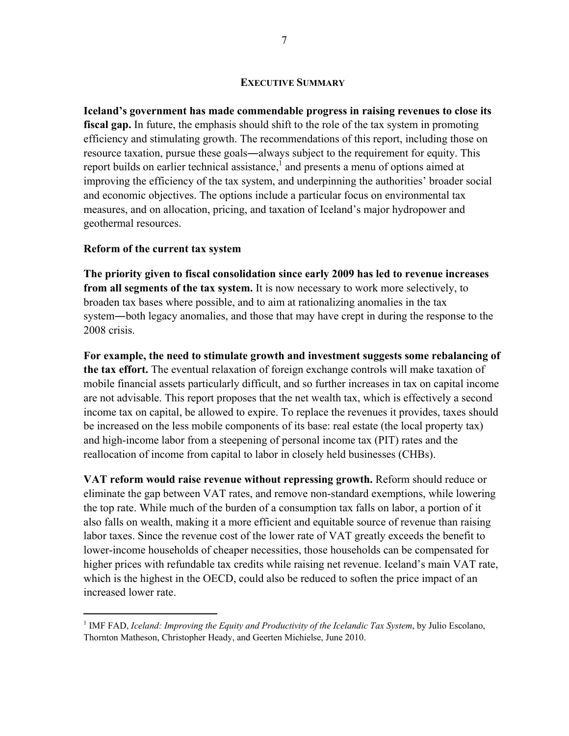#### **EXECUTIVE SUMMARY**

**Iceland's government has made commendable progress in raising revenues to close its fiscal gap.** In future, the emphasis should shift to the role of the tax system in promoting efficiency and stimulating growth. The recommendations of this report, including those on resource taxation, pursue these goals―always subject to the requirement for equity. This report builds on earlier technical assistance,<sup>1</sup> and presents a menu of options aimed at improving the efficiency of the tax system, and underpinning the authorities' broader social and economic objectives. The options include a particular focus on environmental tax measures, and on allocation, pricing, and taxation of Iceland's major hydropower and geothermal resources.

#### **Reform of the current tax system**

 $\overline{a}$ 

**The priority given to fiscal consolidation since early 2009 has led to revenue increases from all segments of the tax system.** It is now necessary to work more selectively, to broaden tax bases where possible, and to aim at rationalizing anomalies in the tax system―both legacy anomalies, and those that may have crept in during the response to the 2008 crisis.

**For example, the need to stimulate growth and investment suggests some rebalancing of the tax effort.** The eventual relaxation of foreign exchange controls will make taxation of mobile financial assets particularly difficult, and so further increases in tax on capital income are not advisable. This report proposes that the net wealth tax, which is effectively a second income tax on capital, be allowed to expire. To replace the revenues it provides, taxes should be increased on the less mobile components of its base: real estate (the local property tax) and high-income labor from a steepening of personal income tax (PIT) rates and the reallocation of income from capital to labor in closely held businesses (CHBs).

**VAT reform would raise revenue without repressing growth.** Reform should reduce or eliminate the gap between VAT rates, and remove non-standard exemptions, while lowering the top rate. While much of the burden of a consumption tax falls on labor, a portion of it also falls on wealth, making it a more efficient and equitable source of revenue than raising labor taxes. Since the revenue cost of the lower rate of VAT greatly exceeds the benefit to lower-income households of cheaper necessities, those households can be compensated for higher prices with refundable tax credits while raising net revenue. Iceland's main VAT rate, which is the highest in the OECD, could also be reduced to soften the price impact of an increased lower rate.

<sup>&</sup>lt;sup>1</sup> IMF FAD, *Iceland: Improving the Equity and Productivity of the Icelandic Tax System*, by Julio Escolano, Thornton Matheson, Christopher Heady, and Geerten Michielse, June 2010.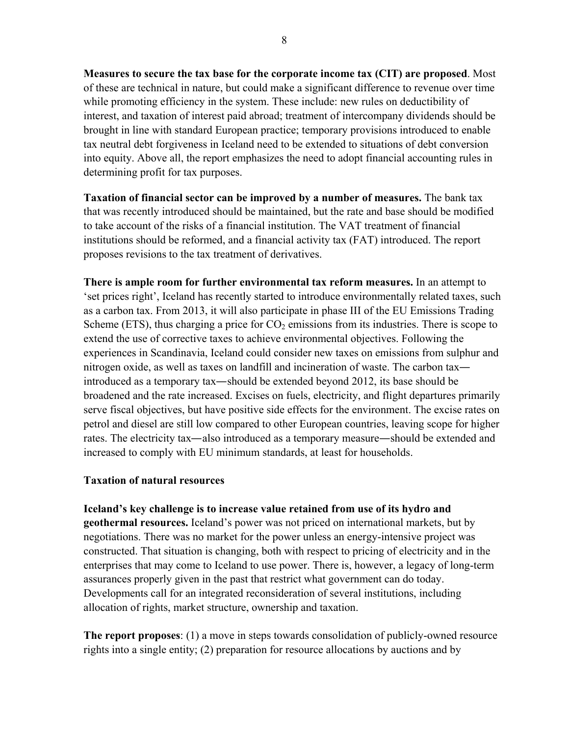**Measures to secure the tax base for the corporate income tax (CIT) are proposed**. Most of these are technical in nature, but could make a significant difference to revenue over time while promoting efficiency in the system. These include: new rules on deductibility of interest, and taxation of interest paid abroad; treatment of intercompany dividends should be brought in line with standard European practice; temporary provisions introduced to enable tax neutral debt forgiveness in Iceland need to be extended to situations of debt conversion into equity. Above all, the report emphasizes the need to adopt financial accounting rules in determining profit for tax purposes.

**Taxation of financial sector can be improved by a number of measures.** The bank tax that was recently introduced should be maintained, but the rate and base should be modified to take account of the risks of a financial institution. The VAT treatment of financial institutions should be reformed, and a financial activity tax (FAT) introduced. The report proposes revisions to the tax treatment of derivatives.

**There is ample room for further environmental tax reform measures.** In an attempt to 'set prices right', Iceland has recently started to introduce environmentally related taxes, such as a carbon tax. From 2013, it will also participate in phase III of the EU Emissions Trading Scheme (ETS), thus charging a price for  $CO<sub>2</sub>$  emissions from its industries. There is scope to extend the use of corrective taxes to achieve environmental objectives. Following the experiences in Scandinavia, Iceland could consider new taxes on emissions from sulphur and nitrogen oxide, as well as taxes on landfill and incineration of waste. The carbon tax introduced as a temporary tax—should be extended beyond 2012, its base should be broadened and the rate increased. Excises on fuels, electricity, and flight departures primarily serve fiscal objectives, but have positive side effects for the environment. The excise rates on petrol and diesel are still low compared to other European countries, leaving scope for higher rates. The electricity tax—also introduced as a temporary measure—should be extended and increased to comply with EU minimum standards, at least for households.

#### **Taxation of natural resources**

**Iceland's key challenge is to increase value retained from use of its hydro and geothermal resources.** Iceland's power was not priced on international markets, but by negotiations. There was no market for the power unless an energy-intensive project was constructed. That situation is changing, both with respect to pricing of electricity and in the enterprises that may come to Iceland to use power. There is, however, a legacy of long-term assurances properly given in the past that restrict what government can do today. Developments call for an integrated reconsideration of several institutions, including allocation of rights, market structure, ownership and taxation.

**The report proposes**: (1) a move in steps towards consolidation of publicly-owned resource rights into a single entity; (2) preparation for resource allocations by auctions and by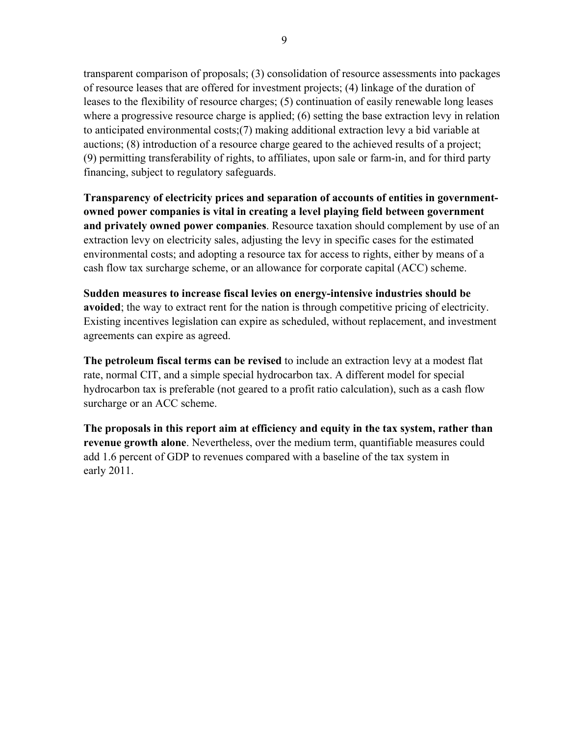transparent comparison of proposals; (3) consolidation of resource assessments into packages of resource leases that are offered for investment projects; (4) linkage of the duration of leases to the flexibility of resource charges; (5) continuation of easily renewable long leases where a progressive resource charge is applied; (6) setting the base extraction levy in relation to anticipated environmental costs;(7) making additional extraction levy a bid variable at auctions; (8) introduction of a resource charge geared to the achieved results of a project; (9) permitting transferability of rights, to affiliates, upon sale or farm-in, and for third party financing, subject to regulatory safeguards.

**Transparency of electricity prices and separation of accounts of entities in governmentowned power companies is vital in creating a level playing field between government and privately owned power companies**. Resource taxation should complement by use of an extraction levy on electricity sales, adjusting the levy in specific cases for the estimated environmental costs; and adopting a resource tax for access to rights, either by means of a cash flow tax surcharge scheme, or an allowance for corporate capital (ACC) scheme.

**Sudden measures to increase fiscal levies on energy-intensive industries should be avoided**; the way to extract rent for the nation is through competitive pricing of electricity. Existing incentives legislation can expire as scheduled, without replacement, and investment agreements can expire as agreed.

**The petroleum fiscal terms can be revised** to include an extraction levy at a modest flat rate, normal CIT, and a simple special hydrocarbon tax. A different model for special hydrocarbon tax is preferable (not geared to a profit ratio calculation), such as a cash flow surcharge or an ACC scheme.

**The proposals in this report aim at efficiency and equity in the tax system, rather than revenue growth alone**. Nevertheless, over the medium term, quantifiable measures could add 1.6 percent of GDP to revenues compared with a baseline of the tax system in early 2011.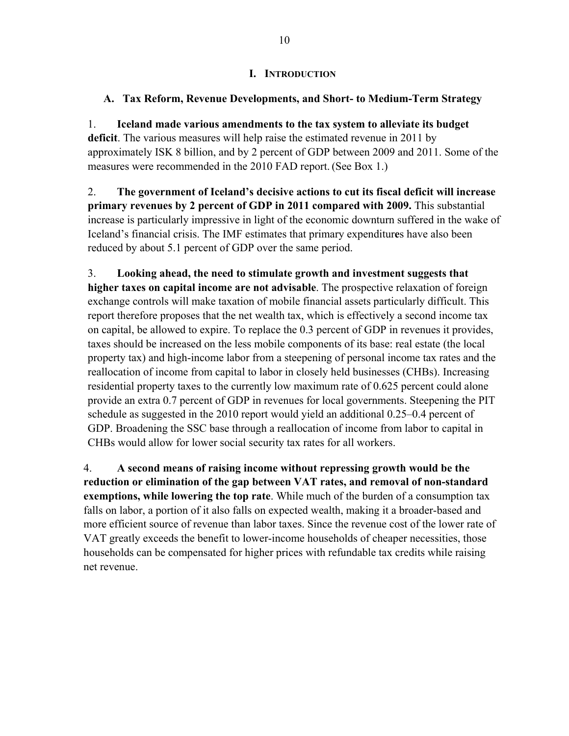#### **I. INTRODUCTION**

### **A. Tax Reform, Revenue Developments, and Short- to Medium-Term Strategy**

1. **Iceland made various amendments to the tax system to alleviate its budget deficit**. The various measures will help raise the estimated revenue in 2011 by approximately ISK 8 billion, and by 2 percent of GDP between 2009 and 2011. Some of the measures were recommended in the 2010 FAD report. (See Box 1.)

2. **The government of Iceland's decisive actions to cut its fiscal deficit will increase primary revenues by 2 percent of GDP in 2011 compared with 2009.** This substantial increase is particularly impressive in light of the economic downturn suffered in the wake of Iceland's financial crisis. The IMF estimates that primary expenditur**e**s have also been reduced by about 5.1 percent of GDP over the same period.

3. **Looking ahead, the need to stimulate growth and investment suggests that higher taxes on capital income are not advisable**. The prospective relaxation of foreign exchange controls will make taxation of mobile financial assets particularly difficult. This report therefore proposes that the net wealth tax, which is effectively a second income tax on capital, be allowed to expire. To replace the 0.3 percent of GDP in revenues it provides, taxes should be increased on the less mobile components of its base: real estate (the local property tax) and high-income labor from a steepening of personal income tax rates and the reallocation of income from capital to labor in closely held businesses (CHBs). Increasing residential property taxes to the currently low maximum rate of 0.625 percent could alone provide an extra 0.7 percent of GDP in revenues for local governments. Steepening the PIT schedule as suggested in the 2010 report would yield an additional 0.25–0.4 percent of GDP. Broadening the SSC base through a reallocation of income from labor to capital in CHBs would allow for lower social security tax rates for all workers.

4. **A second means of raising income without repressing growth would be the reduction or elimination of the gap between VAT rates, and removal of non-standard exemptions, while lowering the top rate**. While much of the burden of a consumption tax falls on labor, a portion of it also falls on expected wealth, making it a broader-based and more efficient source of revenue than labor taxes. Since the revenue cost of the lower rate of VAT greatly exceeds the benefit to lower-income households of cheaper necessities, those households can be compensated for higher prices with refundable tax credits while raising net revenue.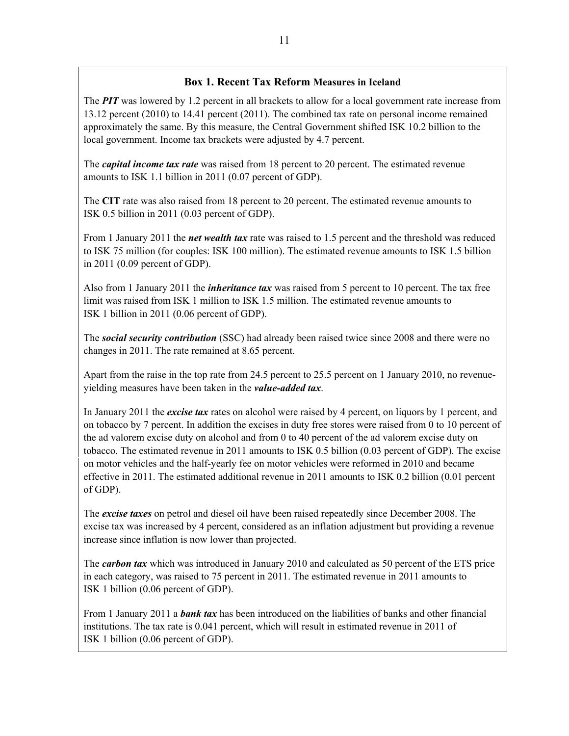#### **Box 1. Recent Tax Reform Measures in Iceland**

The *PIT* was lowered by 1.2 percent in all brackets to allow for a local government rate increase from 13.12 percent (2010) to 14.41 percent (2011). The combined tax rate on personal income remained approximately the same. By this measure, the Central Government shifted ISK 10.2 billion to the local government. Income tax brackets were adjusted by 4.7 percent.

The *capital income tax rate* was raised from 18 percent to 20 percent. The estimated revenue amounts to ISK 1.1 billion in 2011 (0.07 percent of GDP).

The **CIT** rate was also raised from 18 percent to 20 percent. The estimated revenue amounts to ISK 0.5 billion in 2011 (0.03 percent of GDP).

From 1 January 2011 the *net wealth tax* rate was raised to 1.5 percent and the threshold was reduced to ISK 75 million (for couples: ISK 100 million). The estimated revenue amounts to ISK 1.5 billion in 2011 (0.09 percent of GDP).

Also from 1 January 2011 the *inheritance tax* was raised from 5 percent to 10 percent. The tax free limit was raised from ISK 1 million to ISK 1.5 million. The estimated revenue amounts to ISK 1 billion in 2011 (0.06 percent of GDP).

The *social security contribution* (SSC) had already been raised twice since 2008 and there were no changes in 2011. The rate remained at 8.65 percent.

Apart from the raise in the top rate from 24.5 percent to 25.5 percent on 1 January 2010, no revenueyielding measures have been taken in the *value-added tax*.

In January 2011 the *excise tax* rates on alcohol were raised by 4 percent, on liquors by 1 percent, and on tobacco by 7 percent. In addition the excises in duty free stores were raised from 0 to 10 percent of the ad valorem excise duty on alcohol and from 0 to 40 percent of the ad valorem excise duty on tobacco. The estimated revenue in 2011 amounts to ISK 0.5 billion (0.03 percent of GDP). The excise on motor vehicles and the half-yearly fee on motor vehicles were reformed in 2010 and became effective in 2011. The estimated additional revenue in 2011 amounts to ISK 0.2 billion (0.01 percent of GDP).

The *excise taxes* on petrol and diesel oil have been raised repeatedly since December 2008. The excise tax was increased by 4 percent, considered as an inflation adjustment but providing a revenue increase since inflation is now lower than projected.

The *carbon tax* which was introduced in January 2010 and calculated as 50 percent of the ETS price in each category, was raised to 75 percent in 2011. The estimated revenue in 2011 amounts to ISK 1 billion (0.06 percent of GDP).

From 1 January 2011 a *bank tax* has been introduced on the liabilities of banks and other financial institutions. The tax rate is 0.041 percent, which will result in estimated revenue in 2011 of ISK 1 billion (0.06 percent of GDP).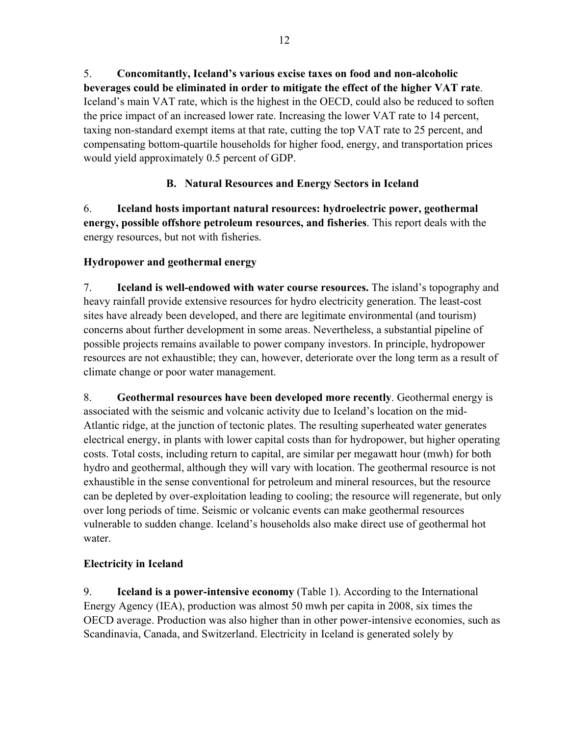5. **Concomitantly, Iceland's various excise taxes on food and non-alcoholic beverages could be eliminated in order to mitigate the effect of the higher VAT rate**. Iceland's main VAT rate, which is the highest in the OECD, could also be reduced to soften the price impact of an increased lower rate. Increasing the lower VAT rate to 14 percent, taxing non-standard exempt items at that rate, cutting the top VAT rate to 25 percent, and compensating bottom-quartile households for higher food, energy, and transportation prices would yield approximately 0.5 percent of GDP.

# **B. Natural Resources and Energy Sectors in Iceland**

6. **Iceland hosts important natural resources: hydroelectric power, geothermal energy, possible offshore petroleum resources, and fisheries**. This report deals with the energy resources, but not with fisheries.

# **Hydropower and geothermal energy**

7. **Iceland is well-endowed with water course resources.** The island's topography and heavy rainfall provide extensive resources for hydro electricity generation. The least-cost sites have already been developed, and there are legitimate environmental (and tourism) concerns about further development in some areas. Nevertheless, a substantial pipeline of possible projects remains available to power company investors. In principle, hydropower resources are not exhaustible; they can, however, deteriorate over the long term as a result of climate change or poor water management.

8. **Geothermal resources have been developed more recently**. Geothermal energy is associated with the seismic and volcanic activity due to Iceland's location on the mid-Atlantic ridge, at the junction of tectonic plates. The resulting superheated water generates electrical energy, in plants with lower capital costs than for hydropower, but higher operating costs. Total costs, including return to capital, are similar per megawatt hour (mwh) for both hydro and geothermal, although they will vary with location. The geothermal resource is not exhaustible in the sense conventional for petroleum and mineral resources, but the resource can be depleted by over-exploitation leading to cooling; the resource will regenerate, but only over long periods of time. Seismic or volcanic events can make geothermal resources vulnerable to sudden change. Iceland's households also make direct use of geothermal hot water.

# **Electricity in Iceland**

9. **Iceland is a power-intensive economy** (Table 1). According to the International Energy Agency (IEA), production was almost 50 mwh per capita in 2008, six times the OECD average. Production was also higher than in other power-intensive economies, such as Scandinavia, Canada, and Switzerland. Electricity in Iceland is generated solely by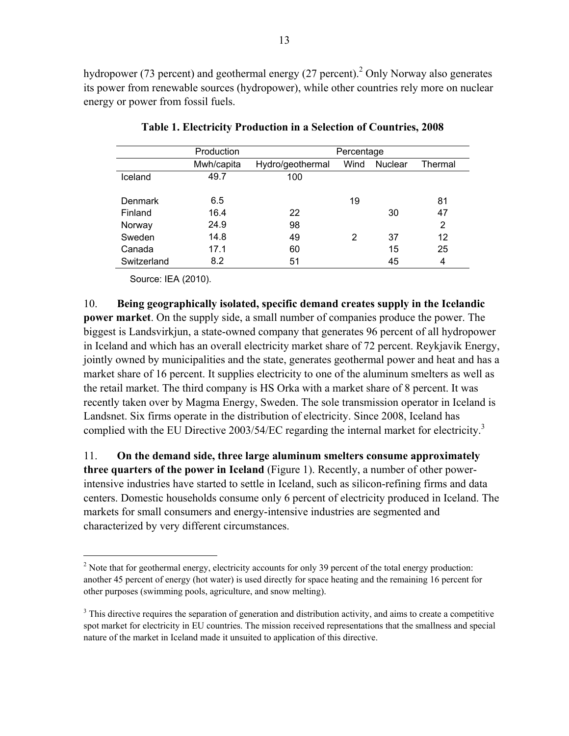hydropower (73 percent) and geothermal energy (27 percent).<sup>2</sup> Only Norway also generates its power from renewable sources (hydropower), while other countries rely more on nuclear energy or power from fossil fuels.

|             | Production |                  | Percentage |                |         |
|-------------|------------|------------------|------------|----------------|---------|
|             | Mwh/capita | Hydro/geothermal | Wind       | <b>Nuclear</b> | Thermal |
| Iceland     | 49.7       | 100              |            |                |         |
|             |            |                  |            |                |         |
| Denmark     | 6.5        |                  | 19         |                | 81      |
| Finland     | 16.4       | 22               |            | 30             | 47      |
| Norway      | 24.9       | 98               |            |                | 2       |
| Sweden      | 14.8       | 49               | 2          | 37             | 12      |
| Canada      | 17.1       | 60               |            | 15             | 25      |
| Switzerland | 8.2        | 51               |            | 45             | 4       |

**Table 1. Electricity Production in a Selection of Countries, 2008** 

Source: IEA (2010).

1

10. **Being geographically isolated, specific demand creates supply in the Icelandic power market**. On the supply side, a small number of companies produce the power. The biggest is Landsvirkjun, a state-owned company that generates 96 percent of all hydropower in Iceland and which has an overall electricity market share of 72 percent. Reykjavik Energy, jointly owned by municipalities and the state, generates geothermal power and heat and has a market share of 16 percent. It supplies electricity to one of the aluminum smelters as well as the retail market. The third company is HS Orka with a market share of 8 percent. It was recently taken over by Magma Energy, Sweden. The sole transmission operator in Iceland is Landsnet. Six firms operate in the distribution of electricity. Since 2008, Iceland has complied with the EU Directive 2003/54/EC regarding the internal market for electricity.<sup>3</sup>

11. **On the demand side, three large aluminum smelters consume approximately three quarters of the power in Iceland** (Figure 1). Recently, a number of other powerintensive industries have started to settle in Iceland, such as silicon-refining firms and data centers. Domestic households consume only 6 percent of electricity produced in Iceland. The markets for small consumers and energy-intensive industries are segmented and characterized by very different circumstances.

 $2^2$  Note that for geothermal energy, electricity accounts for only 39 percent of the total energy production: another 45 percent of energy (hot water) is used directly for space heating and the remaining 16 percent for other purposes (swimming pools, agriculture, and snow melting).

 $3$  This directive requires the separation of generation and distribution activity, and aims to create a competitive spot market for electricity in EU countries. The mission received representations that the smallness and special nature of the market in Iceland made it unsuited to application of this directive.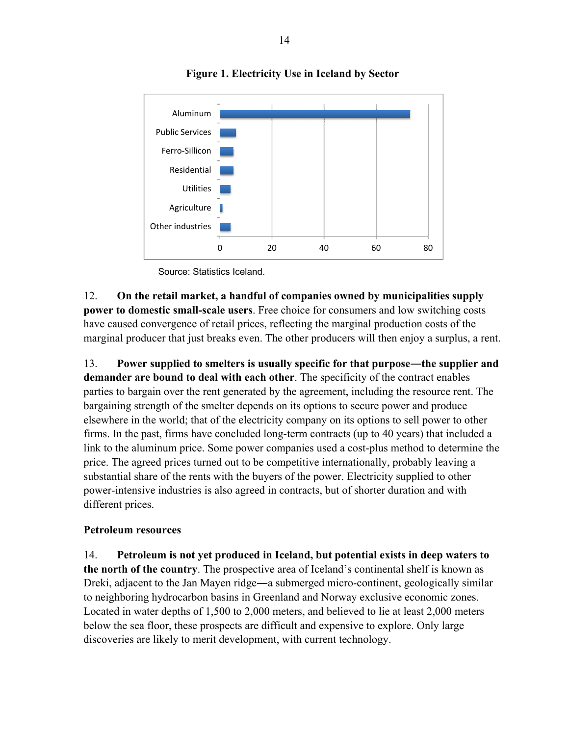

# **Figure 1. Electricity Use in Iceland by Sector**

Source: Statistics Iceland.

12. **On the retail market, a handful of companies owned by municipalities supply power to domestic small-scale users**. Free choice for consumers and low switching costs have caused convergence of retail prices, reflecting the marginal production costs of the marginal producer that just breaks even. The other producers will then enjoy a surplus, a rent.

13. **Power supplied to smelters is usually specific for that purpose―the supplier and demander are bound to deal with each other**. The specificity of the contract enables parties to bargain over the rent generated by the agreement, including the resource rent. The bargaining strength of the smelter depends on its options to secure power and produce elsewhere in the world; that of the electricity company on its options to sell power to other firms. In the past, firms have concluded long-term contracts (up to 40 years) that included a link to the aluminum price. Some power companies used a cost-plus method to determine the price. The agreed prices turned out to be competitive internationally, probably leaving a substantial share of the rents with the buyers of the power. Electricity supplied to other power-intensive industries is also agreed in contracts, but of shorter duration and with different prices.

#### **Petroleum resources**

14. **Petroleum is not yet produced in Iceland, but potential exists in deep waters to the north of the country**. The prospective area of Iceland's continental shelf is known as Dreki, adjacent to the Jan Mayen ridge—a submerged micro-continent, geologically similar to neighboring hydrocarbon basins in Greenland and Norway exclusive economic zones. Located in water depths of 1,500 to 2,000 meters, and believed to lie at least 2,000 meters below the sea floor, these prospects are difficult and expensive to explore. Only large discoveries are likely to merit development, with current technology.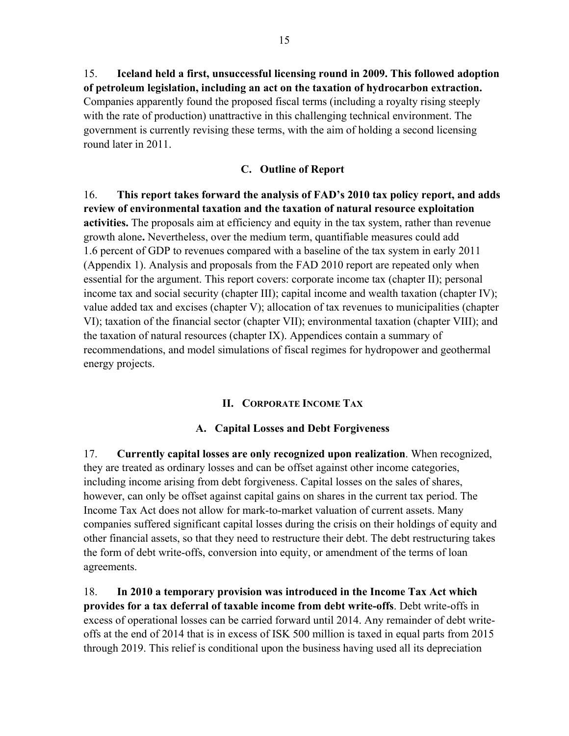15. **Iceland held a first, unsuccessful licensing round in 2009. This followed adoption of petroleum legislation, including an act on the taxation of hydrocarbon extraction.**  Companies apparently found the proposed fiscal terms (including a royalty rising steeply with the rate of production) unattractive in this challenging technical environment. The government is currently revising these terms, with the aim of holding a second licensing round later in 2011.

### **C. Outline of Report**

16. **This report takes forward the analysis of FAD's 2010 tax policy report, and adds review of environmental taxation and the taxation of natural resource exploitation activities.** The proposals aim at efficiency and equity in the tax system, rather than revenue growth alone**.** Nevertheless, over the medium term, quantifiable measures could add 1.6 percent of GDP to revenues compared with a baseline of the tax system in early 2011 (Appendix 1). Analysis and proposals from the FAD 2010 report are repeated only when essential for the argument. This report covers: corporate income tax (chapter II); personal income tax and social security (chapter III); capital income and wealth taxation (chapter IV); value added tax and excises (chapter V); allocation of tax revenues to municipalities (chapter VI); taxation of the financial sector (chapter VII); environmental taxation (chapter VIII); and the taxation of natural resources (chapter IX). Appendices contain a summary of recommendations, and model simulations of fiscal regimes for hydropower and geothermal energy projects.

#### **II. CORPORATE INCOME TAX**

#### **A. Capital Losses and Debt Forgiveness**

17. **Currently capital losses are only recognized upon realization**. When recognized, they are treated as ordinary losses and can be offset against other income categories, including income arising from debt forgiveness. Capital losses on the sales of shares, however, can only be offset against capital gains on shares in the current tax period. The Income Tax Act does not allow for mark-to-market valuation of current assets. Many companies suffered significant capital losses during the crisis on their holdings of equity and other financial assets, so that they need to restructure their debt. The debt restructuring takes the form of debt write-offs, conversion into equity, or amendment of the terms of loan agreements.

18. **In 2010 a temporary provision was introduced in the Income Tax Act which provides for a tax deferral of taxable income from debt write-offs**. Debt write-offs in excess of operational losses can be carried forward until 2014. Any remainder of debt writeoffs at the end of 2014 that is in excess of ISK 500 million is taxed in equal parts from 2015 through 2019. This relief is conditional upon the business having used all its depreciation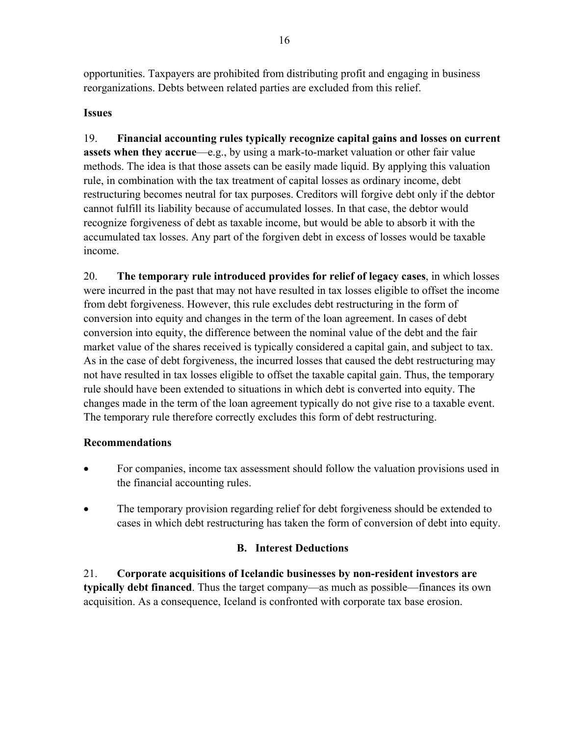opportunities. Taxpayers are prohibited from distributing profit and engaging in business reorganizations. Debts between related parties are excluded from this relief.

## **Issues**

19. **Financial accounting rules typically recognize capital gains and losses on current assets when they accrue**—e.g., by using a mark-to-market valuation or other fair value methods. The idea is that those assets can be easily made liquid. By applying this valuation rule, in combination with the tax treatment of capital losses as ordinary income, debt restructuring becomes neutral for tax purposes. Creditors will forgive debt only if the debtor cannot fulfill its liability because of accumulated losses. In that case, the debtor would recognize forgiveness of debt as taxable income, but would be able to absorb it with the accumulated tax losses. Any part of the forgiven debt in excess of losses would be taxable income.

20. **The temporary rule introduced provides for relief of legacy cases**, in which losses were incurred in the past that may not have resulted in tax losses eligible to offset the income from debt forgiveness. However, this rule excludes debt restructuring in the form of conversion into equity and changes in the term of the loan agreement. In cases of debt conversion into equity, the difference between the nominal value of the debt and the fair market value of the shares received is typically considered a capital gain, and subject to tax. As in the case of debt forgiveness, the incurred losses that caused the debt restructuring may not have resulted in tax losses eligible to offset the taxable capital gain. Thus, the temporary rule should have been extended to situations in which debt is converted into equity. The changes made in the term of the loan agreement typically do not give rise to a taxable event. The temporary rule therefore correctly excludes this form of debt restructuring.

# **Recommendations**

- For companies, income tax assessment should follow the valuation provisions used in the financial accounting rules.
- The temporary provision regarding relief for debt forgiveness should be extended to cases in which debt restructuring has taken the form of conversion of debt into equity.

# **B. Interest Deductions**

21. **Corporate acquisitions of Icelandic businesses by non-resident investors are typically debt financed**. Thus the target company—as much as possible—finances its own acquisition. As a consequence, Iceland is confronted with corporate tax base erosion.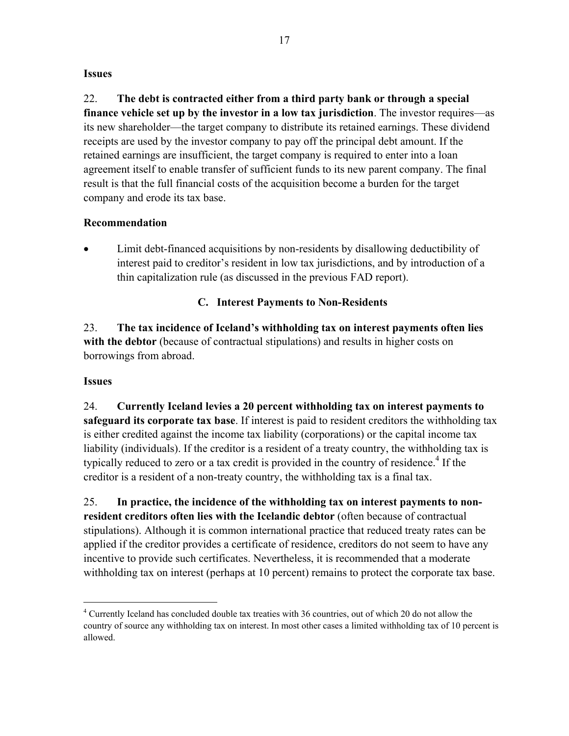#### **Issues**

22. **The debt is contracted either from a third party bank or through a special finance vehicle set up by the investor in a low tax jurisdiction**. The investor requires—as its new shareholder—the target company to distribute its retained earnings. These dividend receipts are used by the investor company to pay off the principal debt amount. If the retained earnings are insufficient, the target company is required to enter into a loan agreement itself to enable transfer of sufficient funds to its new parent company. The final result is that the full financial costs of the acquisition become a burden for the target company and erode its tax base.

#### **Recommendation**

 Limit debt-financed acquisitions by non-residents by disallowing deductibility of interest paid to creditor's resident in low tax jurisdictions, and by introduction of a thin capitalization rule (as discussed in the previous FAD report).

# **C. Interest Payments to Non-Residents**

23. **The tax incidence of Iceland's withholding tax on interest payments often lies with the debtor** (because of contractual stipulations) and results in higher costs on borrowings from abroad.

#### **Issues**

 $\overline{a}$ 

24. **Currently Iceland levies a 20 percent withholding tax on interest payments to safeguard its corporate tax base**. If interest is paid to resident creditors the withholding tax is either credited against the income tax liability (corporations) or the capital income tax liability (individuals). If the creditor is a resident of a treaty country, the withholding tax is typically reduced to zero or a tax credit is provided in the country of residence.<sup>4</sup> If the creditor is a resident of a non-treaty country, the withholding tax is a final tax.

25. **In practice, the incidence of the withholding tax on interest payments to nonresident creditors often lies with the Icelandic debtor** (often because of contractual stipulations). Although it is common international practice that reduced treaty rates can be applied if the creditor provides a certificate of residence, creditors do not seem to have any incentive to provide such certificates. Nevertheless, it is recommended that a moderate withholding tax on interest (perhaps at 10 percent) remains to protect the corporate tax base.

<sup>&</sup>lt;sup>4</sup> Currently Iceland has concluded double tax treaties with 36 countries, out of which 20 do not allow the country of source any withholding tax on interest. In most other cases a limited withholding tax of 10 percent is allowed.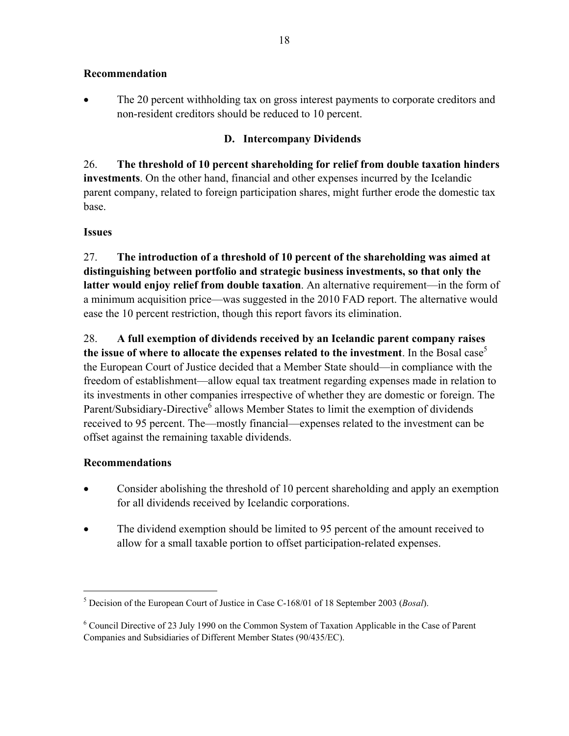#### **Recommendation**

• The 20 percent withholding tax on gross interest payments to corporate creditors and non-resident creditors should be reduced to 10 percent.

#### **D. Intercompany Dividends**

26. **The threshold of 10 percent shareholding for relief from double taxation hinders investments**. On the other hand, financial and other expenses incurred by the Icelandic parent company, related to foreign participation shares, might further erode the domestic tax base.

#### **Issues**

27. **The introduction of a threshold of 10 percent of the shareholding was aimed at distinguishing between portfolio and strategic business investments, so that only the latter would enjoy relief from double taxation**. An alternative requirement—in the form of a minimum acquisition price—was suggested in the 2010 FAD report. The alternative would ease the 10 percent restriction, though this report favors its elimination.

28. **A full exemption of dividends received by an Icelandic parent company raises**  the issue of where to allocate the expenses related to the investment. In the Bosal case<sup>5</sup> the European Court of Justice decided that a Member State should—in compliance with the freedom of establishment—allow equal tax treatment regarding expenses made in relation to its investments in other companies irrespective of whether they are domestic or foreign. The Parent/Subsidiary-Directive<sup>6</sup> allows Member States to limit the exemption of dividends received to 95 percent. The—mostly financial—expenses related to the investment can be offset against the remaining taxable dividends.

#### **Recommendations**

1

- Consider abolishing the threshold of 10 percent shareholding and apply an exemption for all dividends received by Icelandic corporations.
- The dividend exemption should be limited to 95 percent of the amount received to allow for a small taxable portion to offset participation-related expenses.

<sup>5</sup> Decision of the European Court of Justice in Case C-168/01 of 18 September 2003 (*Bosal*).

<sup>&</sup>lt;sup>6</sup> Council Directive of 23 July 1990 on the Common System of Taxation Applicable in the Case of Parent Companies and Subsidiaries of Different Member States (90/435/EC).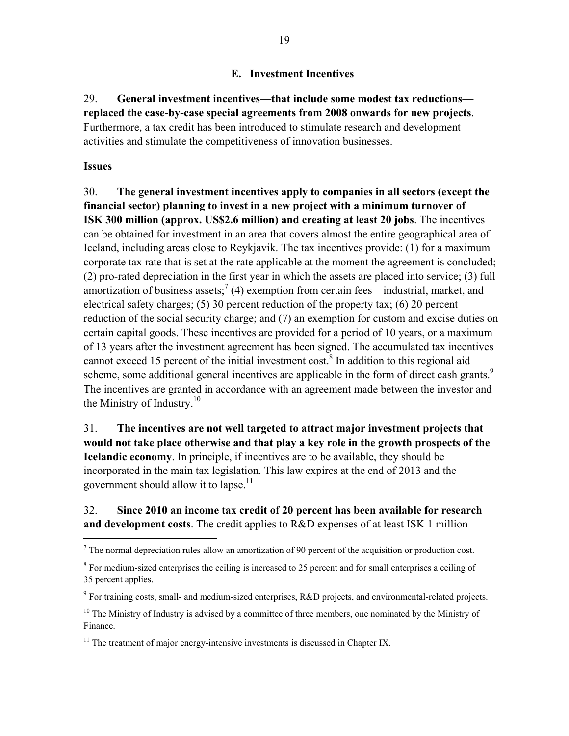### **E. Investment Incentives**

# 29. **General investment incentives—that include some modest tax reductions replaced the case-by-case special agreements from 2008 onwards for new projects**. Furthermore, a tax credit has been introduced to stimulate research and development activities and stimulate the competitiveness of innovation businesses.

#### **Issues**

 $\overline{a}$ 

30. **The general investment incentives apply to companies in all sectors (except the financial sector) planning to invest in a new project with a minimum turnover of ISK 300 million (approx. US\$2.6 million) and creating at least 20 jobs**. The incentives can be obtained for investment in an area that covers almost the entire geographical area of Iceland, including areas close to Reykjavik. The tax incentives provide: (1) for a maximum corporate tax rate that is set at the rate applicable at the moment the agreement is concluded; (2) pro-rated depreciation in the first year in which the assets are placed into service; (3) full amortization of business assets;  $(4)$  exemption from certain fees—industrial, market, and electrical safety charges; (5) 30 percent reduction of the property tax; (6) 20 percent reduction of the social security charge; and (7) an exemption for custom and excise duties on certain capital goods. These incentives are provided for a period of 10 years, or a maximum of 13 years after the investment agreement has been signed. The accumulated tax incentives cannot exceed 15 percent of the initial investment cost.<sup>8</sup> In addition to this regional aid scheme, some additional general incentives are applicable in the form of direct cash grants.<sup>9</sup> The incentives are granted in accordance with an agreement made between the investor and the Ministry of Industry. $10$ 

# 31. **The incentives are not well targeted to attract major investment projects that would not take place otherwise and that play a key role in the growth prospects of the Icelandic economy**. In principle, if incentives are to be available, they should be incorporated in the main tax legislation. This law expires at the end of 2013 and the government should allow it to lapse.<sup>11</sup>

## 32. **Since 2010 an income tax credit of 20 percent has been available for research and development costs**. The credit applies to R&D expenses of at least ISK 1 million

 $<sup>7</sup>$  The normal depreciation rules allow an amortization of 90 percent of the acquisition or production cost.</sup>

<sup>&</sup>lt;sup>8</sup> For medium-sized enterprises the ceiling is increased to 25 percent and for small enterprises a ceiling of 35 percent applies.

<sup>&</sup>lt;sup>9</sup> For training costs, small- and medium-sized enterprises, R&D projects, and environmental-related projects.

 $10$  The Ministry of Industry is advised by a committee of three members, one nominated by the Ministry of Finance.

 $11$  The treatment of major energy-intensive investments is discussed in Chapter IX.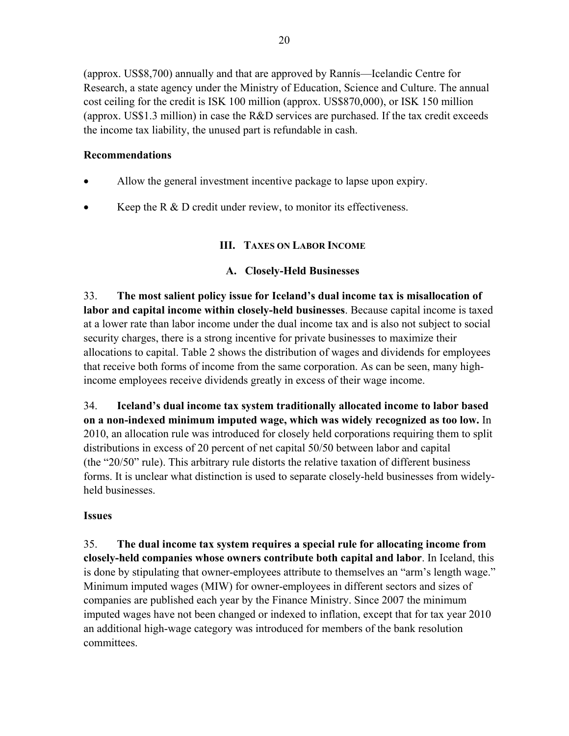(approx. US\$8,700) annually and that are approved by Rannís—Icelandic Centre for Research, a state agency under the Ministry of Education, Science and Culture. The annual cost ceiling for the credit is ISK 100 million (approx. US\$870,000), or ISK 150 million (approx. US\$1.3 million) in case the R&D services are purchased. If the tax credit exceeds the income tax liability, the unused part is refundable in cash.

## **Recommendations**

- Allow the general investment incentive package to lapse upon expiry.
- Keep the R & D credit under review, to monitor its effectiveness.

# **III. TAXES ON LABOR INCOME**

# **A. Closely-Held Businesses**

33. **The most salient policy issue for Iceland's dual income tax is misallocation of labor and capital income within closely-held businesses**. Because capital income is taxed at a lower rate than labor income under the dual income tax and is also not subject to social security charges, there is a strong incentive for private businesses to maximize their allocations to capital. Table 2 shows the distribution of wages and dividends for employees that receive both forms of income from the same corporation. As can be seen, many highincome employees receive dividends greatly in excess of their wage income.

34. **Iceland's dual income tax system traditionally allocated income to labor based on a non-indexed minimum imputed wage, which was widely recognized as too low.** In 2010, an allocation rule was introduced for closely held corporations requiring them to split distributions in excess of 20 percent of net capital 50/50 between labor and capital (the "20/50" rule). This arbitrary rule distorts the relative taxation of different business forms. It is unclear what distinction is used to separate closely-held businesses from widelyheld businesses.

#### **Issues**

35. **The dual income tax system requires a special rule for allocating income from closely-held companies whose owners contribute both capital and labor**. In Iceland, this is done by stipulating that owner-employees attribute to themselves an "arm's length wage." Minimum imputed wages (MIW) for owner-employees in different sectors and sizes of companies are published each year by the Finance Ministry. Since 2007 the minimum imputed wages have not been changed or indexed to inflation, except that for tax year 2010 an additional high-wage category was introduced for members of the bank resolution committees.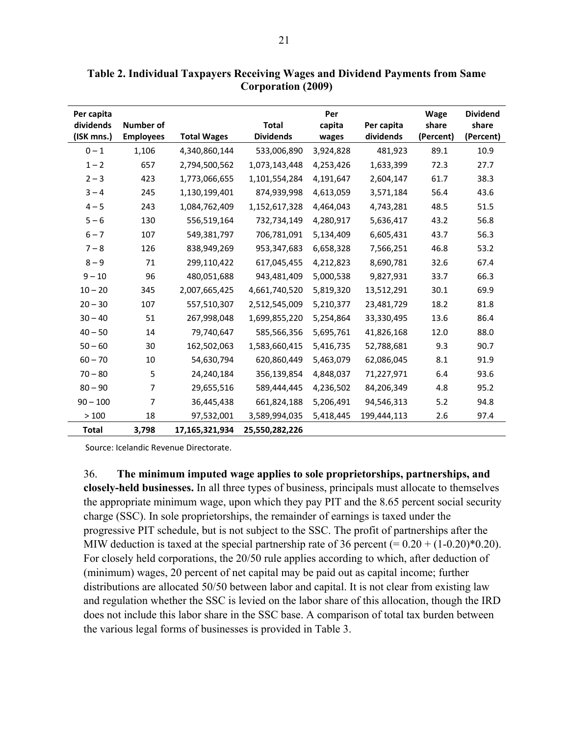| Per capita<br>dividends | <b>Number of</b> |                    | <b>Total</b>     | Per<br>capita | Per capita  | Wage<br>share | <b>Dividend</b><br>share |
|-------------------------|------------------|--------------------|------------------|---------------|-------------|---------------|--------------------------|
| (ISK mns.)              | <b>Employees</b> | <b>Total Wages</b> | <b>Dividends</b> | wages         | dividends   | (Percent)     | (Percent)                |
| $0 - 1$                 | 1,106            | 4,340,860,144      | 533,006,890      | 3,924,828     | 481,923     | 89.1          | 10.9                     |
| $1 - 2$                 | 657              | 2,794,500,562      | 1,073,143,448    | 4,253,426     | 1,633,399   | 72.3          | 27.7                     |
| $2 - 3$                 | 423              | 1,773,066,655      | 1,101,554,284    | 4,191,647     | 2,604,147   | 61.7          | 38.3                     |
| $3 - 4$                 | 245              | 1,130,199,401      | 874,939,998      | 4,613,059     | 3,571,184   | 56.4          | 43.6                     |
| $4 - 5$                 | 243              | 1,084,762,409      | 1,152,617,328    | 4,464,043     | 4,743,281   | 48.5          | 51.5                     |
| $5 - 6$                 | 130              | 556,519,164        | 732,734,149      | 4,280,917     | 5,636,417   | 43.2          | 56.8                     |
| $6 - 7$                 | 107              | 549,381,797        | 706,781,091      | 5,134,409     | 6,605,431   | 43.7          | 56.3                     |
| $7 - 8$                 | 126              | 838,949,269        | 953,347,683      | 6,658,328     | 7,566,251   | 46.8          | 53.2                     |
| $8 - 9$                 | 71               | 299,110,422        | 617,045,455      | 4,212,823     | 8,690,781   | 32.6          | 67.4                     |
| $9 - 10$                | 96               | 480,051,688        | 943,481,409      | 5,000,538     | 9,827,931   | 33.7          | 66.3                     |
| $10 - 20$               | 345              | 2,007,665,425      | 4,661,740,520    | 5,819,320     | 13,512,291  | 30.1          | 69.9                     |
| $20 - 30$               | 107              | 557,510,307        | 2,512,545,009    | 5,210,377     | 23,481,729  | 18.2          | 81.8                     |
| $30 - 40$               | 51               | 267,998,048        | 1,699,855,220    | 5,254,864     | 33,330,495  | 13.6          | 86.4                     |
| $40 - 50$               | 14               | 79,740,647         | 585,566,356      | 5,695,761     | 41,826,168  | 12.0          | 88.0                     |
| $50 - 60$               | 30               | 162,502,063        | 1,583,660,415    | 5,416,735     | 52,788,681  | 9.3           | 90.7                     |
| $60 - 70$               | 10               | 54,630,794         | 620,860,449      | 5,463,079     | 62,086,045  | 8.1           | 91.9                     |
| $70 - 80$               | 5                | 24,240,184         | 356,139,854      | 4,848,037     | 71,227,971  | 6.4           | 93.6                     |
| $80 - 90$               | 7                | 29,655,516         | 589,444,445      | 4,236,502     | 84,206,349  | 4.8           | 95.2                     |
| $90 - 100$              | 7                | 36,445,438         | 661,824,188      | 5,206,491     | 94,546,313  | 5.2           | 94.8                     |
| >100                    | 18               | 97,532,001         | 3,589,994,035    | 5,418,445     | 199,444,113 | 2.6           | 97.4                     |
| <b>Total</b>            | 3,798            | 17,165,321,934     | 25,550,282,226   |               |             |               |                          |

**Table 2. Individual Taxpayers Receiving Wages and Dividend Payments from Same Corporation (2009)** 

Source: Icelandic Revenue Directorate.

36. **The minimum imputed wage applies to sole proprietorships, partnerships, and closely-held businesses.** In all three types of business, principals must allocate to themselves the appropriate minimum wage, upon which they pay PIT and the 8.65 percent social security charge (SSC). In sole proprietorships, the remainder of earnings is taxed under the progressive PIT schedule, but is not subject to the SSC. The profit of partnerships after the MIW deduction is taxed at the special partnership rate of 36 percent  $(= 0.20 + (1-0.20)^*0.20)$ . For closely held corporations, the 20/50 rule applies according to which, after deduction of (minimum) wages, 20 percent of net capital may be paid out as capital income; further distributions are allocated 50/50 between labor and capital. It is not clear from existing law and regulation whether the SSC is levied on the labor share of this allocation, though the IRD does not include this labor share in the SSC base. A comparison of total tax burden between the various legal forms of businesses is provided in Table 3.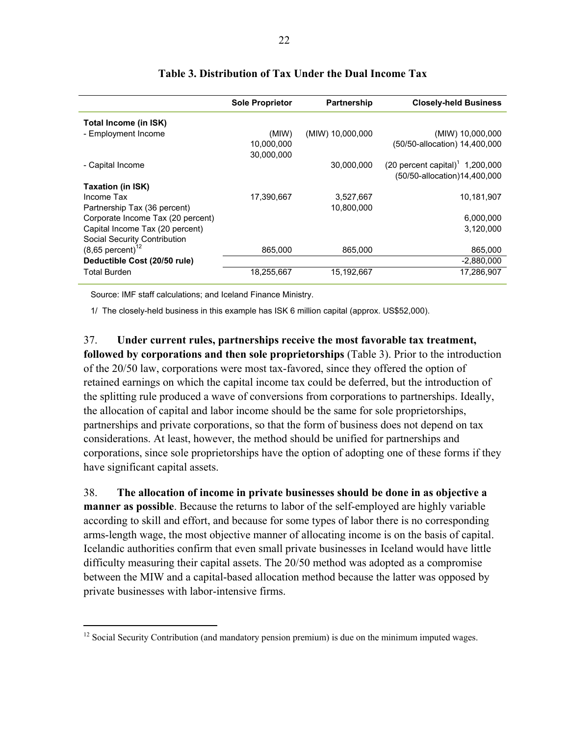|                                   | <b>Sole Proprietor</b> | Partnership      | <b>Closely-held Business</b>                  |
|-----------------------------------|------------------------|------------------|-----------------------------------------------|
| Total Income (in ISK)             |                        |                  |                                               |
| - Employment Income               | (MIW)                  | (MIW) 10,000,000 | (MIW) 10,000,000                              |
|                                   | 10,000,000             |                  | (50/50-allocation) 14,400,000                 |
|                                   | 30,000,000             |                  |                                               |
| - Capital Income                  |                        | 30.000.000       | $(20$ percent capital) <sup>1</sup> 1,200,000 |
|                                   |                        |                  | (50/50-allocation)14,400,000                  |
| Taxation (in ISK)                 |                        |                  |                                               |
| Income Tax                        | 17,390,667             | 3,527,667        | 10,181,907                                    |
| Partnership Tax (36 percent)      |                        | 10,800,000       |                                               |
| Corporate Income Tax (20 percent) |                        |                  | 6,000,000                                     |
| Capital Income Tax (20 percent)   |                        |                  | 3,120,000                                     |
| Social Security Contribution      |                        |                  |                                               |
| $(8,65$ percent) <sup>12</sup>    | 865,000                | 865.000          | 865,000                                       |
| Deductible Cost (20/50 rule)      |                        |                  | $-2,880,000$                                  |
| Total Burden                      | 18,255,667             | 15,192,667       | 17,286,907                                    |

#### **Table 3. Distribution of Tax Under the Dual Income Tax**

Source: IMF staff calculations; and Iceland Finance Ministry.

 $\overline{a}$ 

1/ The closely-held business in this example has ISK 6 million capital (approx. US\$52,000).

37. **Under current rules, partnerships receive the most favorable tax treatment, followed by corporations and then sole proprietorships** (Table 3). Prior to the introduction of the 20/50 law, corporations were most tax-favored, since they offered the option of retained earnings on which the capital income tax could be deferred, but the introduction of the splitting rule produced a wave of conversions from corporations to partnerships. Ideally, the allocation of capital and labor income should be the same for sole proprietorships, partnerships and private corporations, so that the form of business does not depend on tax considerations. At least, however, the method should be unified for partnerships and corporations, since sole proprietorships have the option of adopting one of these forms if they have significant capital assets.

38. **The allocation of income in private businesses should be done in as objective a manner as possible**. Because the returns to labor of the self-employed are highly variable according to skill and effort, and because for some types of labor there is no corresponding arms-length wage, the most objective manner of allocating income is on the basis of capital. Icelandic authorities confirm that even small private businesses in Iceland would have little difficulty measuring their capital assets. The 20/50 method was adopted as a compromise between the MIW and a capital-based allocation method because the latter was opposed by private businesses with labor-intensive firms.

 $12$  Social Security Contribution (and mandatory pension premium) is due on the minimum imputed wages.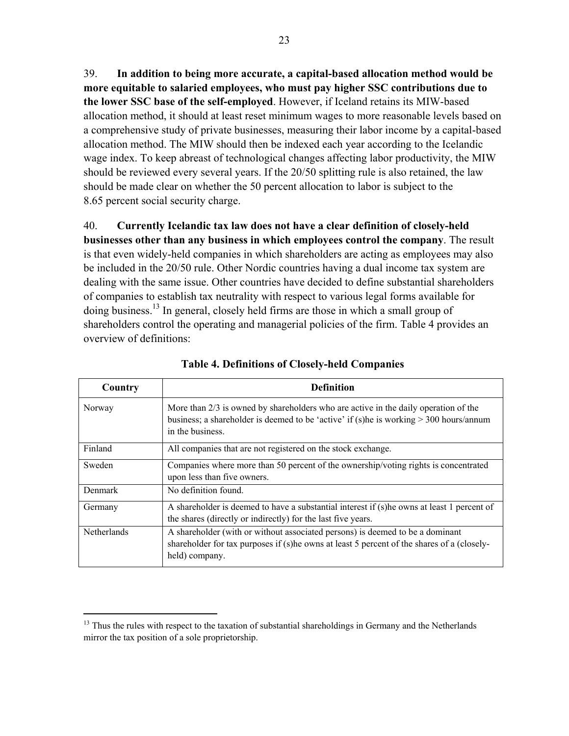39. **In addition to being more accurate, a capital-based allocation method would be more equitable to salaried employees, who must pay higher SSC contributions due to the lower SSC base of the self-employed**. However, if Iceland retains its MIW-based allocation method, it should at least reset minimum wages to more reasonable levels based on a comprehensive study of private businesses, measuring their labor income by a capital-based allocation method. The MIW should then be indexed each year according to the Icelandic wage index. To keep abreast of technological changes affecting labor productivity, the MIW should be reviewed every several years. If the 20/50 splitting rule is also retained, the law should be made clear on whether the 50 percent allocation to labor is subject to the 8.65 percent social security charge.

40. **Currently Icelandic tax law does not have a clear definition of closely-held businesses other than any business in which employees control the company**. The result is that even widely-held companies in which shareholders are acting as employees may also be included in the 20/50 rule. Other Nordic countries having a dual income tax system are dealing with the same issue. Other countries have decided to define substantial shareholders of companies to establish tax neutrality with respect to various legal forms available for doing business.13 In general, closely held firms are those in which a small group of shareholders control the operating and managerial policies of the firm. Table 4 provides an overview of definitions:

| Country            | <b>Definition</b>                                                                                                                                                                                     |
|--------------------|-------------------------------------------------------------------------------------------------------------------------------------------------------------------------------------------------------|
| Norway             | More than $2/3$ is owned by shareholders who are active in the daily operation of the<br>business; a shareholder is deemed to be 'active' if (s)he is working $>$ 300 hours/annum<br>in the business. |
| Finland            | All companies that are not registered on the stock exchange.                                                                                                                                          |
| Sweden             | Companies where more than 50 percent of the ownership/voting rights is concentrated<br>upon less than five owners.                                                                                    |
| Denmark            | No definition found.                                                                                                                                                                                  |
| Germany            | A shareholder is deemed to have a substantial interest if (s) he owns at least 1 percent of<br>the shares (directly or indirectly) for the last five years.                                           |
| <b>Netherlands</b> | A shareholder (with or without associated persons) is deemed to be a dominant<br>shareholder for tax purposes if (s) he owns at least 5 percent of the shares of a (closely-<br>held) company.        |

**Table 4. Definitions of Closely-held Companies** 

 $\overline{a}$ 

<sup>&</sup>lt;sup>13</sup> Thus the rules with respect to the taxation of substantial shareholdings in Germany and the Netherlands mirror the tax position of a sole proprietorship.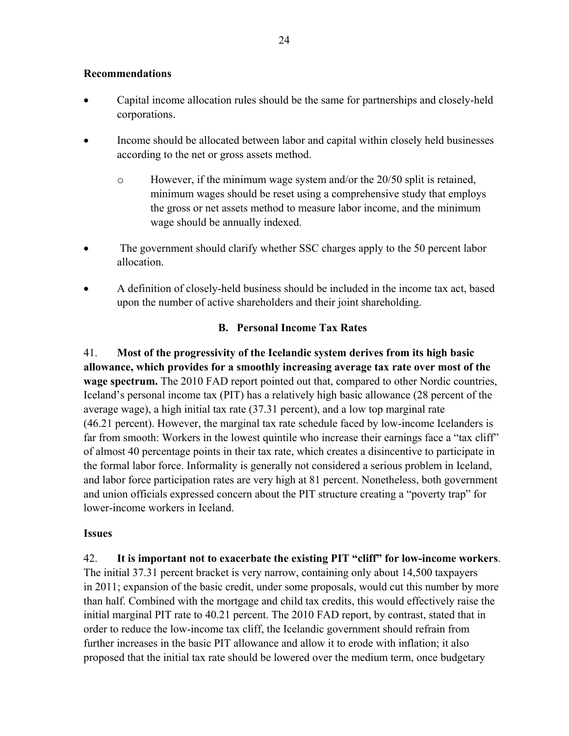#### **Recommendations**

- Capital income allocation rules should be the same for partnerships and closely-held corporations.
- Income should be allocated between labor and capital within closely held businesses according to the net or gross assets method.
	- $\circ$  However, if the minimum wage system and/or the 20/50 split is retained, minimum wages should be reset using a comprehensive study that employs the gross or net assets method to measure labor income, and the minimum wage should be annually indexed.
- The government should clarify whether SSC charges apply to the 50 percent labor allocation.
- A definition of closely-held business should be included in the income tax act, based upon the number of active shareholders and their joint shareholding.

#### **B. Personal Income Tax Rates**

41. **Most of the progressivity of the Icelandic system derives from its high basic allowance, which provides for a smoothly increasing average tax rate over most of the wage spectrum.** The 2010 FAD report pointed out that, compared to other Nordic countries, Iceland's personal income tax (PIT) has a relatively high basic allowance (28 percent of the average wage), a high initial tax rate (37.31 percent), and a low top marginal rate (46.21 percent). However, the marginal tax rate schedule faced by low-income Icelanders is far from smooth: Workers in the lowest quintile who increase their earnings face a "tax cliff" of almost 40 percentage points in their tax rate, which creates a disincentive to participate in the formal labor force. Informality is generally not considered a serious problem in Iceland, and labor force participation rates are very high at 81 percent. Nonetheless, both government and union officials expressed concern about the PIT structure creating a "poverty trap" for lower-income workers in Iceland.

#### **Issues**

42. **It is important not to exacerbate the existing PIT "cliff" for low-income workers**. The initial 37.31 percent bracket is very narrow, containing only about 14,500 taxpayers in 2011; expansion of the basic credit, under some proposals, would cut this number by more than half. Combined with the mortgage and child tax credits, this would effectively raise the initial marginal PIT rate to 40.21 percent. The 2010 FAD report, by contrast, stated that in order to reduce the low-income tax cliff, the Icelandic government should refrain from further increases in the basic PIT allowance and allow it to erode with inflation; it also proposed that the initial tax rate should be lowered over the medium term, once budgetary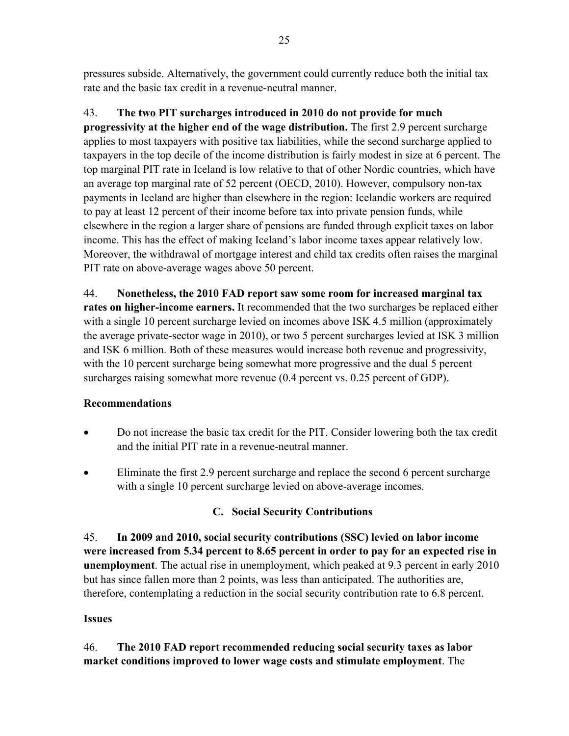pressures subside. Alternatively, the government could currently reduce both the initial tax rate and the basic tax credit in a revenue-neutral manner.

# 43. **The two PIT surcharges introduced in 2010 do not provide for much**

**progressivity at the higher end of the wage distribution.** The first 2.9 percent surcharge applies to most taxpayers with positive tax liabilities, while the second surcharge applied to taxpayers in the top decile of the income distribution is fairly modest in size at 6 percent. The top marginal PIT rate in Iceland is low relative to that of other Nordic countries, which have an average top marginal rate of 52 percent (OECD, 2010). However, compulsory non-tax payments in Iceland are higher than elsewhere in the region: Icelandic workers are required to pay at least 12 percent of their income before tax into private pension funds, while elsewhere in the region a larger share of pensions are funded through explicit taxes on labor income. This has the effect of making Iceland's labor income taxes appear relatively low. Moreover, the withdrawal of mortgage interest and child tax credits often raises the marginal PIT rate on above-average wages above 50 percent.

44. **Nonetheless, the 2010 FAD report saw some room for increased marginal tax rates on higher-income earners.** It recommended that the two surcharges be replaced either with a single 10 percent surcharge levied on incomes above ISK 4.5 million (approximately the average private-sector wage in 2010), or two 5 percent surcharges levied at ISK 3 million and ISK 6 million. Both of these measures would increase both revenue and progressivity, with the 10 percent surcharge being somewhat more progressive and the dual 5 percent surcharges raising somewhat more revenue (0.4 percent vs. 0.25 percent of GDP).

# **Recommendations**

- Do not increase the basic tax credit for the PIT. Consider lowering both the tax credit and the initial PIT rate in a revenue-neutral manner.
- Eliminate the first 2.9 percent surcharge and replace the second 6 percent surcharge with a single 10 percent surcharge levied on above-average incomes.

# **C. Social Security Contributions**

45. **In 2009 and 2010, social security contributions (SSC) levied on labor income were increased from 5.34 percent to 8.65 percent in order to pay for an expected rise in unemployment**. The actual rise in unemployment, which peaked at 9.3 percent in early 2010 but has since fallen more than 2 points, was less than anticipated. The authorities are, therefore, contemplating a reduction in the social security contribution rate to 6.8 percent.

# **Issues**

# 46. **The 2010 FAD report recommended reducing social security taxes as labor market conditions improved to lower wage costs and stimulate employment**. The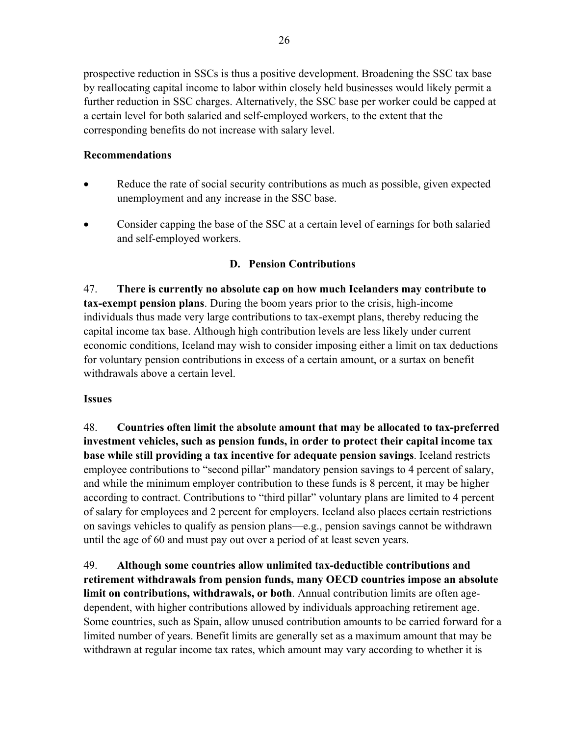prospective reduction in SSCs is thus a positive development. Broadening the SSC tax base by reallocating capital income to labor within closely held businesses would likely permit a further reduction in SSC charges. Alternatively, the SSC base per worker could be capped at a certain level for both salaried and self-employed workers, to the extent that the corresponding benefits do not increase with salary level.

## **Recommendations**

- Reduce the rate of social security contributions as much as possible, given expected unemployment and any increase in the SSC base.
- Consider capping the base of the SSC at a certain level of earnings for both salaried and self-employed workers.

## **D. Pension Contributions**

47. **There is currently no absolute cap on how much Icelanders may contribute to tax-exempt pension plans**. During the boom years prior to the crisis, high-income individuals thus made very large contributions to tax-exempt plans, thereby reducing the capital income tax base. Although high contribution levels are less likely under current economic conditions, Iceland may wish to consider imposing either a limit on tax deductions for voluntary pension contributions in excess of a certain amount, or a surtax on benefit withdrawals above a certain level.

#### **Issues**

48. **Countries often limit the absolute amount that may be allocated to tax-preferred investment vehicles, such as pension funds, in order to protect their capital income tax base while still providing a tax incentive for adequate pension savings**. Iceland restricts employee contributions to "second pillar" mandatory pension savings to 4 percent of salary, and while the minimum employer contribution to these funds is 8 percent, it may be higher according to contract. Contributions to "third pillar" voluntary plans are limited to 4 percent of salary for employees and 2 percent for employers. Iceland also places certain restrictions on savings vehicles to qualify as pension plans—e.g., pension savings cannot be withdrawn until the age of 60 and must pay out over a period of at least seven years.

49. **Although some countries allow unlimited tax-deductible contributions and retirement withdrawals from pension funds, many OECD countries impose an absolute limit on contributions, withdrawals, or both**. Annual contribution limits are often agedependent, with higher contributions allowed by individuals approaching retirement age. Some countries, such as Spain, allow unused contribution amounts to be carried forward for a limited number of years. Benefit limits are generally set as a maximum amount that may be withdrawn at regular income tax rates, which amount may vary according to whether it is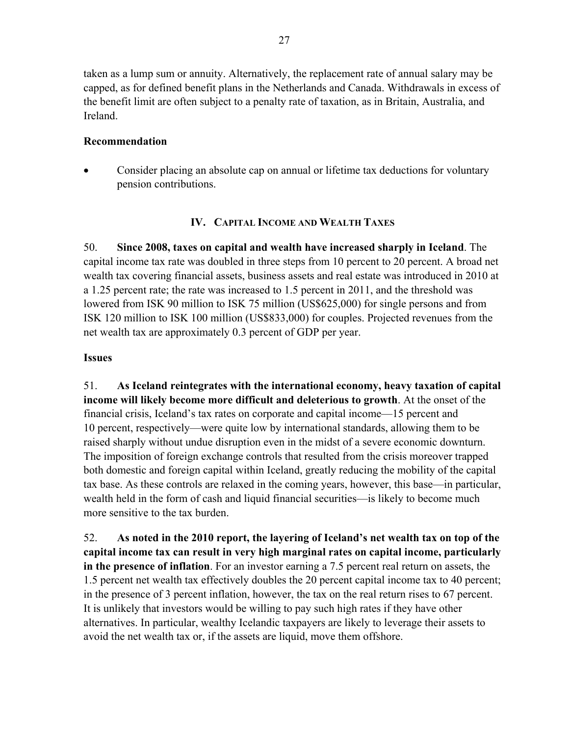taken as a lump sum or annuity. Alternatively, the replacement rate of annual salary may be capped, as for defined benefit plans in the Netherlands and Canada. Withdrawals in excess of the benefit limit are often subject to a penalty rate of taxation, as in Britain, Australia, and Ireland.

## **Recommendation**

 Consider placing an absolute cap on annual or lifetime tax deductions for voluntary pension contributions.

# **IV. CAPITAL INCOME AND WEALTH TAXES**

50. **Since 2008, taxes on capital and wealth have increased sharply in Iceland**. The capital income tax rate was doubled in three steps from 10 percent to 20 percent. A broad net wealth tax covering financial assets, business assets and real estate was introduced in 2010 at a 1.25 percent rate; the rate was increased to 1.5 percent in 2011, and the threshold was lowered from ISK 90 million to ISK 75 million (US\$625,000) for single persons and from ISK 120 million to ISK 100 million (US\$833,000) for couples. Projected revenues from the net wealth tax are approximately 0.3 percent of GDP per year.

#### **Issues**

51. **As Iceland reintegrates with the international economy, heavy taxation of capital income will likely become more difficult and deleterious to growth**. At the onset of the financial crisis, Iceland's tax rates on corporate and capital income—15 percent and 10 percent, respectively—were quite low by international standards, allowing them to be raised sharply without undue disruption even in the midst of a severe economic downturn. The imposition of foreign exchange controls that resulted from the crisis moreover trapped both domestic and foreign capital within Iceland, greatly reducing the mobility of the capital tax base. As these controls are relaxed in the coming years, however, this base—in particular, wealth held in the form of cash and liquid financial securities—is likely to become much more sensitive to the tax burden.

52. **As noted in the 2010 report, the layering of Iceland's net wealth tax on top of the capital income tax can result in very high marginal rates on capital income, particularly in the presence of inflation**. For an investor earning a 7.5 percent real return on assets, the 1.5 percent net wealth tax effectively doubles the 20 percent capital income tax to 40 percent; in the presence of 3 percent inflation, however, the tax on the real return rises to 67 percent. It is unlikely that investors would be willing to pay such high rates if they have other alternatives. In particular, wealthy Icelandic taxpayers are likely to leverage their assets to avoid the net wealth tax or, if the assets are liquid, move them offshore.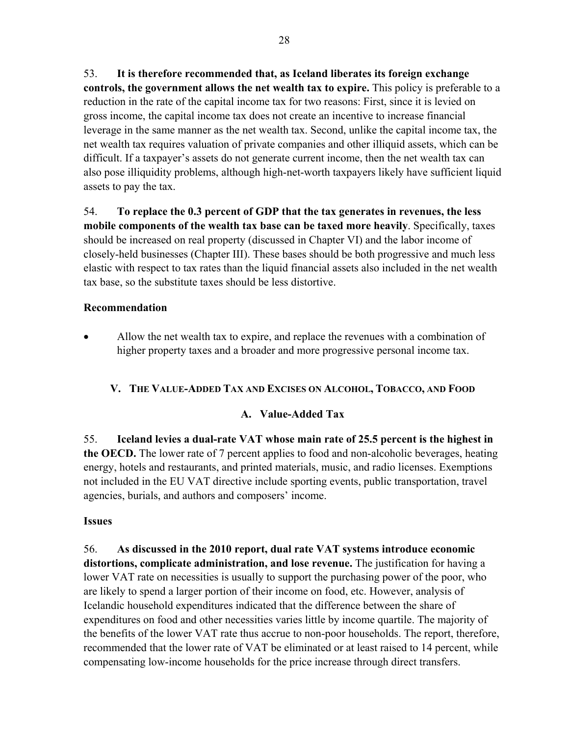53. **It is therefore recommended that, as Iceland liberates its foreign exchange controls, the government allows the net wealth tax to expire.** This policy is preferable to a reduction in the rate of the capital income tax for two reasons: First, since it is levied on gross income, the capital income tax does not create an incentive to increase financial leverage in the same manner as the net wealth tax. Second, unlike the capital income tax, the net wealth tax requires valuation of private companies and other illiquid assets, which can be difficult. If a taxpayer's assets do not generate current income, then the net wealth tax can also pose illiquidity problems, although high-net-worth taxpayers likely have sufficient liquid assets to pay the tax.

54. **To replace the 0.3 percent of GDP that the tax generates in revenues, the less mobile components of the wealth tax base can be taxed more heavily**. Specifically, taxes should be increased on real property (discussed in Chapter VI) and the labor income of closely-held businesses (Chapter III). These bases should be both progressive and much less elastic with respect to tax rates than the liquid financial assets also included in the net wealth tax base, so the substitute taxes should be less distortive.

#### **Recommendation**

 Allow the net wealth tax to expire, and replace the revenues with a combination of higher property taxes and a broader and more progressive personal income tax.

# **V. THE VALUE-ADDED TAX AND EXCISES ON ALCOHOL, TOBACCO, AND FOOD**

# **A. Value-Added Tax**

55. **Iceland levies a dual-rate VAT whose main rate of 25.5 percent is the highest in the OECD.** The lower rate of 7 percent applies to food and non-alcoholic beverages, heating energy, hotels and restaurants, and printed materials, music, and radio licenses. Exemptions not included in the EU VAT directive include sporting events, public transportation, travel agencies, burials, and authors and composers' income.

# **Issues**

56. **As discussed in the 2010 report, dual rate VAT systems introduce economic distortions, complicate administration, and lose revenue.** The justification for having a lower VAT rate on necessities is usually to support the purchasing power of the poor, who are likely to spend a larger portion of their income on food, etc. However, analysis of Icelandic household expenditures indicated that the difference between the share of expenditures on food and other necessities varies little by income quartile. The majority of the benefits of the lower VAT rate thus accrue to non-poor households. The report, therefore, recommended that the lower rate of VAT be eliminated or at least raised to 14 percent, while compensating low-income households for the price increase through direct transfers.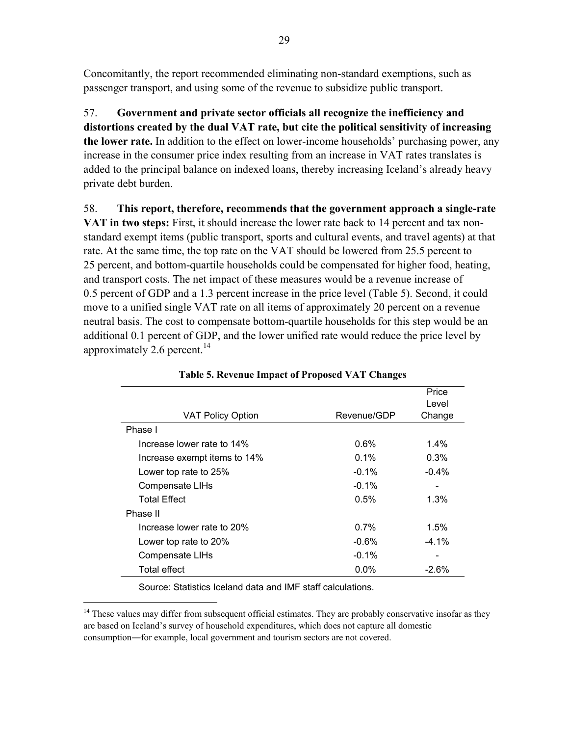Concomitantly, the report recommended eliminating non-standard exemptions, such as passenger transport, and using some of the revenue to subsidize public transport.

57. **Government and private sector officials all recognize the inefficiency and distortions created by the dual VAT rate, but cite the political sensitivity of increasing the lower rate.** In addition to the effect on lower-income households' purchasing power, any increase in the consumer price index resulting from an increase in VAT rates translates is added to the principal balance on indexed loans, thereby increasing Iceland's already heavy private debt burden.

58. **This report, therefore, recommends that the government approach a single-rate** 

**VAT in two steps:** First, it should increase the lower rate back to 14 percent and tax nonstandard exempt items (public transport, sports and cultural events, and travel agents) at that rate. At the same time, the top rate on the VAT should be lowered from 25.5 percent to 25 percent, and bottom-quartile households could be compensated for higher food, heating, and transport costs. The net impact of these measures would be a revenue increase of 0.5 percent of GDP and a 1.3 percent increase in the price level (Table 5). Second, it could move to a unified single VAT rate on all items of approximately 20 percent on a revenue neutral basis. The cost to compensate bottom-quartile households for this step would be an additional 0.1 percent of GDP, and the lower unified rate would reduce the price level by approximately 2.6 percent.<sup>14</sup>

| <b>VAT Policy Option</b>     | Revenue/GDP | Price<br>Level<br>Change |
|------------------------------|-------------|--------------------------|
| Phase I                      |             |                          |
| Increase lower rate to 14%   | $0.6\%$     | $1.4\%$                  |
| Increase exempt items to 14% | $0.1\%$     | 0.3%                     |
| Lower top rate to 25%        | $-0.1\%$    | $-0.4%$                  |
| <b>Compensate LIHs</b>       | $-0.1%$     | -                        |
| Total Effect                 | 0.5%        | $1.3\%$                  |
| Phase II                     |             |                          |
| Increase lower rate to 20%   | 0.7%        | $1.5\%$                  |
| Lower top rate to 20%        | $-0.6\%$    | $-4.1\%$                 |
| <b>Compensate LIHs</b>       | $-0.1\%$    |                          |
| Total effect                 | $0.0\%$     | $-2.6%$                  |

**Table 5. Revenue Impact of Proposed VAT Changes** 

Source: Statistics Iceland data and IMF staff calculations.

 $\overline{a}$ 

<sup>&</sup>lt;sup>14</sup> These values may differ from subsequent official estimates. They are probably conservative insofar as they are based on Iceland's survey of household expenditures, which does not capture all domestic consumption―for example, local government and tourism sectors are not covered.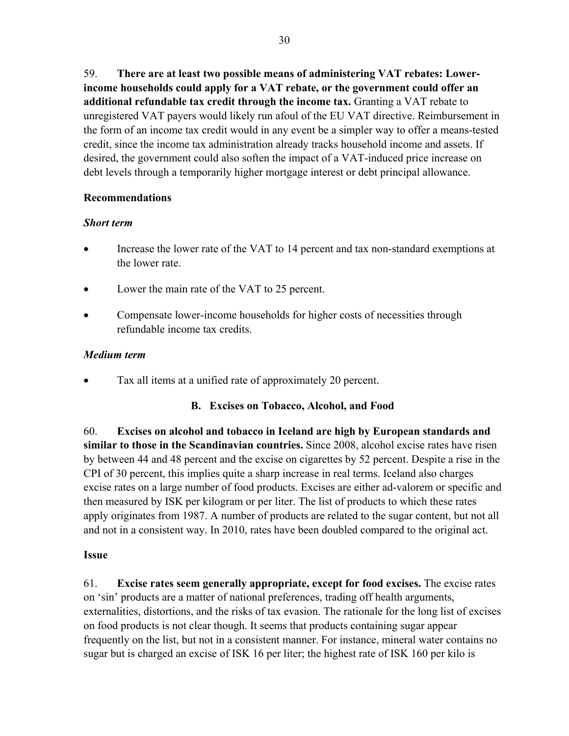59. **There are at least two possible means of administering VAT rebates: Lowerincome households could apply for a VAT rebate, or the government could offer an additional refundable tax credit through the income tax.** Granting a VAT rebate to unregistered VAT payers would likely run afoul of the EU VAT directive. Reimbursement in the form of an income tax credit would in any event be a simpler way to offer a means-tested credit, since the income tax administration already tracks household income and assets. If desired, the government could also soften the impact of a VAT-induced price increase on debt levels through a temporarily higher mortgage interest or debt principal allowance.

## **Recommendations**

## *Short term*

- Increase the lower rate of the VAT to 14 percent and tax non-standard exemptions at the lower rate.
- Lower the main rate of the VAT to 25 percent.
- Compensate lower-income households for higher costs of necessities through refundable income tax credits.

# *Medium term*

Tax all items at a unified rate of approximately 20 percent.

# **B. Excises on Tobacco, Alcohol, and Food**

60. **Excises on alcohol and tobacco in Iceland are high by European standards and similar to those in the Scandinavian countries.** Since 2008, alcohol excise rates have risen by between 44 and 48 percent and the excise on cigarettes by 52 percent. Despite a rise in the CPI of 30 percent, this implies quite a sharp increase in real terms. Iceland also charges excise rates on a large number of food products. Excises are either ad-valorem or specific and then measured by ISK per kilogram or per liter. The list of products to which these rates apply originates from 1987. A number of products are related to the sugar content, but not all and not in a consistent way. In 2010, rates have been doubled compared to the original act.

# **Issue**

61. **Excise rates seem generally appropriate, except for food excises.** The excise rates on 'sin' products are a matter of national preferences, trading off health arguments, externalities, distortions, and the risks of tax evasion. The rationale for the long list of excises on food products is not clear though. It seems that products containing sugar appear frequently on the list, but not in a consistent manner. For instance, mineral water contains no sugar but is charged an excise of ISK 16 per liter; the highest rate of ISK 160 per kilo is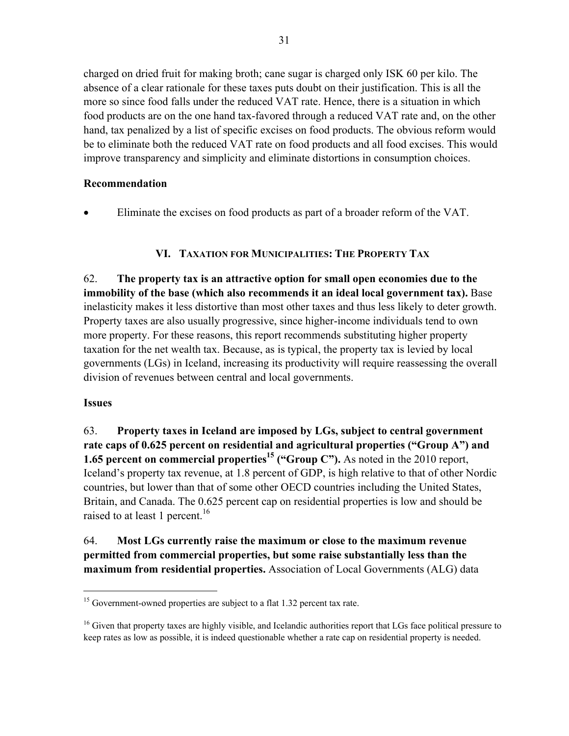charged on dried fruit for making broth; cane sugar is charged only ISK 60 per kilo. The absence of a clear rationale for these taxes puts doubt on their justification. This is all the more so since food falls under the reduced VAT rate. Hence, there is a situation in which food products are on the one hand tax-favored through a reduced VAT rate and, on the other hand, tax penalized by a list of specific excises on food products. The obvious reform would be to eliminate both the reduced VAT rate on food products and all food excises. This would improve transparency and simplicity and eliminate distortions in consumption choices.

# **Recommendation**

Eliminate the excises on food products as part of a broader reform of the VAT.

# **VI. TAXATION FOR MUNICIPALITIES: THE PROPERTY TAX**

62. **The property tax is an attractive option for small open economies due to the immobility of the base (which also recommends it an ideal local government tax).** Base inelasticity makes it less distortive than most other taxes and thus less likely to deter growth. Property taxes are also usually progressive, since higher-income individuals tend to own more property. For these reasons, this report recommends substituting higher property taxation for the net wealth tax. Because, as is typical, the property tax is levied by local governments (LGs) in Iceland, increasing its productivity will require reassessing the overall division of revenues between central and local governments.

#### **Issues**

 $\overline{a}$ 

63. **Property taxes in Iceland are imposed by LGs, subject to central government rate caps of 0.625 percent on residential and agricultural properties ("Group A") and 1.65 percent on commercial properties<sup>15</sup> ("Group C").** As noted in the 2010 report, Iceland's property tax revenue, at 1.8 percent of GDP, is high relative to that of other Nordic countries, but lower than that of some other OECD countries including the United States, Britain, and Canada. The 0.625 percent cap on residential properties is low and should be raised to at least 1 percent.<sup>16</sup>

64. **Most LGs currently raise the maximum or close to the maximum revenue permitted from commercial properties, but some raise substantially less than the maximum from residential properties.** Association of Local Governments (ALG) data

 $15$  Government-owned properties are subject to a flat 1.32 percent tax rate.

 $16$  Given that property taxes are highly visible, and Icelandic authorities report that LGs face political pressure to keep rates as low as possible, it is indeed questionable whether a rate cap on residential property is needed.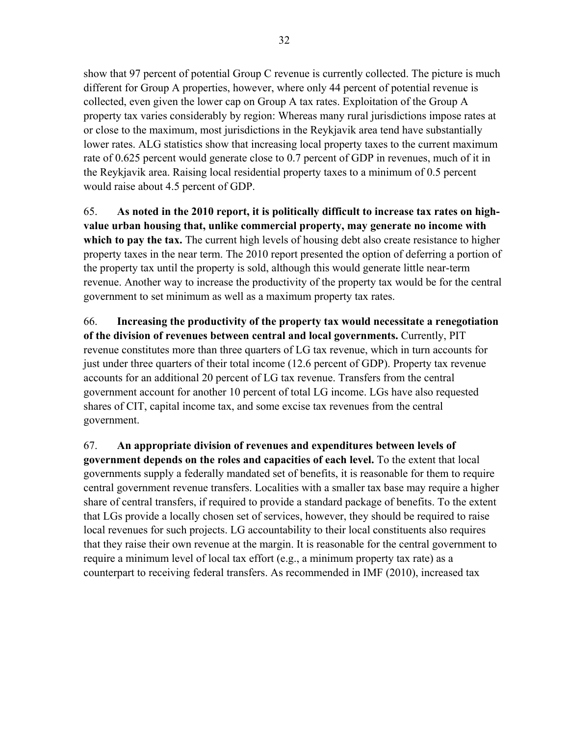show that 97 percent of potential Group C revenue is currently collected. The picture is much different for Group A properties, however, where only 44 percent of potential revenue is collected, even given the lower cap on Group A tax rates. Exploitation of the Group A property tax varies considerably by region: Whereas many rural jurisdictions impose rates at or close to the maximum, most jurisdictions in the Reykjavik area tend have substantially lower rates. ALG statistics show that increasing local property taxes to the current maximum rate of 0.625 percent would generate close to 0.7 percent of GDP in revenues, much of it in the Reykjavik area. Raising local residential property taxes to a minimum of 0.5 percent would raise about 4.5 percent of GDP.

65. **As noted in the 2010 report, it is politically difficult to increase tax rates on highvalue urban housing that, unlike commercial property, may generate no income with which to pay the tax.** The current high levels of housing debt also create resistance to higher property taxes in the near term. The 2010 report presented the option of deferring a portion of the property tax until the property is sold, although this would generate little near-term revenue. Another way to increase the productivity of the property tax would be for the central government to set minimum as well as a maximum property tax rates.

66. **Increasing the productivity of the property tax would necessitate a renegotiation of the division of revenues between central and local governments.** Currently, PIT revenue constitutes more than three quarters of LG tax revenue, which in turn accounts for just under three quarters of their total income (12.6 percent of GDP). Property tax revenue accounts for an additional 20 percent of LG tax revenue. Transfers from the central government account for another 10 percent of total LG income. LGs have also requested shares of CIT, capital income tax, and some excise tax revenues from the central government.

67. **An appropriate division of revenues and expenditures between levels of government depends on the roles and capacities of each level.** To the extent that local governments supply a federally mandated set of benefits, it is reasonable for them to require central government revenue transfers. Localities with a smaller tax base may require a higher share of central transfers, if required to provide a standard package of benefits. To the extent that LGs provide a locally chosen set of services, however, they should be required to raise local revenues for such projects. LG accountability to their local constituents also requires that they raise their own revenue at the margin. It is reasonable for the central government to require a minimum level of local tax effort (e.g., a minimum property tax rate) as a counterpart to receiving federal transfers. As recommended in IMF (2010), increased tax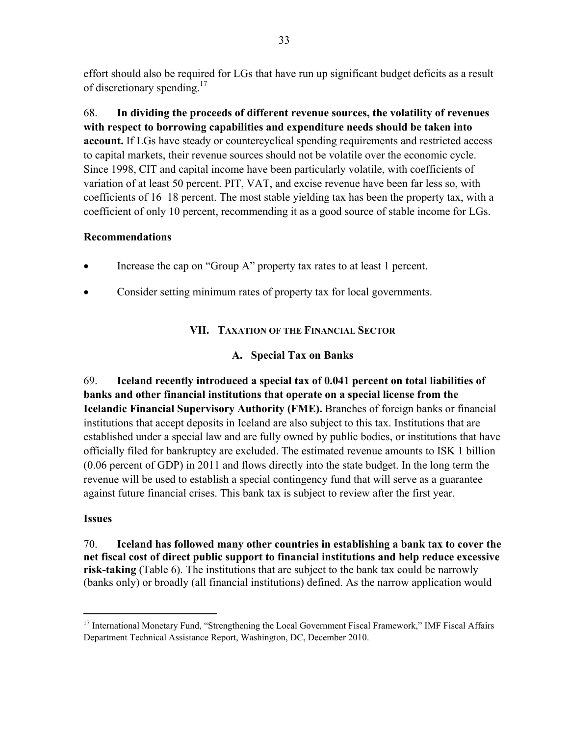effort should also be required for LGs that have run up significant budget deficits as a result of discretionary spending.<sup>17</sup>

68. **In dividing the proceeds of different revenue sources, the volatility of revenues with respect to borrowing capabilities and expenditure needs should be taken into account.** If LGs have steady or countercyclical spending requirements and restricted access to capital markets, their revenue sources should not be volatile over the economic cycle. Since 1998, CIT and capital income have been particularly volatile, with coefficients of variation of at least 50 percent. PIT, VAT, and excise revenue have been far less so, with coefficients of 16–18 percent. The most stable yielding tax has been the property tax, with a coefficient of only 10 percent, recommending it as a good source of stable income for LGs.

## **Recommendations**

- Increase the cap on "Group A" property tax rates to at least 1 percent.
- Consider setting minimum rates of property tax for local governments.

# **VII. TAXATION OF THE FINANCIAL SECTOR**

# **A. Special Tax on Banks**

69. **Iceland recently introduced a special tax of 0.041 percent on total liabilities of banks and other financial institutions that operate on a special license from the Icelandic Financial Supervisory Authority (FME).** Branches of foreign banks or financial institutions that accept deposits in Iceland are also subject to this tax. Institutions that are established under a special law and are fully owned by public bodies, or institutions that have officially filed for bankruptcy are excluded. The estimated revenue amounts to ISK 1 billion (0.06 percent of GDP) in 2011 and flows directly into the state budget. In the long term the revenue will be used to establish a special contingency fund that will serve as a guarantee against future financial crises. This bank tax is subject to review after the first year.

# **Issues**

 $\overline{a}$ 

70. **Iceland has followed many other countries in establishing a bank tax to cover the net fiscal cost of direct public support to financial institutions and help reduce excessive risk-taking** (Table 6). The institutions that are subject to the bank tax could be narrowly (banks only) or broadly (all financial institutions) defined. As the narrow application would

<sup>&</sup>lt;sup>17</sup> International Monetary Fund, "Strengthening the Local Government Fiscal Framework," IMF Fiscal Affairs Department Technical Assistance Report, Washington, DC, December 2010.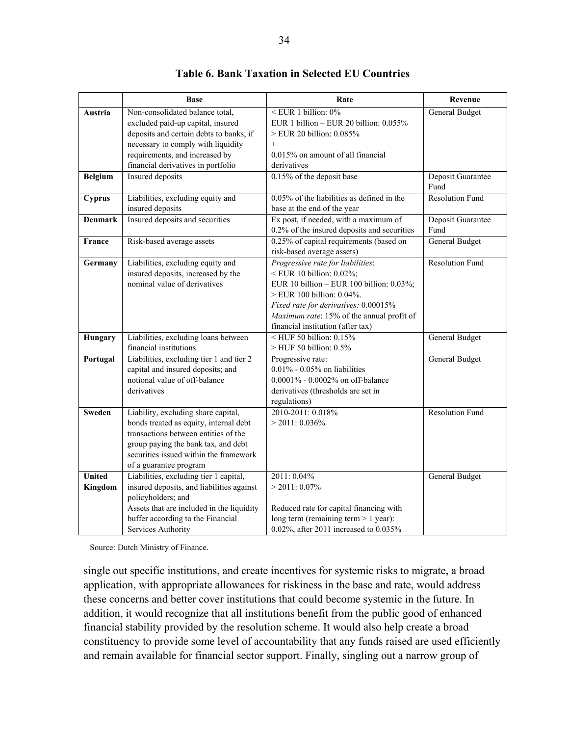|                          | <b>Base</b>                                                                                                                                                                                                                      | Rate                                                                                                                                                                                                                                                                  | Revenue                   |
|--------------------------|----------------------------------------------------------------------------------------------------------------------------------------------------------------------------------------------------------------------------------|-----------------------------------------------------------------------------------------------------------------------------------------------------------------------------------------------------------------------------------------------------------------------|---------------------------|
| Austria                  | Non-consolidated balance total,<br>excluded paid-up capital, insured<br>deposits and certain debts to banks, if                                                                                                                  | <eur 0%<br="" 1="" billion:="">EUR 1 billion - EUR 20 billion: <math>0.055\%</math><br/>&gt; EUR 20 billion: 0.085%</eur>                                                                                                                                             | <b>General Budget</b>     |
|                          | necessary to comply with liquidity<br>requirements, and increased by<br>financial derivatives in portfolio                                                                                                                       | $+$<br>$0.015\%$ on amount of all financial<br>derivatives                                                                                                                                                                                                            |                           |
| <b>Belgium</b>           | <b>Insured</b> deposits                                                                                                                                                                                                          | 0.15% of the deposit base                                                                                                                                                                                                                                             | Deposit Guarantee<br>Fund |
| Cyprus                   | Liabilities, excluding equity and<br>insured deposits                                                                                                                                                                            | $0.05\%$ of the liabilities as defined in the<br>base at the end of the year                                                                                                                                                                                          | <b>Resolution Fund</b>    |
| <b>Denmark</b>           | Insured deposits and securities                                                                                                                                                                                                  | Ex post, if needed, with a maximum of<br>0.2% of the insured deposits and securities                                                                                                                                                                                  | Deposit Guarantee<br>Fund |
| France                   | Risk-based average assets                                                                                                                                                                                                        | 0.25% of capital requirements (based on<br>risk-based average assets)                                                                                                                                                                                                 | <b>General Budget</b>     |
| Germany                  | Liabilities, excluding equity and<br>insured deposits, increased by the<br>nominal value of derivatives                                                                                                                          | Progressive rate for liabilities:<br>$\leq$ EUR 10 billion: 0.02%;<br>EUR 10 billion - EUR 100 billion: 0.03%;<br>> EUR 100 billion: 0.04%.<br>Fixed rate for derivatives: 0.00015%<br>Maximum rate: 15% of the annual profit of<br>financial institution (after tax) | <b>Resolution Fund</b>    |
| Hungary                  | Liabilities, excluding loans between<br>financial institutions                                                                                                                                                                   | $\leq$ HUF 50 billion: 0.15%<br>$>$ HUF 50 billion: $0.5\%$                                                                                                                                                                                                           | <b>General Budget</b>     |
| Portugal                 | Liabilities, excluding tier 1 and tier 2<br>capital and insured deposits; and<br>notional value of off-balance<br>derivatives                                                                                                    | Progressive rate:<br>$0.01\%$ - $0.05\%$ on liabilities<br>0.0001% - 0.0002% on off-balance<br>derivatives (thresholds are set in<br>regulations)                                                                                                                     | <b>General Budget</b>     |
| <b>Sweden</b>            | Liability, excluding share capital,<br>bonds treated as equity, internal debt<br>transactions between entities of the<br>group paying the bank tax, and debt<br>securities issued within the framework<br>of a guarantee program | 2010-2011: 0.018%<br>$>$ 2011: 0.036%                                                                                                                                                                                                                                 | <b>Resolution Fund</b>    |
| <b>United</b><br>Kingdom | Liabilities, excluding tier 1 capital,<br>insured deposits, and liabilities against<br>policyholders; and<br>Assets that are included in the liquidity<br>buffer according to the Financial<br>Services Authority                | 2011: 0.04%<br>$>$ 2011: 0.07%<br>Reduced rate for capital financing with<br>long term (remaining term $> 1$ year):<br>0.02%, after 2011 increased to 0.035%                                                                                                          | <b>General Budget</b>     |

#### **Table 6. Bank Taxation in Selected EU Countries**

Source: Dutch Ministry of Finance.

single out specific institutions, and create incentives for systemic risks to migrate, a broad application, with appropriate allowances for riskiness in the base and rate, would address these concerns and better cover institutions that could become systemic in the future. In addition, it would recognize that all institutions benefit from the public good of enhanced financial stability provided by the resolution scheme. It would also help create a broad constituency to provide some level of accountability that any funds raised are used efficiently and remain available for financial sector support. Finally, singling out a narrow group of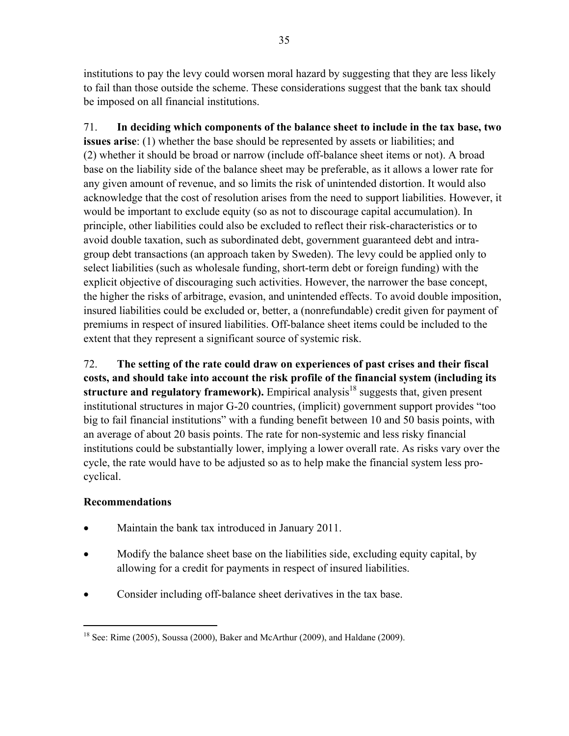institutions to pay the levy could worsen moral hazard by suggesting that they are less likely to fail than those outside the scheme. These considerations suggest that the bank tax should be imposed on all financial institutions.

71. **In deciding which components of the balance sheet to include in the tax base, two issues arise**: (1) whether the base should be represented by assets or liabilities; and (2) whether it should be broad or narrow (include off-balance sheet items or not). A broad base on the liability side of the balance sheet may be preferable, as it allows a lower rate for any given amount of revenue, and so limits the risk of unintended distortion. It would also acknowledge that the cost of resolution arises from the need to support liabilities. However, it would be important to exclude equity (so as not to discourage capital accumulation). In principle, other liabilities could also be excluded to reflect their risk-characteristics or to avoid double taxation, such as subordinated debt, government guaranteed debt and intragroup debt transactions (an approach taken by Sweden). The levy could be applied only to select liabilities (such as wholesale funding, short-term debt or foreign funding) with the explicit objective of discouraging such activities. However, the narrower the base concept, the higher the risks of arbitrage, evasion, and unintended effects. To avoid double imposition, insured liabilities could be excluded or, better, a (nonrefundable) credit given for payment of premiums in respect of insured liabilities. Off-balance sheet items could be included to the extent that they represent a significant source of systemic risk.

72. **The setting of the rate could draw on experiences of past crises and their fiscal costs, and should take into account the risk profile of the financial system (including its**  structure and regulatory framework). Empirical analysis<sup>18</sup> suggests that, given present institutional structures in major G-20 countries, (implicit) government support provides "too big to fail financial institutions" with a funding benefit between 10 and 50 basis points, with an average of about 20 basis points. The rate for non-systemic and less risky financial institutions could be substantially lower, implying a lower overall rate. As risks vary over the cycle, the rate would have to be adjusted so as to help make the financial system less procyclical.

# **Recommendations**

 $\overline{a}$ 

- Maintain the bank tax introduced in January 2011.
- Modify the balance sheet base on the liabilities side, excluding equity capital, by allowing for a credit for payments in respect of insured liabilities.
- Consider including off-balance sheet derivatives in the tax base.

 $18$  See: Rime (2005), Soussa (2000), Baker and McArthur (2009), and Haldane (2009).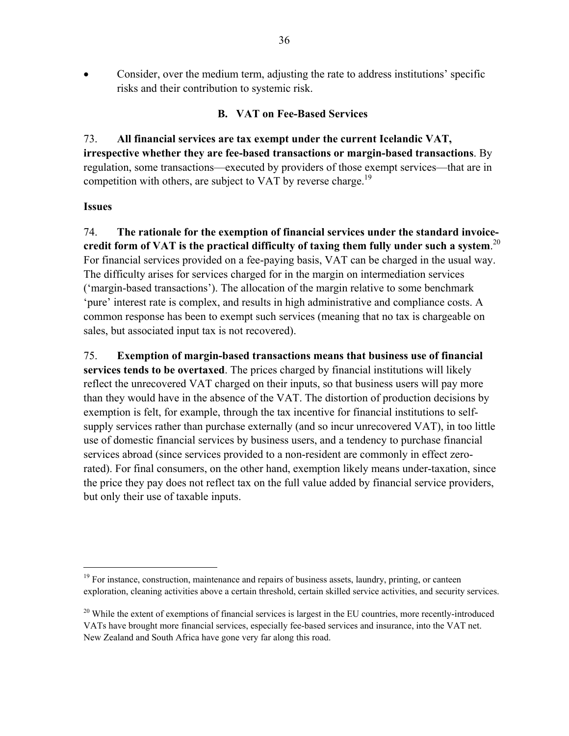Consider, over the medium term, adjusting the rate to address institutions' specific risks and their contribution to systemic risk.

#### **B. VAT on Fee-Based Services**

73. **All financial services are tax exempt under the current Icelandic VAT, irrespective whether they are fee-based transactions or margin-based transactions**. By regulation, some transactions—executed by providers of those exempt services—that are in competition with others, are subject to VAT by reverse charge.<sup>19</sup>

#### **Issues**

<u>.</u>

74. **The rationale for the exemption of financial services under the standard invoicecredit form of VAT is the practical difficulty of taxing them fully under such a system**. 20 For financial services provided on a fee-paying basis, VAT can be charged in the usual way. The difficulty arises for services charged for in the margin on intermediation services ('margin-based transactions'). The allocation of the margin relative to some benchmark 'pure' interest rate is complex, and results in high administrative and compliance costs. A common response has been to exempt such services (meaning that no tax is chargeable on sales, but associated input tax is not recovered).

75. **Exemption of margin-based transactions means that business use of financial services tends to be overtaxed**. The prices charged by financial institutions will likely reflect the unrecovered VAT charged on their inputs, so that business users will pay more than they would have in the absence of the VAT. The distortion of production decisions by exemption is felt, for example, through the tax incentive for financial institutions to selfsupply services rather than purchase externally (and so incur unrecovered VAT), in too little use of domestic financial services by business users, and a tendency to purchase financial services abroad (since services provided to a non-resident are commonly in effect zerorated). For final consumers, on the other hand, exemption likely means under-taxation, since the price they pay does not reflect tax on the full value added by financial service providers, but only their use of taxable inputs.

 $19$  For instance, construction, maintenance and repairs of business assets, laundry, printing, or canteen exploration, cleaning activities above a certain threshold, certain skilled service activities, and security services.

 $20$  While the extent of exemptions of financial services is largest in the EU countries, more recently-introduced VATs have brought more financial services, especially fee-based services and insurance, into the VAT net. New Zealand and South Africa have gone very far along this road.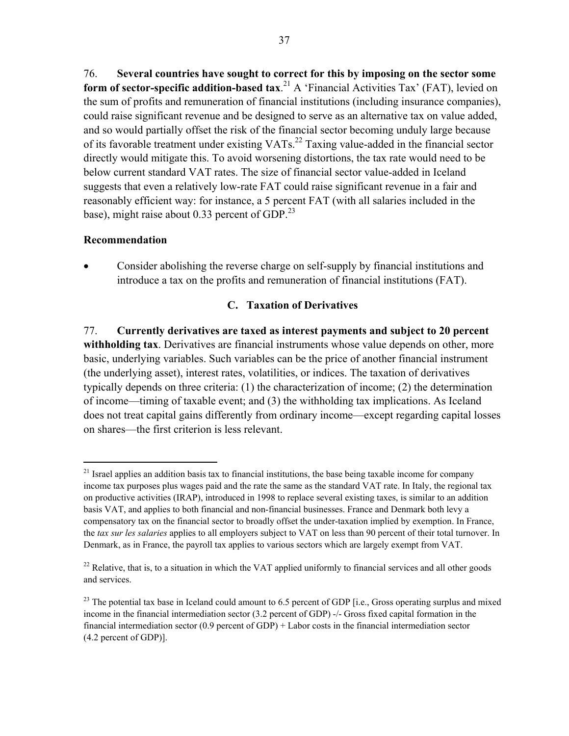76. **Several countries have sought to correct for this by imposing on the sector some form of sector-specific addition-based tax.**<sup>21</sup> A 'Financial Activities Tax' (FAT), levied on the sum of profits and remuneration of financial institutions (including insurance companies), could raise significant revenue and be designed to serve as an alternative tax on value added, and so would partially offset the risk of the financial sector becoming unduly large because of its favorable treatment under existing  $VATs$ <sup>22</sup> Taxing value-added in the financial sector directly would mitigate this. To avoid worsening distortions, the tax rate would need to be below current standard VAT rates. The size of financial sector value-added in Iceland suggests that even a relatively low-rate FAT could raise significant revenue in a fair and reasonably efficient way: for instance, a 5 percent FAT (with all salaries included in the base), might raise about 0.33 percent of GDP. $^{23}$ 

### **Recommendation**

 $\overline{a}$ 

 Consider abolishing the reverse charge on self-supply by financial institutions and introduce a tax on the profits and remuneration of financial institutions (FAT).

# **C. Taxation of Derivatives**

77. **Currently derivatives are taxed as interest payments and subject to 20 percent withholding tax**. Derivatives are financial instruments whose value depends on other, more basic, underlying variables. Such variables can be the price of another financial instrument (the underlying asset), interest rates, volatilities, or indices. The taxation of derivatives typically depends on three criteria: (1) the characterization of income; (2) the determination of income—timing of taxable event; and (3) the withholding tax implications. As Iceland does not treat capital gains differently from ordinary income—except regarding capital losses on shares—the first criterion is less relevant.

<sup>&</sup>lt;sup>21</sup> Israel applies an addition basis tax to financial institutions, the base being taxable income for company income tax purposes plus wages paid and the rate the same as the standard VAT rate. In Italy, the regional tax on productive activities (IRAP), introduced in 1998 to replace several existing taxes, is similar to an addition basis VAT, and applies to both financial and non-financial businesses. France and Denmark both levy a compensatory tax on the financial sector to broadly offset the under-taxation implied by exemption. In France, the *tax sur les salaries* applies to all employers subject to VAT on less than 90 percent of their total turnover. In Denmark, as in France, the payroll tax applies to various sectors which are largely exempt from VAT.

 $22$  Relative, that is, to a situation in which the VAT applied uniformly to financial services and all other goods and services.

<sup>&</sup>lt;sup>23</sup> The potential tax base in Iceland could amount to 6.5 percent of GDP [i.e., Gross operating surplus and mixed income in the financial intermediation sector (3.2 percent of GDP) -/- Gross fixed capital formation in the financial intermediation sector (0.9 percent of GDP) + Labor costs in the financial intermediation sector (4.2 percent of GDP)].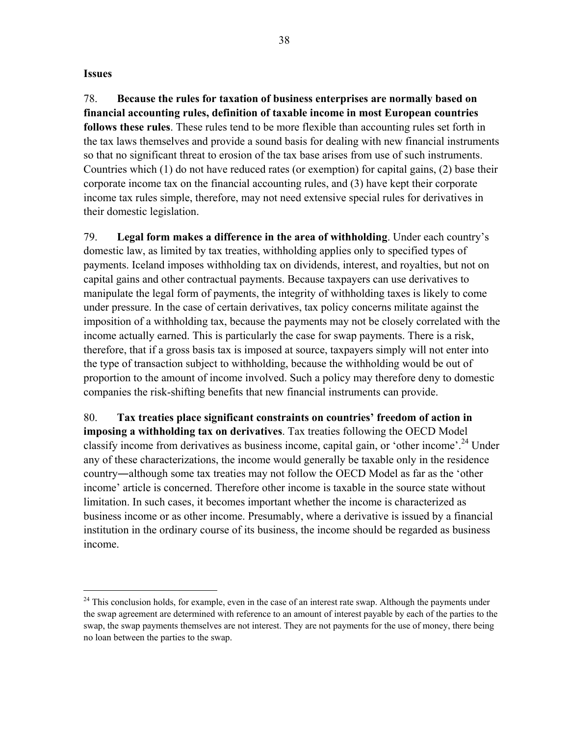#### **Issues**

1

78. **Because the rules for taxation of business enterprises are normally based on financial accounting rules, definition of taxable income in most European countries follows these rules**. These rules tend to be more flexible than accounting rules set forth in the tax laws themselves and provide a sound basis for dealing with new financial instruments so that no significant threat to erosion of the tax base arises from use of such instruments. Countries which (1) do not have reduced rates (or exemption) for capital gains, (2) base their corporate income tax on the financial accounting rules, and (3) have kept their corporate income tax rules simple, therefore, may not need extensive special rules for derivatives in their domestic legislation.

79. **Legal form makes a difference in the area of withholding**. Under each country's domestic law, as limited by tax treaties, withholding applies only to specified types of payments. Iceland imposes withholding tax on dividends, interest, and royalties, but not on capital gains and other contractual payments. Because taxpayers can use derivatives to manipulate the legal form of payments, the integrity of withholding taxes is likely to come under pressure. In the case of certain derivatives, tax policy concerns militate against the imposition of a withholding tax, because the payments may not be closely correlated with the income actually earned. This is particularly the case for swap payments. There is a risk, therefore, that if a gross basis tax is imposed at source, taxpayers simply will not enter into the type of transaction subject to withholding, because the withholding would be out of proportion to the amount of income involved. Such a policy may therefore deny to domestic companies the risk-shifting benefits that new financial instruments can provide.

80. **Tax treaties place significant constraints on countries' freedom of action in imposing a withholding tax on derivatives**. Tax treaties following the OECD Model classify income from derivatives as business income, capital gain, or 'other income'.<sup>24</sup> Under any of these characterizations, the income would generally be taxable only in the residence country―although some tax treaties may not follow the OECD Model as far as the 'other income' article is concerned. Therefore other income is taxable in the source state without limitation. In such cases, it becomes important whether the income is characterized as business income or as other income. Presumably, where a derivative is issued by a financial institution in the ordinary course of its business, the income should be regarded as business income.

<sup>&</sup>lt;sup>24</sup> This conclusion holds, for example, even in the case of an interest rate swap. Although the payments under the swap agreement are determined with reference to an amount of interest payable by each of the parties to the swap, the swap payments themselves are not interest. They are not payments for the use of money, there being no loan between the parties to the swap.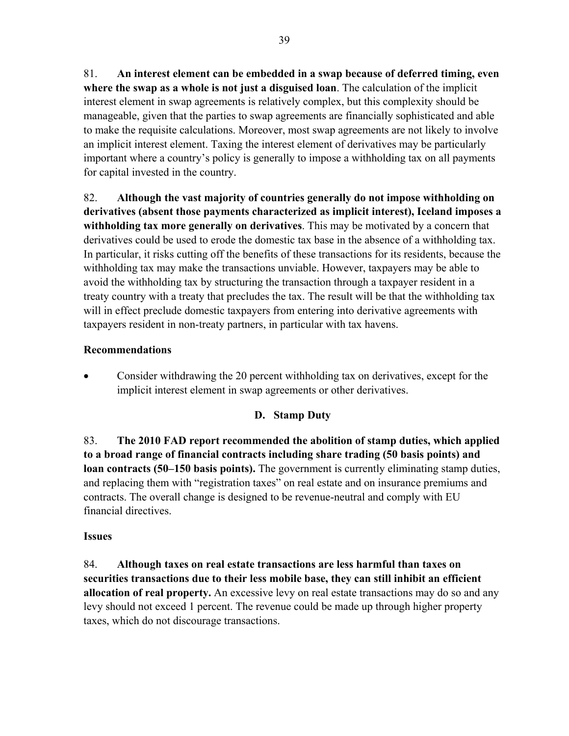81. **An interest element can be embedded in a swap because of deferred timing, even where the swap as a whole is not just a disguised loan**. The calculation of the implicit interest element in swap agreements is relatively complex, but this complexity should be manageable, given that the parties to swap agreements are financially sophisticated and able to make the requisite calculations. Moreover, most swap agreements are not likely to involve an implicit interest element. Taxing the interest element of derivatives may be particularly important where a country's policy is generally to impose a withholding tax on all payments for capital invested in the country.

82. **Although the vast majority of countries generally do not impose withholding on derivatives (absent those payments characterized as implicit interest), Iceland imposes a withholding tax more generally on derivatives**. This may be motivated by a concern that derivatives could be used to erode the domestic tax base in the absence of a withholding tax. In particular, it risks cutting off the benefits of these transactions for its residents, because the withholding tax may make the transactions unviable. However, taxpayers may be able to avoid the withholding tax by structuring the transaction through a taxpayer resident in a treaty country with a treaty that precludes the tax. The result will be that the withholding tax will in effect preclude domestic taxpayers from entering into derivative agreements with taxpayers resident in non-treaty partners, in particular with tax havens.

# **Recommendations**

 Consider withdrawing the 20 percent withholding tax on derivatives, except for the implicit interest element in swap agreements or other derivatives.

# **D. Stamp Duty**

83. **The 2010 FAD report recommended the abolition of stamp duties, which applied to a broad range of financial contracts including share trading (50 basis points) and loan contracts (50–150 basis points).** The government is currently eliminating stamp duties, and replacing them with "registration taxes" on real estate and on insurance premiums and contracts. The overall change is designed to be revenue-neutral and comply with EU financial directives.

### **Issues**

84. **Although taxes on real estate transactions are less harmful than taxes on securities transactions due to their less mobile base, they can still inhibit an efficient allocation of real property.** An excessive levy on real estate transactions may do so and any levy should not exceed 1 percent. The revenue could be made up through higher property taxes, which do not discourage transactions.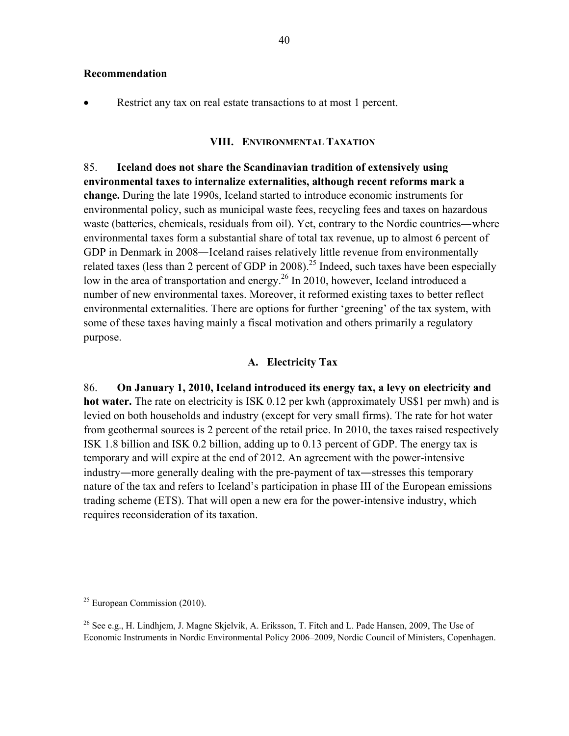#### **Recommendation**

Restrict any tax on real estate transactions to at most 1 percent.

#### **VIII. ENVIRONMENTAL TAXATION**

85. **Iceland does not share the Scandinavian tradition of extensively using environmental taxes to internalize externalities, although recent reforms mark a change.** During the late 1990s, Iceland started to introduce economic instruments for environmental policy, such as municipal waste fees, recycling fees and taxes on hazardous waste (batteries, chemicals, residuals from oil). Yet, contrary to the Nordic countries—where environmental taxes form a substantial share of total tax revenue, up to almost 6 percent of GDP in Denmark in 2008—Iceland raises relatively little revenue from environmentally related taxes (less than 2 percent of GDP in 2008).<sup>25</sup> Indeed, such taxes have been especially low in the area of transportation and energy.<sup>26</sup> In 2010, however, Iceland introduced a number of new environmental taxes. Moreover, it reformed existing taxes to better reflect environmental externalities. There are options for further 'greening' of the tax system, with some of these taxes having mainly a fiscal motivation and others primarily a regulatory purpose.

#### **A. Electricity Tax**

86. **On January 1, 2010, Iceland introduced its energy tax, a levy on electricity and hot water.** The rate on electricity is ISK 0.12 per kwh (approximately US\$1 per mwh) and is levied on both households and industry (except for very small firms). The rate for hot water from geothermal sources is 2 percent of the retail price. In 2010, the taxes raised respectively ISK 1.8 billion and ISK 0.2 billion, adding up to 0.13 percent of GDP. The energy tax is temporary and will expire at the end of 2012. An agreement with the power-intensive industry—more generally dealing with the pre-payment of tax—stresses this temporary nature of the tax and refers to Iceland's participation in phase III of the European emissions trading scheme (ETS). That will open a new era for the power-intensive industry, which requires reconsideration of its taxation.

 $\overline{a}$ 

 $25$  European Commission (2010).

<sup>&</sup>lt;sup>26</sup> See e.g., H. Lindhjem, J. Magne Skjelvik, A. Eriksson, T. Fitch and L. Pade Hansen, 2009. The Use of Economic Instruments in Nordic Environmental Policy 2006–2009, Nordic Council of Ministers, Copenhagen.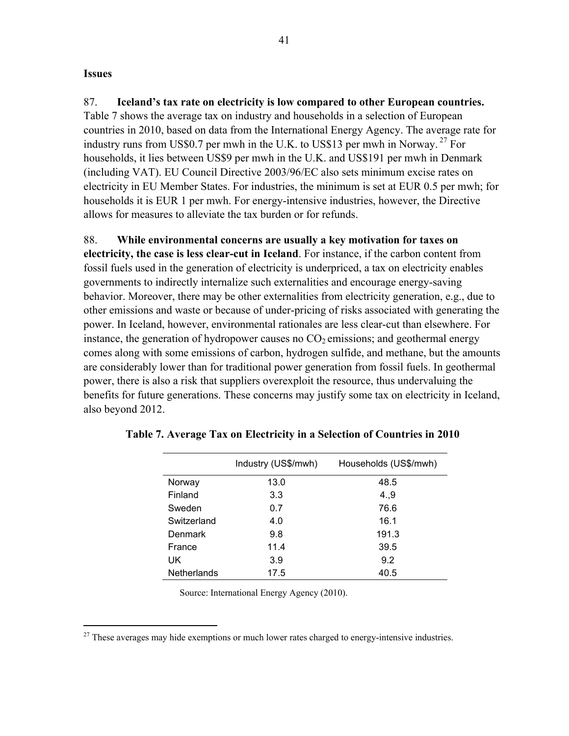#### **Issues**

 $\overline{a}$ 

87. **Iceland's tax rate on electricity is low compared to other European countries.** Table 7 shows the average tax on industry and households in a selection of European countries in 2010, based on data from the International Energy Agency. The average rate for industry runs from US\$0.7 per mwh in the U.K. to US\$13 per mwh in Norway.<sup>27</sup> For households, it lies between US\$9 per mwh in the U.K. and US\$191 per mwh in Denmark (including VAT). EU Council Directive 2003/96/EC also sets minimum excise rates on electricity in EU Member States. For industries, the minimum is set at EUR 0.5 per mwh; for households it is EUR 1 per mwh. For energy-intensive industries, however, the Directive allows for measures to alleviate the tax burden or for refunds.

#### 88. **While environmental concerns are usually a key motivation for taxes on**

**electricity, the case is less clear-cut in Iceland**. For instance, if the carbon content from fossil fuels used in the generation of electricity is underpriced, a tax on electricity enables governments to indirectly internalize such externalities and encourage energy-saving behavior. Moreover, there may be other externalities from electricity generation, e.g., due to other emissions and waste or because of under-pricing of risks associated with generating the power. In Iceland, however, environmental rationales are less clear-cut than elsewhere. For instance, the generation of hydropower causes no  $CO<sub>2</sub>$  emissions; and geothermal energy comes along with some emissions of carbon, hydrogen sulfide, and methane, but the amounts are considerably lower than for traditional power generation from fossil fuels. In geothermal power, there is also a risk that suppliers overexploit the resource, thus undervaluing the benefits for future generations. These concerns may justify some tax on electricity in Iceland, also beyond 2012.

|                    | Industry (US\$/mwh) | Households (US\$/mwh) |
|--------------------|---------------------|-----------------------|
| Norway             | 13.0                | 48.5                  |
| Finland            | 3.3                 | 4.9                   |
| Sweden             | 0.7                 | 76.6                  |
| Switzerland        | 4.0                 | 16.1                  |
| Denmark            | 9.8                 | 191.3                 |
| France             | 11.4                | 39.5                  |
| UK                 | 3.9                 | 9.2                   |
| <b>Netherlands</b> | 17.5                | 40.5                  |

|  |  |  | Table 7. Average Tax on Electricity in a Selection of Countries in 2010 |
|--|--|--|-------------------------------------------------------------------------|
|--|--|--|-------------------------------------------------------------------------|

Source: International Energy Agency (2010).

 $27$  These averages may hide exemptions or much lower rates charged to energy-intensive industries.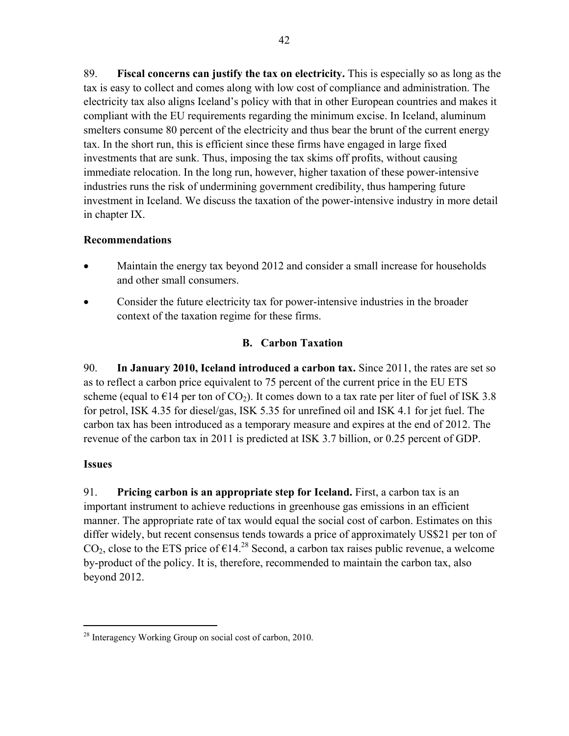89. **Fiscal concerns can justify the tax on electricity.** This is especially so as long as the tax is easy to collect and comes along with low cost of compliance and administration. The electricity tax also aligns Iceland's policy with that in other European countries and makes it compliant with the EU requirements regarding the minimum excise. In Iceland, aluminum smelters consume 80 percent of the electricity and thus bear the brunt of the current energy tax. In the short run, this is efficient since these firms have engaged in large fixed investments that are sunk. Thus, imposing the tax skims off profits, without causing immediate relocation. In the long run, however, higher taxation of these power-intensive industries runs the risk of undermining government credibility, thus hampering future investment in Iceland. We discuss the taxation of the power-intensive industry in more detail in chapter IX.

# **Recommendations**

- Maintain the energy tax beyond 2012 and consider a small increase for households and other small consumers.
- Consider the future electricity tax for power-intensive industries in the broader context of the taxation regime for these firms.

# **B. Carbon Taxation**

90. **In January 2010, Iceland introduced a carbon tax.** Since 2011, the rates are set so as to reflect a carbon price equivalent to 75 percent of the current price in the EU ETS scheme (equal to  $E14$  per ton of  $CO<sub>2</sub>$ ). It comes down to a tax rate per liter of fuel of ISK 3.8 for petrol, ISK 4.35 for diesel/gas, ISK 5.35 for unrefined oil and ISK 4.1 for jet fuel. The carbon tax has been introduced as a temporary measure and expires at the end of 2012. The revenue of the carbon tax in 2011 is predicted at ISK 3.7 billion, or 0.25 percent of GDP.

### **Issues**

 $\overline{a}$ 

91. **Pricing carbon is an appropriate step for Iceland.** First, a carbon tax is an important instrument to achieve reductions in greenhouse gas emissions in an efficient manner. The appropriate rate of tax would equal the social cost of carbon. Estimates on this differ widely, but recent consensus tends towards a price of approximately US\$21 per ton of CO<sub>2</sub>, close to the ETS price of  $\epsilon$ 14<sup>28</sup> Second, a carbon tax raises public revenue, a welcome by-product of the policy. It is, therefore, recommended to maintain the carbon tax, also beyond 2012.

<sup>&</sup>lt;sup>28</sup> Interagency Working Group on social cost of carbon, 2010.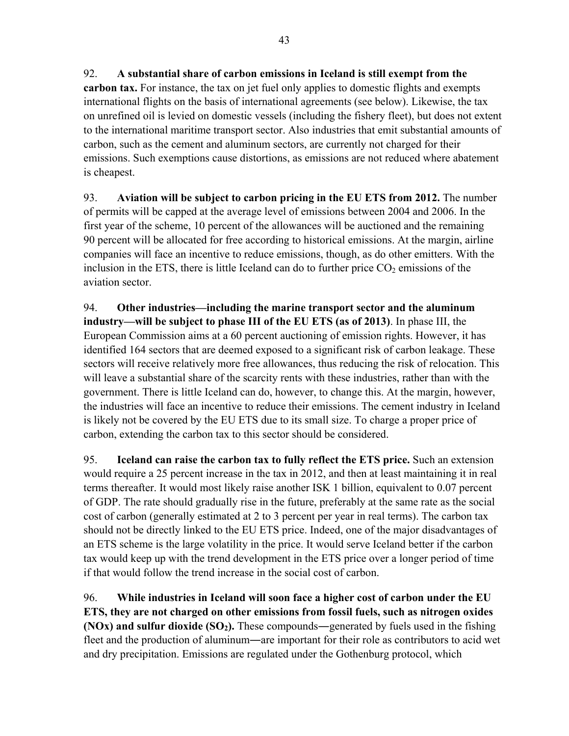**carbon tax.** For instance, the tax on jet fuel only applies to domestic flights and exempts international flights on the basis of international agreements (see below). Likewise, the tax on unrefined oil is levied on domestic vessels (including the fishery fleet), but does not extent to the international maritime transport sector. Also industries that emit substantial amounts of carbon, such as the cement and aluminum sectors, are currently not charged for their emissions. Such exemptions cause distortions, as emissions are not reduced where abatement is cheapest.

93. **Aviation will be subject to carbon pricing in the EU ETS from 2012.** The number of permits will be capped at the average level of emissions between 2004 and 2006. In the first year of the scheme, 10 percent of the allowances will be auctioned and the remaining 90 percent will be allocated for free according to historical emissions. At the margin, airline companies will face an incentive to reduce emissions, though, as do other emitters. With the inclusion in the ETS, there is little Iceland can do to further price  $CO<sub>2</sub>$  emissions of the aviation sector.

94. **Other industries—including the marine transport sector and the aluminum industry—will be subject to phase III of the EU ETS (as of 2013)**. In phase III, the European Commission aims at a 60 percent auctioning of emission rights. However, it has identified 164 sectors that are deemed exposed to a significant risk of carbon leakage. These sectors will receive relatively more free allowances, thus reducing the risk of relocation. This will leave a substantial share of the scarcity rents with these industries, rather than with the government. There is little Iceland can do, however, to change this. At the margin, however, the industries will face an incentive to reduce their emissions. The cement industry in Iceland is likely not be covered by the EU ETS due to its small size. To charge a proper price of carbon, extending the carbon tax to this sector should be considered.

95. **Iceland can raise the carbon tax to fully reflect the ETS price.** Such an extension would require a 25 percent increase in the tax in 2012, and then at least maintaining it in real terms thereafter. It would most likely raise another ISK 1 billion, equivalent to 0.07 percent of GDP. The rate should gradually rise in the future, preferably at the same rate as the social cost of carbon (generally estimated at 2 to 3 percent per year in real terms). The carbon tax should not be directly linked to the EU ETS price. Indeed, one of the major disadvantages of an ETS scheme is the large volatility in the price. It would serve Iceland better if the carbon tax would keep up with the trend development in the ETS price over a longer period of time if that would follow the trend increase in the social cost of carbon.

96. **While industries in Iceland will soon face a higher cost of carbon under the EU ETS, they are not charged on other emissions from fossil fuels, such as nitrogen oxides (NOx) and sulfur dioxide (SO<sub>2</sub>).** These compounds—generated by fuels used in the fishing fleet and the production of aluminum―are important for their role as contributors to acid wet and dry precipitation. Emissions are regulated under the Gothenburg protocol, which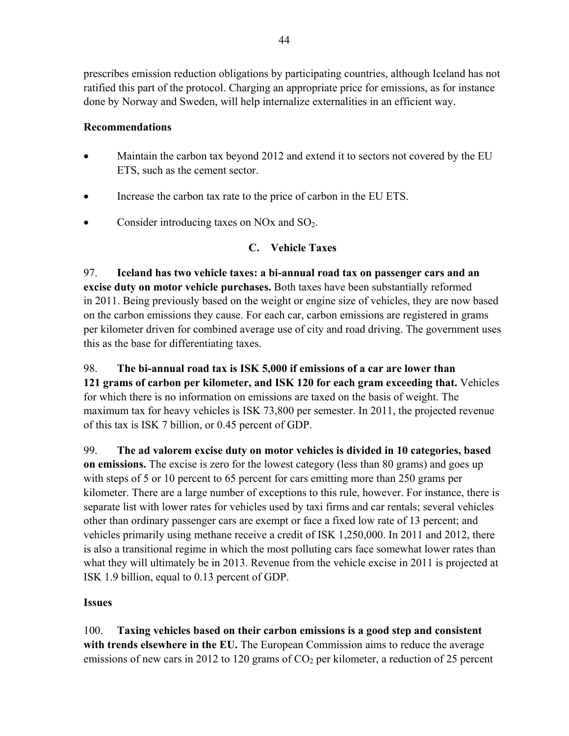prescribes emission reduction obligations by participating countries, although Iceland has not ratified this part of the protocol. Charging an appropriate price for emissions, as for instance done by Norway and Sweden, will help internalize externalities in an efficient way.

### **Recommendations**

- Maintain the carbon tax beyond 2012 and extend it to sectors not covered by the EU ETS, such as the cement sector.
- Increase the carbon tax rate to the price of carbon in the EU ETS.
- Consider introducing taxes on NOx and  $SO<sub>2</sub>$ .

# **C. Vehicle Taxes**

97. **Iceland has two vehicle taxes: a bi-annual road tax on passenger cars and an excise duty on motor vehicle purchases.** Both taxes have been substantially reformed in 2011. Being previously based on the weight or engine size of vehicles, they are now based on the carbon emissions they cause. For each car, carbon emissions are registered in grams per kilometer driven for combined average use of city and road driving. The government uses this as the base for differentiating taxes.

98. **The bi-annual road tax is ISK 5,000 if emissions of a car are lower than 121 grams of carbon per kilometer, and ISK 120 for each gram exceeding that.** Vehicles for which there is no information on emissions are taxed on the basis of weight. The maximum tax for heavy vehicles is ISK 73,800 per semester. In 2011, the projected revenue of this tax is ISK 7 billion, or 0.45 percent of GDP.

99. **The ad valorem excise duty on motor vehicles is divided in 10 categories, based on emissions.** The excise is zero for the lowest category (less than 80 grams) and goes up with steps of 5 or 10 percent to 65 percent for cars emitting more than 250 grams per kilometer. There are a large number of exceptions to this rule, however. For instance, there is separate list with lower rates for vehicles used by taxi firms and car rentals; several vehicles other than ordinary passenger cars are exempt or face a fixed low rate of 13 percent; and vehicles primarily using methane receive a credit of ISK 1,250,000. In 2011 and 2012, there is also a transitional regime in which the most polluting cars face somewhat lower rates than what they will ultimately be in 2013. Revenue from the vehicle excise in 2011 is projected at ISK 1.9 billion, equal to 0.13 percent of GDP.

### **Issues**

100. **Taxing vehicles based on their carbon emissions is a good step and consistent with trends elsewhere in the EU.** The European Commission aims to reduce the average emissions of new cars in 2012 to 120 grams of  $CO<sub>2</sub>$  per kilometer, a reduction of 25 percent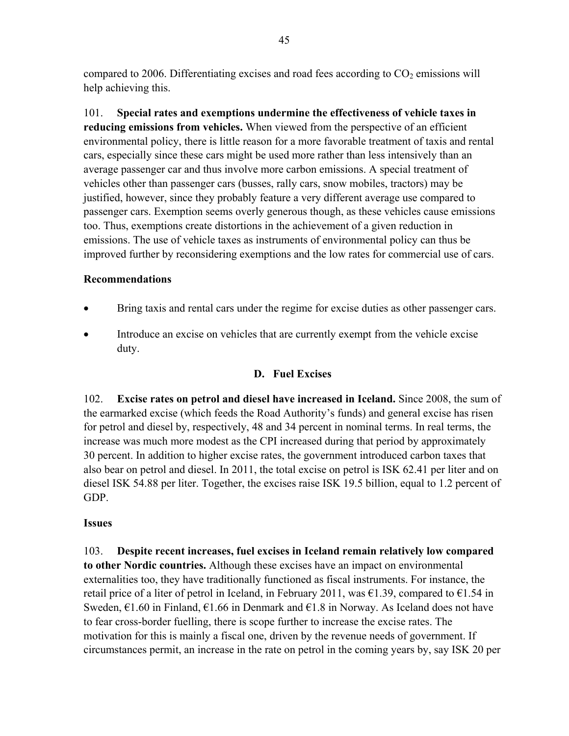compared to 2006. Differentiating excises and road fees according to  $CO<sub>2</sub>$  emissions will help achieving this.

101. **Special rates and exemptions undermine the effectiveness of vehicle taxes in reducing emissions from vehicles.** When viewed from the perspective of an efficient environmental policy, there is little reason for a more favorable treatment of taxis and rental cars, especially since these cars might be used more rather than less intensively than an average passenger car and thus involve more carbon emissions. A special treatment of vehicles other than passenger cars (busses, rally cars, snow mobiles, tractors) may be justified, however, since they probably feature a very different average use compared to passenger cars. Exemption seems overly generous though, as these vehicles cause emissions too. Thus, exemptions create distortions in the achievement of a given reduction in emissions. The use of vehicle taxes as instruments of environmental policy can thus be improved further by reconsidering exemptions and the low rates for commercial use of cars.

### **Recommendations**

- Bring taxis and rental cars under the regime for excise duties as other passenger cars.
- Introduce an excise on vehicles that are currently exempt from the vehicle excise duty.

### **D. Fuel Excises**

102. **Excise rates on petrol and diesel have increased in Iceland.** Since 2008, the sum of the earmarked excise (which feeds the Road Authority's funds) and general excise has risen for petrol and diesel by, respectively, 48 and 34 percent in nominal terms. In real terms, the increase was much more modest as the CPI increased during that period by approximately 30 percent. In addition to higher excise rates, the government introduced carbon taxes that also bear on petrol and diesel. In 2011, the total excise on petrol is ISK 62.41 per liter and on diesel ISK 54.88 per liter. Together, the excises raise ISK 19.5 billion, equal to 1.2 percent of GDP.

### **Issues**

103. **Despite recent increases, fuel excises in Iceland remain relatively low compared to other Nordic countries.** Although these excises have an impact on environmental externalities too, they have traditionally functioned as fiscal instruments. For instance, the retail price of a liter of petrol in Iceland, in February 2011, was  $\epsilon$ 1.39, compared to  $\epsilon$ 1.54 in Sweden,  $\epsilon$ 1.60 in Finland,  $\epsilon$ 1.66 in Denmark and  $\epsilon$ 1.8 in Norway. As Iceland does not have to fear cross-border fuelling, there is scope further to increase the excise rates. The motivation for this is mainly a fiscal one, driven by the revenue needs of government. If circumstances permit, an increase in the rate on petrol in the coming years by, say ISK 20 per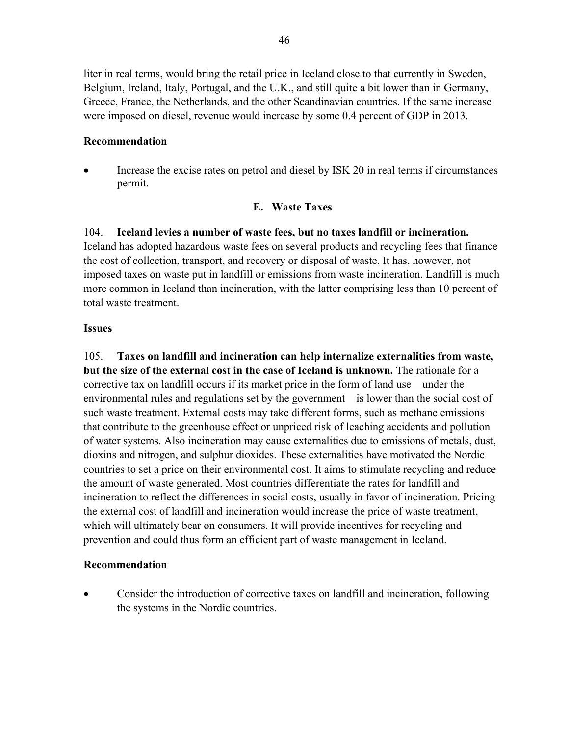liter in real terms, would bring the retail price in Iceland close to that currently in Sweden, Belgium, Ireland, Italy, Portugal, and the U.K., and still quite a bit lower than in Germany, Greece, France, the Netherlands, and the other Scandinavian countries. If the same increase were imposed on diesel, revenue would increase by some 0.4 percent of GDP in 2013.

#### **Recommendation**

 Increase the excise rates on petrol and diesel by ISK 20 in real terms if circumstances permit.

#### **E. Waste Taxes**

#### 104. **Iceland levies a number of waste fees, but no taxes landfill or incineration.**

Iceland has adopted hazardous waste fees on several products and recycling fees that finance the cost of collection, transport, and recovery or disposal of waste. It has, however, not imposed taxes on waste put in landfill or emissions from waste incineration. Landfill is much more common in Iceland than incineration, with the latter comprising less than 10 percent of total waste treatment.

#### **Issues**

105. **Taxes on landfill and incineration can help internalize externalities from waste, but the size of the external cost in the case of Iceland is unknown.** The rationale for a corrective tax on landfill occurs if its market price in the form of land use—under the environmental rules and regulations set by the government—is lower than the social cost of such waste treatment. External costs may take different forms, such as methane emissions that contribute to the greenhouse effect or unpriced risk of leaching accidents and pollution of water systems. Also incineration may cause externalities due to emissions of metals, dust, dioxins and nitrogen, and sulphur dioxides. These externalities have motivated the Nordic countries to set a price on their environmental cost. It aims to stimulate recycling and reduce the amount of waste generated. Most countries differentiate the rates for landfill and incineration to reflect the differences in social costs, usually in favor of incineration. Pricing the external cost of landfill and incineration would increase the price of waste treatment, which will ultimately bear on consumers. It will provide incentives for recycling and prevention and could thus form an efficient part of waste management in Iceland.

#### **Recommendation**

 Consider the introduction of corrective taxes on landfill and incineration, following the systems in the Nordic countries.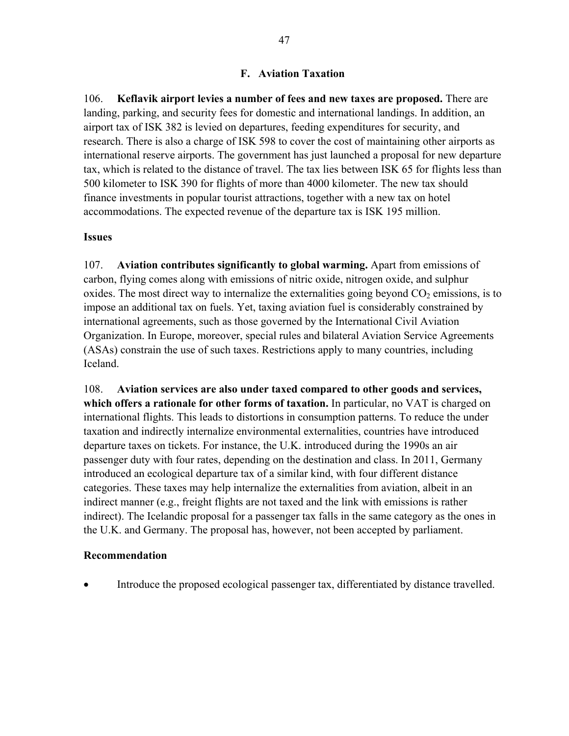### **F. Aviation Taxation**

106. **Keflavik airport levies a number of fees and new taxes are proposed.** There are landing, parking, and security fees for domestic and international landings. In addition, an airport tax of ISK 382 is levied on departures, feeding expenditures for security, and research. There is also a charge of ISK 598 to cover the cost of maintaining other airports as international reserve airports. The government has just launched a proposal for new departure tax, which is related to the distance of travel. The tax lies between ISK 65 for flights less than 500 kilometer to ISK 390 for flights of more than 4000 kilometer. The new tax should finance investments in popular tourist attractions, together with a new tax on hotel accommodations. The expected revenue of the departure tax is ISK 195 million.

#### **Issues**

107. **Aviation contributes significantly to global warming.** Apart from emissions of carbon, flying comes along with emissions of nitric oxide, nitrogen oxide, and sulphur oxides. The most direct way to internalize the externalities going beyond  $CO<sub>2</sub>$  emissions, is to impose an additional tax on fuels. Yet, taxing aviation fuel is considerably constrained by international agreements, such as those governed by the International Civil Aviation Organization. In Europe, moreover, special rules and bilateral Aviation Service Agreements (ASAs) constrain the use of such taxes. Restrictions apply to many countries, including Iceland.

108. **Aviation services are also under taxed compared to other goods and services, which offers a rationale for other forms of taxation.** In particular, no VAT is charged on international flights. This leads to distortions in consumption patterns. To reduce the under taxation and indirectly internalize environmental externalities, countries have introduced departure taxes on tickets. For instance, the U.K. introduced during the 1990s an air passenger duty with four rates, depending on the destination and class. In 2011, Germany introduced an ecological departure tax of a similar kind, with four different distance categories. These taxes may help internalize the externalities from aviation, albeit in an indirect manner (e.g., freight flights are not taxed and the link with emissions is rather indirect). The Icelandic proposal for a passenger tax falls in the same category as the ones in the U.K. and Germany. The proposal has, however, not been accepted by parliament.

#### **Recommendation**

Introduce the proposed ecological passenger tax, differentiated by distance travelled.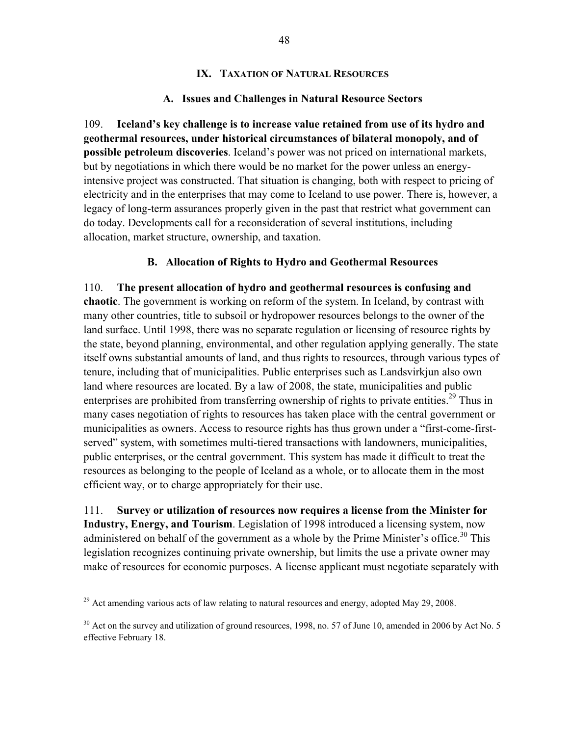#### **IX. TAXATION OF NATURAL RESOURCES**

#### **A. Issues and Challenges in Natural Resource Sectors**

109. **Iceland's key challenge is to increase value retained from use of its hydro and geothermal resources, under historical circumstances of bilateral monopoly, and of possible petroleum discoveries**. Iceland's power was not priced on international markets, but by negotiations in which there would be no market for the power unless an energyintensive project was constructed. That situation is changing, both with respect to pricing of electricity and in the enterprises that may come to Iceland to use power. There is, however, a legacy of long-term assurances properly given in the past that restrict what government can do today. Developments call for a reconsideration of several institutions, including allocation, market structure, ownership, and taxation.

#### **B. Allocation of Rights to Hydro and Geothermal Resources**

110. **The present allocation of hydro and geothermal resources is confusing and chaotic**. The government is working on reform of the system. In Iceland, by contrast with many other countries, title to subsoil or hydropower resources belongs to the owner of the land surface. Until 1998, there was no separate regulation or licensing of resource rights by the state, beyond planning, environmental, and other regulation applying generally. The state itself owns substantial amounts of land, and thus rights to resources, through various types of tenure, including that of municipalities. Public enterprises such as Landsvirkjun also own land where resources are located. By a law of 2008, the state, municipalities and public enterprises are prohibited from transferring ownership of rights to private entities.<sup>29</sup> Thus in many cases negotiation of rights to resources has taken place with the central government or municipalities as owners. Access to resource rights has thus grown under a "first-come-firstserved" system, with sometimes multi-tiered transactions with landowners, municipalities, public enterprises, or the central government. This system has made it difficult to treat the resources as belonging to the people of Iceland as a whole, or to allocate them in the most efficient way, or to charge appropriately for their use.

111. **Survey or utilization of resources now requires a license from the Minister for Industry, Energy, and Tourism**. Legislation of 1998 introduced a licensing system, now administered on behalf of the government as a whole by the Prime Minister's office.<sup>30</sup> This legislation recognizes continuing private ownership, but limits the use a private owner may make of resources for economic purposes. A license applicant must negotiate separately with

 $\overline{a}$ 

<sup>&</sup>lt;sup>29</sup> Act amending various acts of law relating to natural resources and energy, adopted May 29, 2008.

<sup>&</sup>lt;sup>30</sup> Act on the survey and utilization of ground resources, 1998, no. 57 of June 10, amended in 2006 by Act No. 5 effective February 18.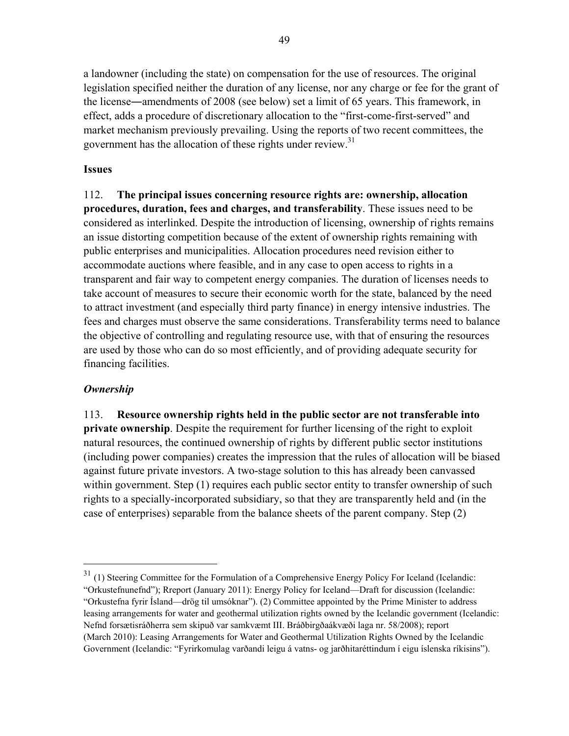a landowner (including the state) on compensation for the use of resources. The original legislation specified neither the duration of any license, nor any charge or fee for the grant of the license―amendments of 2008 (see below) set a limit of 65 years. This framework, in effect, adds a procedure of discretionary allocation to the "first-come-first-served" and market mechanism previously prevailing. Using the reports of two recent committees, the government has the allocation of these rights under review.<sup>31</sup>

### **Issues**

112. **The principal issues concerning resource rights are: ownership, allocation procedures, duration, fees and charges, and transferability**. These issues need to be considered as interlinked. Despite the introduction of licensing, ownership of rights remains an issue distorting competition because of the extent of ownership rights remaining with public enterprises and municipalities. Allocation procedures need revision either to accommodate auctions where feasible, and in any case to open access to rights in a transparent and fair way to competent energy companies. The duration of licenses needs to take account of measures to secure their economic worth for the state, balanced by the need to attract investment (and especially third party finance) in energy intensive industries. The fees and charges must observe the same considerations. Transferability terms need to balance the objective of controlling and regulating resource use, with that of ensuring the resources are used by those who can do so most efficiently, and of providing adequate security for financing facilities.

### *Ownership*

 $\overline{a}$ 

113. **Resource ownership rights held in the public sector are not transferable into private ownership**. Despite the requirement for further licensing of the right to exploit natural resources, the continued ownership of rights by different public sector institutions (including power companies) creates the impression that the rules of allocation will be biased against future private investors. A two-stage solution to this has already been canvassed within government. Step (1) requires each public sector entity to transfer ownership of such rights to a specially-incorporated subsidiary, so that they are transparently held and (in the case of enterprises) separable from the balance sheets of the parent company. Step (2)

<sup>&</sup>lt;sup>31</sup> (1) Steering Committee for the Formulation of a Comprehensive Energy Policy For Iceland (Icelandic: "Orkustefnunefnd"); Rreport (January 2011): Energy Policy for Iceland—Draft for discussion (Icelandic: "Orkustefna fyrir Ísland—drög til umsóknar"). (2) Committee appointed by the Prime Minister to address leasing arrangements for water and geothermal utilization rights owned by the Icelandic government (Icelandic: Nefnd forsætisráðherra sem skipuð var samkvæmt III. Bráðbirgðaákvæði laga nr. 58/2008); report (March 2010): Leasing Arrangements for Water and Geothermal Utilization Rights Owned by the Icelandic Government (Icelandic: "Fyrirkomulag varðandi leigu á vatns- og jarðhitaréttindum í eigu íslenska ríkisins").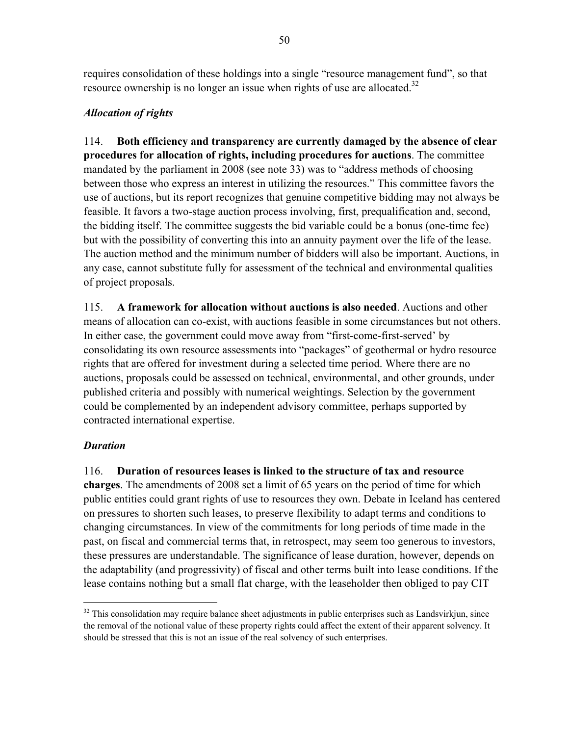requires consolidation of these holdings into a single "resource management fund", so that resource ownership is no longer an issue when rights of use are allocated.<sup>32</sup>

# *Allocation of rights*

114. **Both efficiency and transparency are currently damaged by the absence of clear procedures for allocation of rights, including procedures for auctions**. The committee mandated by the parliament in 2008 (see note 33) was to "address methods of choosing between those who express an interest in utilizing the resources." This committee favors the use of auctions, but its report recognizes that genuine competitive bidding may not always be feasible. It favors a two-stage auction process involving, first, prequalification and, second, the bidding itself. The committee suggests the bid variable could be a bonus (one-time fee) but with the possibility of converting this into an annuity payment over the life of the lease. The auction method and the minimum number of bidders will also be important. Auctions, in any case, cannot substitute fully for assessment of the technical and environmental qualities of project proposals.

115. **A framework for allocation without auctions is also needed**. Auctions and other means of allocation can co-exist, with auctions feasible in some circumstances but not others. In either case, the government could move away from "first-come-first-served' by consolidating its own resource assessments into "packages" of geothermal or hydro resource rights that are offered for investment during a selected time period. Where there are no auctions, proposals could be assessed on technical, environmental, and other grounds, under published criteria and possibly with numerical weightings. Selection by the government could be complemented by an independent advisory committee, perhaps supported by contracted international expertise.

# *Duration*

 $\overline{a}$ 

116. **Duration of resources leases is linked to the structure of tax and resource charges**. The amendments of 2008 set a limit of 65 years on the period of time for which public entities could grant rights of use to resources they own. Debate in Iceland has centered on pressures to shorten such leases, to preserve flexibility to adapt terms and conditions to changing circumstances. In view of the commitments for long periods of time made in the past, on fiscal and commercial terms that, in retrospect, may seem too generous to investors, these pressures are understandable. The significance of lease duration, however, depends on the adaptability (and progressivity) of fiscal and other terms built into lease conditions. If the lease contains nothing but a small flat charge, with the leaseholder then obliged to pay CIT

<sup>&</sup>lt;sup>32</sup> This consolidation may require balance sheet adjustments in public enterprises such as Landsvirkjun, since the removal of the notional value of these property rights could affect the extent of their apparent solvency. It should be stressed that this is not an issue of the real solvency of such enterprises.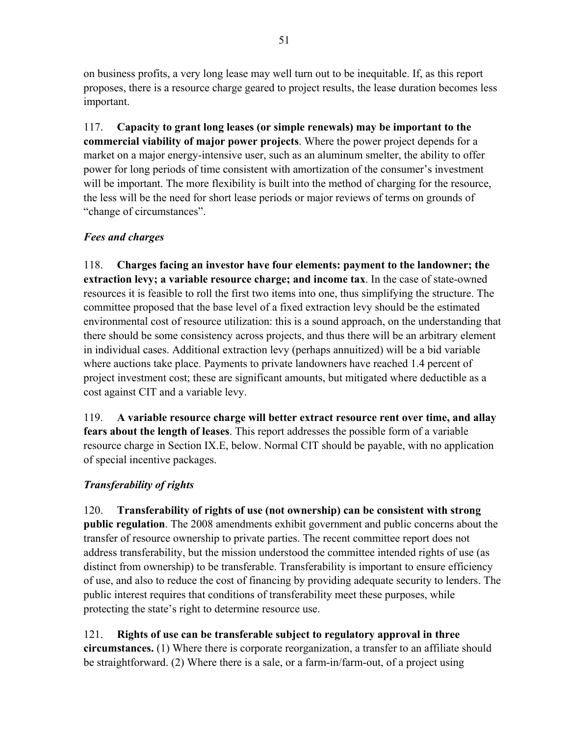on business profits, a very long lease may well turn out to be inequitable. If, as this report proposes, there is a resource charge geared to project results, the lease duration becomes less important.

117. **Capacity to grant long leases (or simple renewals) may be important to the commercial viability of major power projects**. Where the power project depends for a market on a major energy-intensive user, such as an aluminum smelter, the ability to offer power for long periods of time consistent with amortization of the consumer's investment will be important. The more flexibility is built into the method of charging for the resource, the less will be the need for short lease periods or major reviews of terms on grounds of "change of circumstances".

# *Fees and charges*

118. **Charges facing an investor have four elements: payment to the landowner; the extraction levy; a variable resource charge; and income tax**. In the case of state-owned resources it is feasible to roll the first two items into one, thus simplifying the structure. The committee proposed that the base level of a fixed extraction levy should be the estimated environmental cost of resource utilization: this is a sound approach, on the understanding that there should be some consistency across projects, and thus there will be an arbitrary element in individual cases. Additional extraction levy (perhaps annuitized) will be a bid variable where auctions take place. Payments to private landowners have reached 1.4 percent of project investment cost; these are significant amounts, but mitigated where deductible as a cost against CIT and a variable levy.

119. **A variable resource charge will better extract resource rent over time, and allay fears about the length of leases**. This report addresses the possible form of a variable resource charge in Section IX.E, below. Normal CIT should be payable, with no application of special incentive packages.

# *Transferability of rights*

120. **Transferability of rights of use (not ownership) can be consistent with strong public regulation**. The 2008 amendments exhibit government and public concerns about the transfer of resource ownership to private parties. The recent committee report does not address transferability, but the mission understood the committee intended rights of use (as distinct from ownership) to be transferable. Transferability is important to ensure efficiency of use, and also to reduce the cost of financing by providing adequate security to lenders. The public interest requires that conditions of transferability meet these purposes, while protecting the state's right to determine resource use.

121. **Rights of use can be transferable subject to regulatory approval in three circumstances.** (1) Where there is corporate reorganization, a transfer to an affiliate should be straightforward. (2) Where there is a sale, or a farm-in/farm-out, of a project using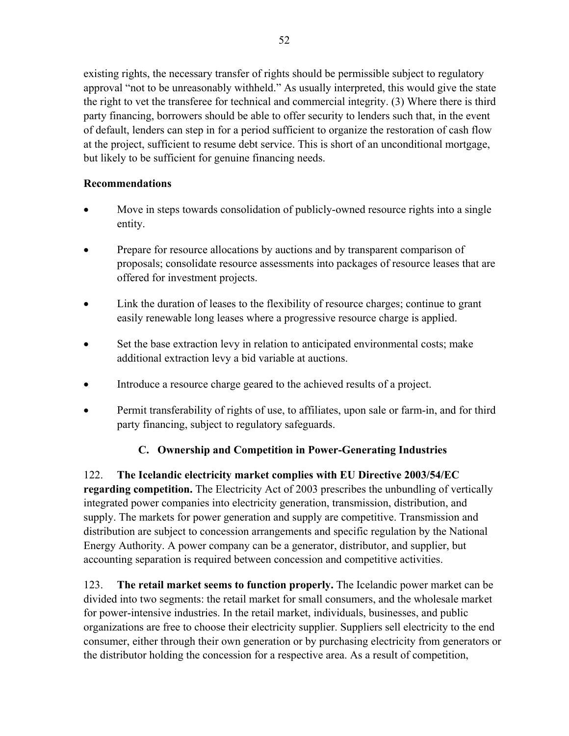existing rights, the necessary transfer of rights should be permissible subject to regulatory approval "not to be unreasonably withheld." As usually interpreted, this would give the state the right to vet the transferee for technical and commercial integrity. (3) Where there is third party financing, borrowers should be able to offer security to lenders such that, in the event of default, lenders can step in for a period sufficient to organize the restoration of cash flow at the project, sufficient to resume debt service. This is short of an unconditional mortgage, but likely to be sufficient for genuine financing needs.

# **Recommendations**

- Move in steps towards consolidation of publicly-owned resource rights into a single entity.
- Prepare for resource allocations by auctions and by transparent comparison of proposals; consolidate resource assessments into packages of resource leases that are offered for investment projects.
- Link the duration of leases to the flexibility of resource charges; continue to grant easily renewable long leases where a progressive resource charge is applied.
- Set the base extraction levy in relation to anticipated environmental costs; make additional extraction levy a bid variable at auctions.
- Introduce a resource charge geared to the achieved results of a project.
- Permit transferability of rights of use, to affiliates, upon sale or farm-in, and for third party financing, subject to regulatory safeguards.

# **C. Ownership and Competition in Power-Generating Industries**

122. **The Icelandic electricity market complies with EU Directive 2003/54/EC regarding competition.** The Electricity Act of 2003 prescribes the unbundling of vertically integrated power companies into electricity generation, transmission, distribution, and supply. The markets for power generation and supply are competitive. Transmission and distribution are subject to concession arrangements and specific regulation by the National Energy Authority. A power company can be a generator, distributor, and supplier, but accounting separation is required between concession and competitive activities.

123. **The retail market seems to function properly.** The Icelandic power market can be divided into two segments: the retail market for small consumers, and the wholesale market for power-intensive industries. In the retail market, individuals, businesses, and public organizations are free to choose their electricity supplier. Suppliers sell electricity to the end consumer, either through their own generation or by purchasing electricity from generators or the distributor holding the concession for a respective area. As a result of competition,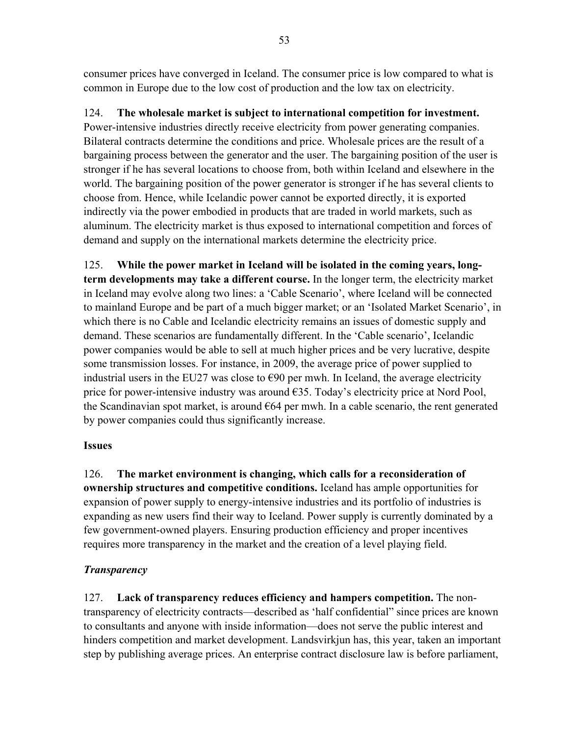consumer prices have converged in Iceland. The consumer price is low compared to what is common in Europe due to the low cost of production and the low tax on electricity.

# 124. **The wholesale market is subject to international competition for investment.**

Power-intensive industries directly receive electricity from power generating companies. Bilateral contracts determine the conditions and price. Wholesale prices are the result of a bargaining process between the generator and the user. The bargaining position of the user is stronger if he has several locations to choose from, both within Iceland and elsewhere in the world. The bargaining position of the power generator is stronger if he has several clients to choose from. Hence, while Icelandic power cannot be exported directly, it is exported indirectly via the power embodied in products that are traded in world markets, such as aluminum. The electricity market is thus exposed to international competition and forces of demand and supply on the international markets determine the electricity price.

125. **While the power market in Iceland will be isolated in the coming years, longterm developments may take a different course.** In the longer term, the electricity market in Iceland may evolve along two lines: a 'Cable Scenario', where Iceland will be connected to mainland Europe and be part of a much bigger market; or an 'Isolated Market Scenario', in which there is no Cable and Icelandic electricity remains an issues of domestic supply and demand. These scenarios are fundamentally different. In the 'Cable scenario', Icelandic power companies would be able to sell at much higher prices and be very lucrative, despite some transmission losses. For instance, in 2009, the average price of power supplied to industrial users in the EU27 was close to  $\epsilon$ 90 per mwh. In Iceland, the average electricity price for power-intensive industry was around €35. Today's electricity price at Nord Pool, the Scandinavian spot market, is around  $664$  per mwh. In a cable scenario, the rent generated by power companies could thus significantly increase.

# **Issues**

126. **The market environment is changing, which calls for a reconsideration of ownership structures and competitive conditions.** Iceland has ample opportunities for expansion of power supply to energy-intensive industries and its portfolio of industries is expanding as new users find their way to Iceland. Power supply is currently dominated by a few government-owned players. Ensuring production efficiency and proper incentives requires more transparency in the market and the creation of a level playing field.

# *Transparency*

127. **Lack of transparency reduces efficiency and hampers competition.** The nontransparency of electricity contracts—described as 'half confidential" since prices are known to consultants and anyone with inside information—does not serve the public interest and hinders competition and market development. Landsvirkjun has, this year, taken an important step by publishing average prices. An enterprise contract disclosure law is before parliament,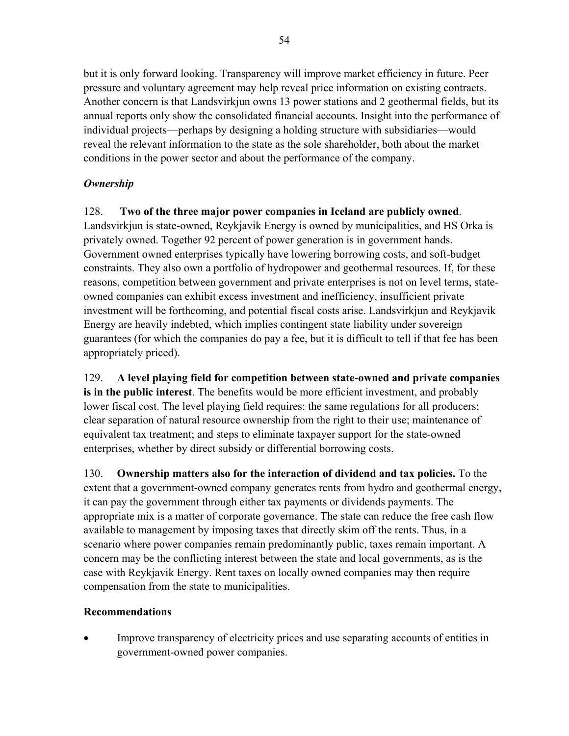but it is only forward looking. Transparency will improve market efficiency in future. Peer pressure and voluntary agreement may help reveal price information on existing contracts. Another concern is that Landsvirkjun owns 13 power stations and 2 geothermal fields, but its annual reports only show the consolidated financial accounts. Insight into the performance of individual projects—perhaps by designing a holding structure with subsidiaries—would reveal the relevant information to the state as the sole shareholder, both about the market conditions in the power sector and about the performance of the company.

# *Ownership*

128. **Two of the three major power companies in Iceland are publicly owned**. Landsvirkjun is state-owned, Reykjavik Energy is owned by municipalities, and HS Orka is privately owned. Together 92 percent of power generation is in government hands. Government owned enterprises typically have lowering borrowing costs, and soft-budget constraints. They also own a portfolio of hydropower and geothermal resources. If, for these reasons, competition between government and private enterprises is not on level terms, stateowned companies can exhibit excess investment and inefficiency, insufficient private investment will be forthcoming, and potential fiscal costs arise. Landsvirkjun and Reykjavik Energy are heavily indebted, which implies contingent state liability under sovereign guarantees (for which the companies do pay a fee, but it is difficult to tell if that fee has been appropriately priced).

129. **A level playing field for competition between state-owned and private companies is in the public interest**. The benefits would be more efficient investment, and probably lower fiscal cost. The level playing field requires: the same regulations for all producers; clear separation of natural resource ownership from the right to their use; maintenance of equivalent tax treatment; and steps to eliminate taxpayer support for the state-owned enterprises, whether by direct subsidy or differential borrowing costs.

130. **Ownership matters also for the interaction of dividend and tax policies.** To the extent that a government-owned company generates rents from hydro and geothermal energy, it can pay the government through either tax payments or dividends payments. The appropriate mix is a matter of corporate governance. The state can reduce the free cash flow available to management by imposing taxes that directly skim off the rents. Thus, in a scenario where power companies remain predominantly public, taxes remain important. A concern may be the conflicting interest between the state and local governments, as is the case with Reykjavik Energy. Rent taxes on locally owned companies may then require compensation from the state to municipalities.

# **Recommendations**

 Improve transparency of electricity prices and use separating accounts of entities in government-owned power companies.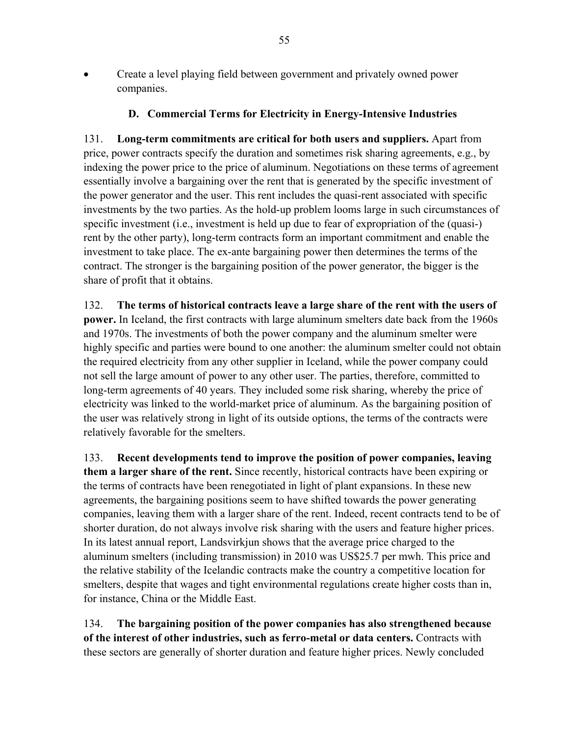Create a level playing field between government and privately owned power companies.

#### **D. Commercial Terms for Electricity in Energy-Intensive Industries**

131. **Long-term commitments are critical for both users and suppliers.** Apart from price, power contracts specify the duration and sometimes risk sharing agreements, e.g., by indexing the power price to the price of aluminum. Negotiations on these terms of agreement essentially involve a bargaining over the rent that is generated by the specific investment of the power generator and the user. This rent includes the quasi-rent associated with specific investments by the two parties. As the hold-up problem looms large in such circumstances of specific investment (i.e., investment is held up due to fear of expropriation of the (quasi-) rent by the other party), long-term contracts form an important commitment and enable the investment to take place. The ex-ante bargaining power then determines the terms of the contract. The stronger is the bargaining position of the power generator, the bigger is the share of profit that it obtains.

132. **The terms of historical contracts leave a large share of the rent with the users of power.** In Iceland, the first contracts with large aluminum smelters date back from the 1960s and 1970s. The investments of both the power company and the aluminum smelter were highly specific and parties were bound to one another: the aluminum smelter could not obtain the required electricity from any other supplier in Iceland, while the power company could not sell the large amount of power to any other user. The parties, therefore, committed to long-term agreements of 40 years. They included some risk sharing, whereby the price of electricity was linked to the world-market price of aluminum. As the bargaining position of the user was relatively strong in light of its outside options, the terms of the contracts were relatively favorable for the smelters.

133. **Recent developments tend to improve the position of power companies, leaving them a larger share of the rent.** Since recently, historical contracts have been expiring or the terms of contracts have been renegotiated in light of plant expansions. In these new agreements, the bargaining positions seem to have shifted towards the power generating companies, leaving them with a larger share of the rent. Indeed, recent contracts tend to be of shorter duration, do not always involve risk sharing with the users and feature higher prices. In its latest annual report, Landsvirkjun shows that the average price charged to the aluminum smelters (including transmission) in 2010 was US\$25.7 per mwh. This price and the relative stability of the Icelandic contracts make the country a competitive location for smelters, despite that wages and tight environmental regulations create higher costs than in, for instance, China or the Middle East.

134. **The bargaining position of the power companies has also strengthened because of the interest of other industries, such as ferro-metal or data centers.** Contracts with these sectors are generally of shorter duration and feature higher prices. Newly concluded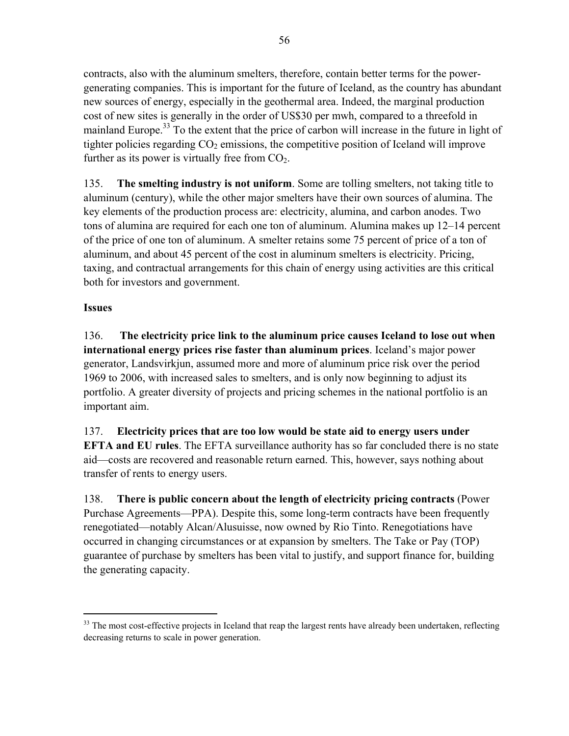contracts, also with the aluminum smelters, therefore, contain better terms for the powergenerating companies. This is important for the future of Iceland, as the country has abundant new sources of energy, especially in the geothermal area. Indeed, the marginal production cost of new sites is generally in the order of US\$30 per mwh, compared to a threefold in mainland Europe.<sup>33</sup> To the extent that the price of carbon will increase in the future in light of tighter policies regarding  $CO<sub>2</sub>$  emissions, the competitive position of Iceland will improve further as its power is virtually free from  $CO<sub>2</sub>$ .

135. **The smelting industry is not uniform**. Some are tolling smelters, not taking title to aluminum (century), while the other major smelters have their own sources of alumina. The key elements of the production process are: electricity, alumina, and carbon anodes. Two tons of alumina are required for each one ton of aluminum. Alumina makes up 12–14 percent of the price of one ton of aluminum. A smelter retains some 75 percent of price of a ton of aluminum, and about 45 percent of the cost in aluminum smelters is electricity. Pricing, taxing, and contractual arrangements for this chain of energy using activities are this critical both for investors and government.

# **Issues**

 $\overline{a}$ 

136. **The electricity price link to the aluminum price causes Iceland to lose out when international energy prices rise faster than aluminum prices**. Iceland's major power generator, Landsvirkjun, assumed more and more of aluminum price risk over the period 1969 to 2006, with increased sales to smelters, and is only now beginning to adjust its portfolio. A greater diversity of projects and pricing schemes in the national portfolio is an important aim.

137. **Electricity prices that are too low would be state aid to energy users under EFTA and EU rules**. The EFTA surveillance authority has so far concluded there is no state aid—costs are recovered and reasonable return earned. This, however, says nothing about transfer of rents to energy users.

138. **There is public concern about the length of electricity pricing contracts** (Power Purchase Agreements—PPA). Despite this, some long-term contracts have been frequently renegotiated—notably Alcan/Alusuisse, now owned by Rio Tinto. Renegotiations have occurred in changing circumstances or at expansion by smelters. The Take or Pay (TOP) guarantee of purchase by smelters has been vital to justify, and support finance for, building the generating capacity.

<sup>&</sup>lt;sup>33</sup> The most cost-effective projects in Iceland that reap the largest rents have already been undertaken, reflecting decreasing returns to scale in power generation.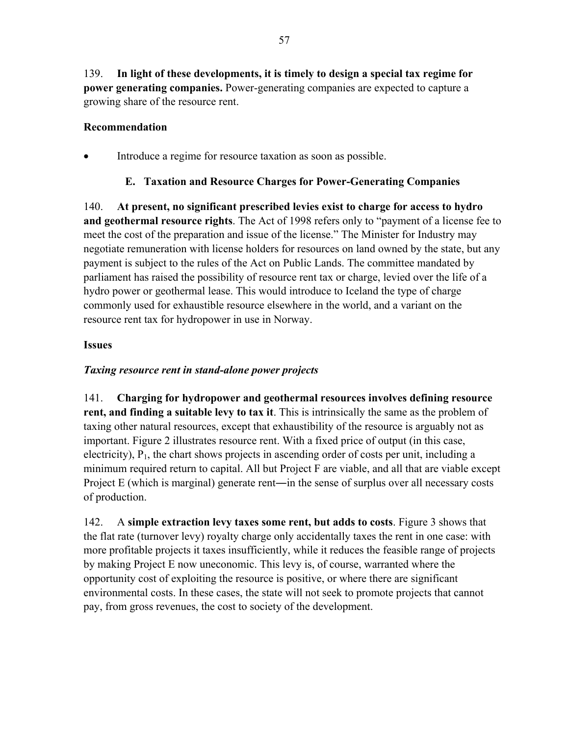139. **In light of these developments, it is timely to design a special tax regime for power generating companies.** Power-generating companies are expected to capture a growing share of the resource rent.

### **Recommendation**

• Introduce a regime for resource taxation as soon as possible.

### **E. Taxation and Resource Charges for Power-Generating Companies**

140. **At present, no significant prescribed levies exist to charge for access to hydro and geothermal resource rights**. The Act of 1998 refers only to "payment of a license fee to meet the cost of the preparation and issue of the license." The Minister for Industry may negotiate remuneration with license holders for resources on land owned by the state, but any payment is subject to the rules of the Act on Public Lands. The committee mandated by parliament has raised the possibility of resource rent tax or charge, levied over the life of a hydro power or geothermal lease. This would introduce to Iceland the type of charge commonly used for exhaustible resource elsewhere in the world, and a variant on the resource rent tax for hydropower in use in Norway.

### **Issues**

# *Taxing resource rent in stand-alone power projects*

141. **Charging for hydropower and geothermal resources involves defining resource rent, and finding a suitable levy to tax it**. This is intrinsically the same as the problem of taxing other natural resources, except that exhaustibility of the resource is arguably not as important. Figure 2 illustrates resource rent. With a fixed price of output (in this case, electricity),  $P_1$ , the chart shows projects in ascending order of costs per unit, including a minimum required return to capital. All but Project F are viable, and all that are viable except Project E (which is marginal) generate rent—in the sense of surplus over all necessary costs of production.

142. A **simple extraction levy taxes some rent, but adds to costs**. Figure 3 shows that the flat rate (turnover levy) royalty charge only accidentally taxes the rent in one case: with more profitable projects it taxes insufficiently, while it reduces the feasible range of projects by making Project E now uneconomic. This levy is, of course, warranted where the opportunity cost of exploiting the resource is positive, or where there are significant environmental costs. In these cases, the state will not seek to promote projects that cannot pay, from gross revenues, the cost to society of the development.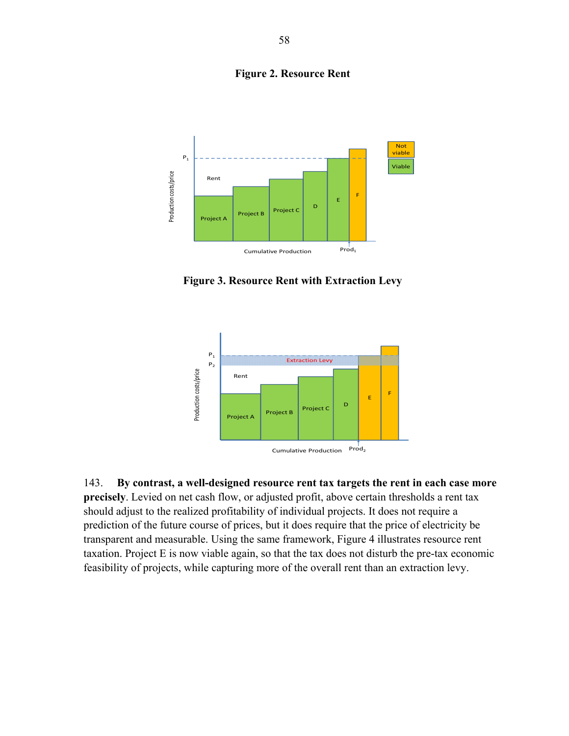**Figure 2. Resource Rent**



**Figure 3. Resource Rent with Extraction Levy** 



143. **By contrast, a well-designed resource rent tax targets the rent in each case more precisely**. Levied on net cash flow, or adjusted profit, above certain thresholds a rent tax should adjust to the realized profitability of individual projects. It does not require a prediction of the future course of prices, but it does require that the price of electricity be transparent and measurable. Using the same framework, Figure 4 illustrates resource rent taxation. Project E is now viable again, so that the tax does not disturb the pre-tax economic feasibility of projects, while capturing more of the overall rent than an extraction levy.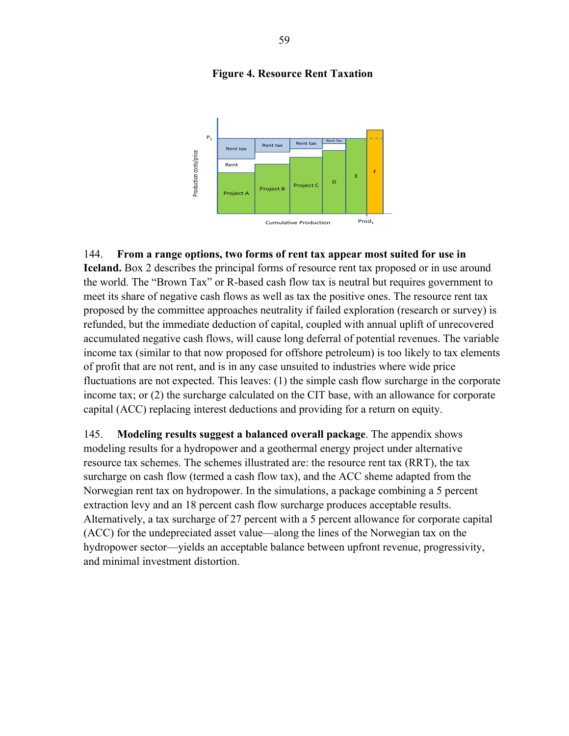#### **Figure 4. Resource Rent Taxation**



144. **From a range options, two forms of rent tax appear most suited for use in** 

**Iceland.** Box 2 describes the principal forms of resource rent tax proposed or in use around the world. The "Brown Tax" or R-based cash flow tax is neutral but requires government to meet its share of negative cash flows as well as tax the positive ones. The resource rent tax proposed by the committee approaches neutrality if failed exploration (research or survey) is refunded, but the immediate deduction of capital, coupled with annual uplift of unrecovered accumulated negative cash flows, will cause long deferral of potential revenues. The variable income tax (similar to that now proposed for offshore petroleum) is too likely to tax elements of profit that are not rent, and is in any case unsuited to industries where wide price fluctuations are not expected. This leaves: (1) the simple cash flow surcharge in the corporate income tax; or (2) the surcharge calculated on the CIT base, with an allowance for corporate capital (ACC) replacing interest deductions and providing for a return on equity.

145. **Modeling results suggest a balanced overall package**. The appendix shows modeling results for a hydropower and a geothermal energy project under alternative resource tax schemes. The schemes illustrated are: the resource rent tax (RRT), the tax surcharge on cash flow (termed a cash flow tax), and the ACC sheme adapted from the Norwegian rent tax on hydropower. In the simulations, a package combining a 5 percent extraction levy and an 18 percent cash flow surcharge produces acceptable results. Alternatively, a tax surcharge of 27 percent with a 5 percent allowance for corporate capital (ACC) for the undepreciated asset value—along the lines of the Norwegian tax on the hydropower sector—yields an acceptable balance between upfront revenue, progressivity, and minimal investment distortion.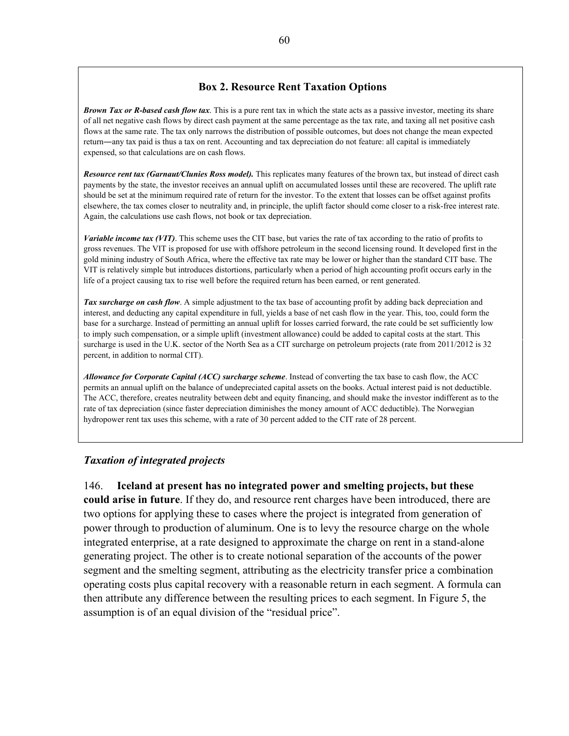#### **Box 2. Resource Rent Taxation Options**

*Brown Tax or R-based cash flow tax*. This is a pure rent tax in which the state acts as a passive investor, meeting its share of all net negative cash flows by direct cash payment at the same percentage as the tax rate, and taxing all net positive cash flows at the same rate. The tax only narrows the distribution of possible outcomes, but does not change the mean expected return―any tax paid is thus a tax on rent. Accounting and tax depreciation do not feature: all capital is immediately expensed, so that calculations are on cash flows.

*Resource rent tax (Garnaut/Clunies Ross model).* This replicates many features of the brown tax, but instead of direct cash payments by the state, the investor receives an annual uplift on accumulated losses until these are recovered. The uplift rate should be set at the minimum required rate of return for the investor. To the extent that losses can be offset against profits elsewhere, the tax comes closer to neutrality and, in principle, the uplift factor should come closer to a risk-free interest rate. Again, the calculations use cash flows, not book or tax depreciation.

*Variable income tax (VIT)*. This scheme uses the CIT base, but varies the rate of tax according to the ratio of profits to gross revenues. The VIT is proposed for use with offshore petroleum in the second licensing round. It developed first in the gold mining industry of South Africa, where the effective tax rate may be lower or higher than the standard CIT base. The VIT is relatively simple but introduces distortions, particularly when a period of high accounting profit occurs early in the life of a project causing tax to rise well before the required return has been earned, or rent generated.

*Tax surcharge on cash flow*. A simple adjustment to the tax base of accounting profit by adding back depreciation and interest, and deducting any capital expenditure in full, yields a base of net cash flow in the year. This, too, could form the base for a surcharge. Instead of permitting an annual uplift for losses carried forward, the rate could be set sufficiently low to imply such compensation, or a simple uplift (investment allowance) could be added to capital costs at the start. This surcharge is used in the U.K. sector of the North Sea as a CIT surcharge on petroleum projects (rate from 2011/2012 is 32 percent, in addition to normal CIT).

*Allowance for Corporate Capital (ACC) surcharge scheme*. Instead of converting the tax base to cash flow, the ACC permits an annual uplift on the balance of undepreciated capital assets on the books. Actual interest paid is not deductible. The ACC, therefore, creates neutrality between debt and equity financing, and should make the investor indifferent as to the rate of tax depreciation (since faster depreciation diminishes the money amount of ACC deductible). The Norwegian hydropower rent tax uses this scheme, with a rate of 30 percent added to the CIT rate of 28 percent.

#### *Taxation of integrated projects*

146. **Iceland at present has no integrated power and smelting projects, but these could arise in future**. If they do, and resource rent charges have been introduced, there are two options for applying these to cases where the project is integrated from generation of power through to production of aluminum. One is to levy the resource charge on the whole integrated enterprise, at a rate designed to approximate the charge on rent in a stand-alone generating project. The other is to create notional separation of the accounts of the power segment and the smelting segment, attributing as the electricity transfer price a combination operating costs plus capital recovery with a reasonable return in each segment. A formula can then attribute any difference between the resulting prices to each segment. In Figure 5, the assumption is of an equal division of the "residual price".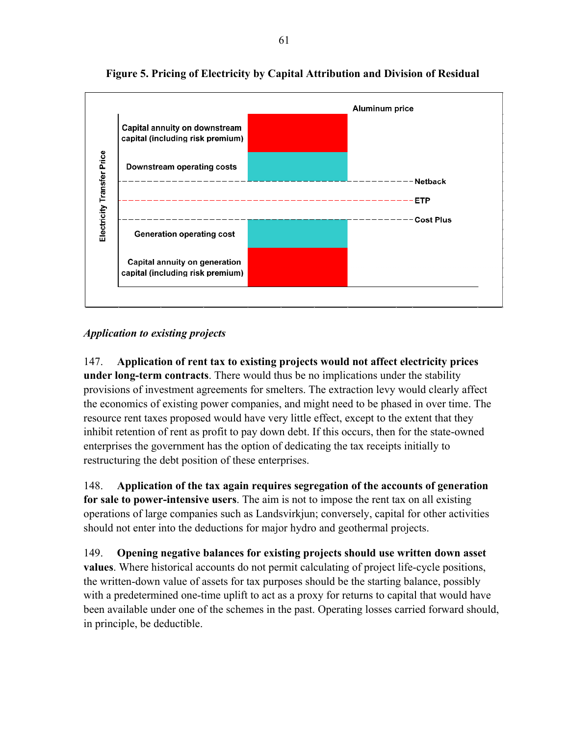

**Figure 5. Pricing of Electricity by Capital Attribution and Division of Residual**

# *Application to existing projects*

147. **Application of rent tax to existing projects would not affect electricity prices under long-term contracts**. There would thus be no implications under the stability provisions of investment agreements for smelters. The extraction levy would clearly affect the economics of existing power companies, and might need to be phased in over time. The resource rent taxes proposed would have very little effect, except to the extent that they inhibit retention of rent as profit to pay down debt. If this occurs, then for the state-owned enterprises the government has the option of dedicating the tax receipts initially to restructuring the debt position of these enterprises.

148. **Application of the tax again requires segregation of the accounts of generation for sale to power-intensive users**. The aim is not to impose the rent tax on all existing operations of large companies such as Landsvirkjun; conversely, capital for other activities should not enter into the deductions for major hydro and geothermal projects.

149. **Opening negative balances for existing projects should use written down asset values**. Where historical accounts do not permit calculating of project life-cycle positions, the written-down value of assets for tax purposes should be the starting balance, possibly with a predetermined one-time uplift to act as a proxy for returns to capital that would have been available under one of the schemes in the past. Operating losses carried forward should, in principle, be deductible.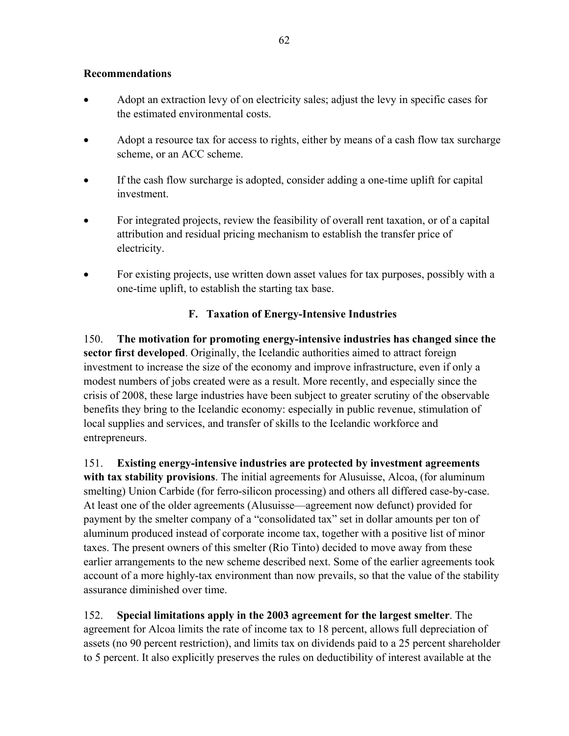### **Recommendations**

- Adopt an extraction levy of on electricity sales; adjust the levy in specific cases for the estimated environmental costs.
- Adopt a resource tax for access to rights, either by means of a cash flow tax surcharge scheme, or an ACC scheme.
- If the cash flow surcharge is adopted, consider adding a one-time uplift for capital investment.
- For integrated projects, review the feasibility of overall rent taxation, or of a capital attribution and residual pricing mechanism to establish the transfer price of electricity.
- For existing projects, use written down asset values for tax purposes, possibly with a one-time uplift, to establish the starting tax base.

# **F. Taxation of Energy-Intensive Industries**

150. **The motivation for promoting energy-intensive industries has changed since the sector first developed**. Originally, the Icelandic authorities aimed to attract foreign investment to increase the size of the economy and improve infrastructure, even if only a modest numbers of jobs created were as a result. More recently, and especially since the crisis of 2008, these large industries have been subject to greater scrutiny of the observable benefits they bring to the Icelandic economy: especially in public revenue, stimulation of local supplies and services, and transfer of skills to the Icelandic workforce and entrepreneurs.

151. **Existing energy-intensive industries are protected by investment agreements with tax stability provisions**. The initial agreements for Alusuisse, Alcoa, (for aluminum smelting) Union Carbide (for ferro-silicon processing) and others all differed case-by-case. At least one of the older agreements (Alusuisse—agreement now defunct) provided for payment by the smelter company of a "consolidated tax" set in dollar amounts per ton of aluminum produced instead of corporate income tax, together with a positive list of minor taxes. The present owners of this smelter (Rio Tinto) decided to move away from these earlier arrangements to the new scheme described next. Some of the earlier agreements took account of a more highly-tax environment than now prevails, so that the value of the stability assurance diminished over time.

152. **Special limitations apply in the 2003 agreement for the largest smelter**. The agreement for Alcoa limits the rate of income tax to 18 percent, allows full depreciation of assets (no 90 percent restriction), and limits tax on dividends paid to a 25 percent shareholder to 5 percent. It also explicitly preserves the rules on deductibility of interest available at the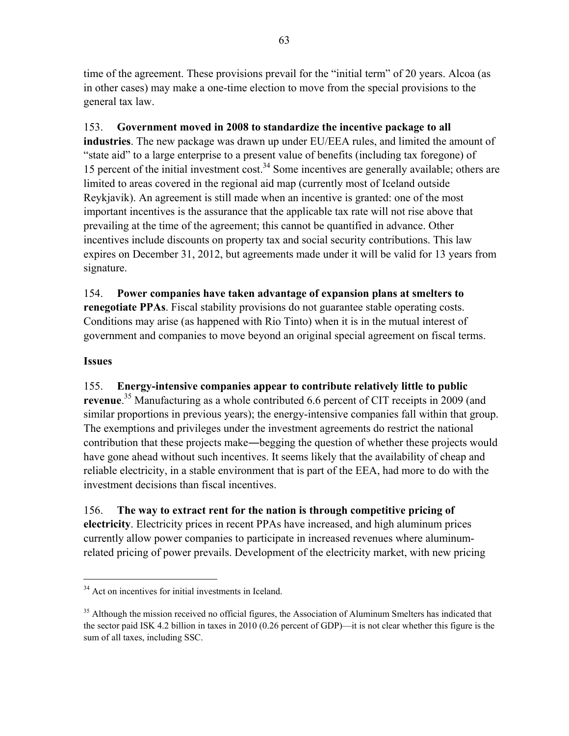time of the agreement. These provisions prevail for the "initial term" of 20 years. Alcoa (as in other cases) may make a one-time election to move from the special provisions to the general tax law.

# 153. **Government moved in 2008 to standardize the incentive package to all**

**industries**. The new package was drawn up under EU/EEA rules, and limited the amount of "state aid" to a large enterprise to a present value of benefits (including tax foregone) of 15 percent of the initial investment  $cost<sup>34</sup>$  Some incentives are generally available; others are limited to areas covered in the regional aid map (currently most of Iceland outside Reykjavik). An agreement is still made when an incentive is granted: one of the most important incentives is the assurance that the applicable tax rate will not rise above that prevailing at the time of the agreement; this cannot be quantified in advance. Other incentives include discounts on property tax and social security contributions. This law expires on December 31, 2012, but agreements made under it will be valid for 13 years from signature.

154. **Power companies have taken advantage of expansion plans at smelters to renegotiate PPAs**. Fiscal stability provisions do not guarantee stable operating costs. Conditions may arise (as happened with Rio Tinto) when it is in the mutual interest of government and companies to move beyond an original special agreement on fiscal terms.

# **Issues**

 $\overline{a}$ 

# 155. **Energy-intensive companies appear to contribute relatively little to public revenue**. 35 Manufacturing as a whole contributed 6.6 percent of CIT receipts in 2009 (and similar proportions in previous years); the energy-intensive companies fall within that group. The exemptions and privileges under the investment agreements do restrict the national contribution that these projects make―begging the question of whether these projects would have gone ahead without such incentives. It seems likely that the availability of cheap and reliable electricity, in a stable environment that is part of the EEA, had more to do with the investment decisions than fiscal incentives.

156. **The way to extract rent for the nation is through competitive pricing of electricity**. Electricity prices in recent PPAs have increased, and high aluminum prices currently allow power companies to participate in increased revenues where aluminumrelated pricing of power prevails. Development of the electricity market, with new pricing

<sup>&</sup>lt;sup>34</sup> Act on incentives for initial investments in Iceland.

<sup>&</sup>lt;sup>35</sup> Although the mission received no official figures, the Association of Aluminum Smelters has indicated that the sector paid ISK 4.2 billion in taxes in 2010 (0.26 percent of GDP)—it is not clear whether this figure is the sum of all taxes, including SSC.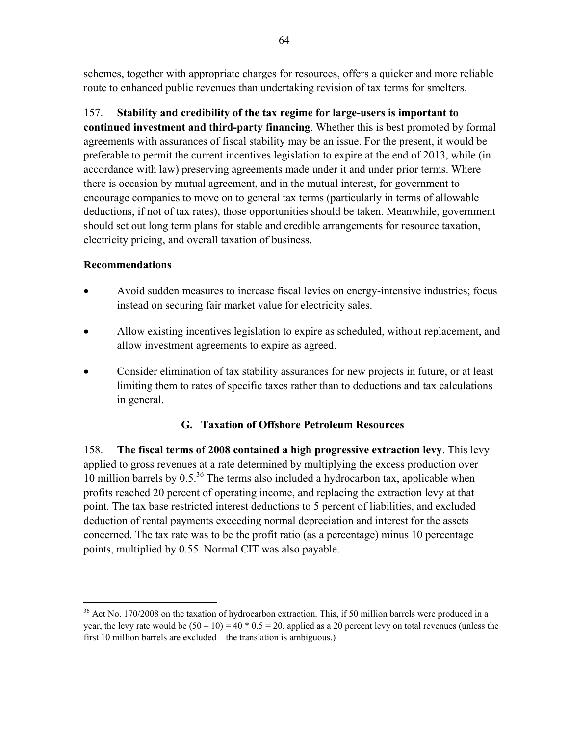schemes, together with appropriate charges for resources, offers a quicker and more reliable route to enhanced public revenues than undertaking revision of tax terms for smelters.

157. **Stability and credibility of the tax regime for large-users is important to continued investment and third-party financing**. Whether this is best promoted by formal agreements with assurances of fiscal stability may be an issue. For the present, it would be preferable to permit the current incentives legislation to expire at the end of 2013, while (in accordance with law) preserving agreements made under it and under prior terms. Where there is occasion by mutual agreement, and in the mutual interest, for government to encourage companies to move on to general tax terms (particularly in terms of allowable deductions, if not of tax rates), those opportunities should be taken. Meanwhile, government should set out long term plans for stable and credible arrangements for resource taxation, electricity pricing, and overall taxation of business.

# **Recommendations**

 $\overline{a}$ 

- Avoid sudden measures to increase fiscal levies on energy-intensive industries; focus instead on securing fair market value for electricity sales.
- Allow existing incentives legislation to expire as scheduled, without replacement, and allow investment agreements to expire as agreed.
- Consider elimination of tax stability assurances for new projects in future, or at least limiting them to rates of specific taxes rather than to deductions and tax calculations in general.

# **G. Taxation of Offshore Petroleum Resources**

158. **The fiscal terms of 2008 contained a high progressive extraction levy**. This levy applied to gross revenues at a rate determined by multiplying the excess production over 10 million barrels by  $0.5^{36}$  The terms also included a hydrocarbon tax, applicable when profits reached 20 percent of operating income, and replacing the extraction levy at that point. The tax base restricted interest deductions to 5 percent of liabilities, and excluded deduction of rental payments exceeding normal depreciation and interest for the assets concerned. The tax rate was to be the profit ratio (as a percentage) minus 10 percentage points, multiplied by 0.55. Normal CIT was also payable.

 $36$  Act No. 170/2008 on the taxation of hydrocarbon extraction. This, if 50 million barrels were produced in a year, the levy rate would be  $(50 - 10) = 40 * 0.5 = 20$ , applied as a 20 percent levy on total revenues (unless the first 10 million barrels are excluded—the translation is ambiguous.)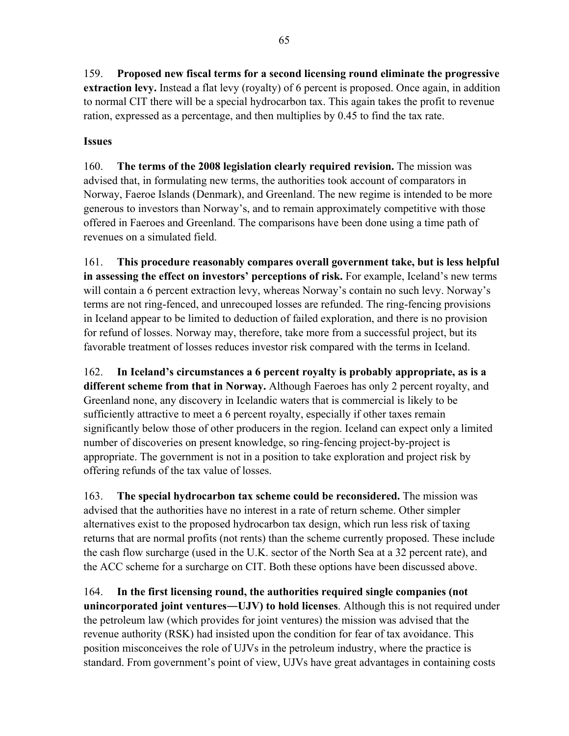159. **Proposed new fiscal terms for a second licensing round eliminate the progressive extraction levy.** Instead a flat levy (royalty) of 6 percent is proposed. Once again, in addition to normal CIT there will be a special hydrocarbon tax. This again takes the profit to revenue ration, expressed as a percentage, and then multiplies by 0.45 to find the tax rate.

# **Issues**

160. **The terms of the 2008 legislation clearly required revision.** The mission was advised that, in formulating new terms, the authorities took account of comparators in Norway, Faeroe Islands (Denmark), and Greenland. The new regime is intended to be more generous to investors than Norway's, and to remain approximately competitive with those offered in Faeroes and Greenland. The comparisons have been done using a time path of revenues on a simulated field.

161. **This procedure reasonably compares overall government take, but is less helpful in assessing the effect on investors' perceptions of risk.** For example, Iceland's new terms will contain a 6 percent extraction levy, whereas Norway's contain no such levy. Norway's terms are not ring-fenced, and unrecouped losses are refunded. The ring-fencing provisions in Iceland appear to be limited to deduction of failed exploration, and there is no provision for refund of losses. Norway may, therefore, take more from a successful project, but its favorable treatment of losses reduces investor risk compared with the terms in Iceland.

162. **In Iceland's circumstances a 6 percent royalty is probably appropriate, as is a different scheme from that in Norway.** Although Faeroes has only 2 percent royalty, and Greenland none, any discovery in Icelandic waters that is commercial is likely to be sufficiently attractive to meet a 6 percent royalty, especially if other taxes remain significantly below those of other producers in the region. Iceland can expect only a limited number of discoveries on present knowledge, so ring-fencing project-by-project is appropriate. The government is not in a position to take exploration and project risk by offering refunds of the tax value of losses.

163. **The special hydrocarbon tax scheme could be reconsidered.** The mission was advised that the authorities have no interest in a rate of return scheme. Other simpler alternatives exist to the proposed hydrocarbon tax design, which run less risk of taxing returns that are normal profits (not rents) than the scheme currently proposed. These include the cash flow surcharge (used in the U.K. sector of the North Sea at a 32 percent rate), and the ACC scheme for a surcharge on CIT. Both these options have been discussed above.

164. **In the first licensing round, the authorities required single companies (not unincorporated joint ventures―UJV) to hold licenses**. Although this is not required under the petroleum law (which provides for joint ventures) the mission was advised that the revenue authority (RSK) had insisted upon the condition for fear of tax avoidance. This position misconceives the role of UJVs in the petroleum industry, where the practice is standard. From government's point of view, UJVs have great advantages in containing costs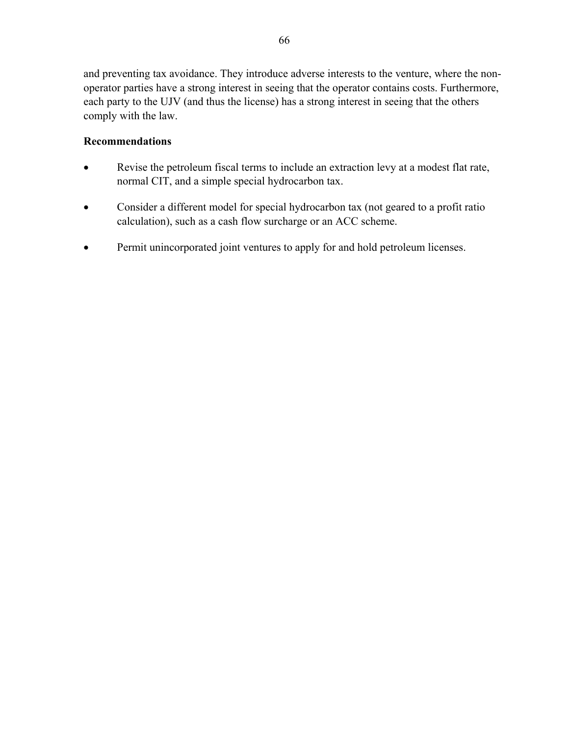and preventing tax avoidance. They introduce adverse interests to the venture, where the nonoperator parties have a strong interest in seeing that the operator contains costs. Furthermore, each party to the UJV (and thus the license) has a strong interest in seeing that the others comply with the law.

### **Recommendations**

- Revise the petroleum fiscal terms to include an extraction levy at a modest flat rate, normal CIT, and a simple special hydrocarbon tax.
- Consider a different model for special hydrocarbon tax (not geared to a profit ratio calculation), such as a cash flow surcharge or an ACC scheme.
- Permit unincorporated joint ventures to apply for and hold petroleum licenses.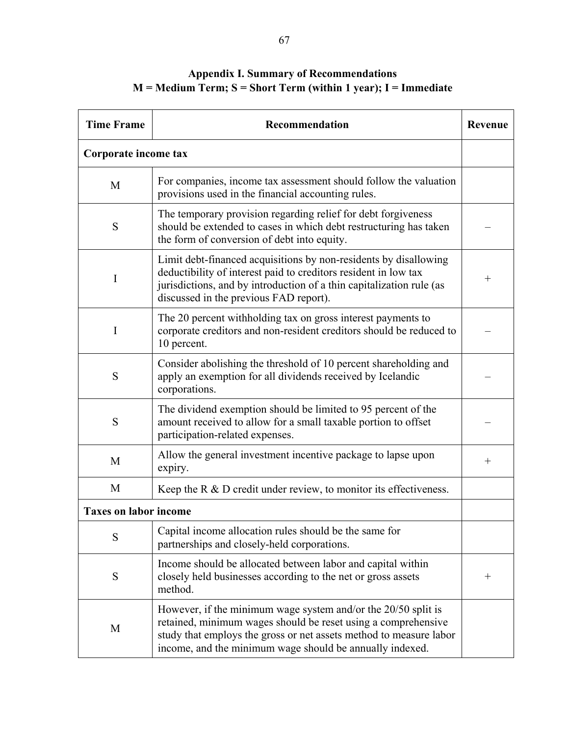# **Appendix I. Summary of Recommendations M = Medium Term; S = Short Term (within 1 year); I = Immediate**

| <b>Time Frame</b>            | Recommendation                                                                                                                                                                                                                                                   | <b>Revenue</b>     |
|------------------------------|------------------------------------------------------------------------------------------------------------------------------------------------------------------------------------------------------------------------------------------------------------------|--------------------|
| Corporate income tax         |                                                                                                                                                                                                                                                                  |                    |
| M                            | For companies, income tax assessment should follow the valuation<br>provisions used in the financial accounting rules.                                                                                                                                           |                    |
| S                            | The temporary provision regarding relief for debt forgiveness<br>should be extended to cases in which debt restructuring has taken<br>the form of conversion of debt into equity.                                                                                |                    |
| I                            | Limit debt-financed acquisitions by non-residents by disallowing<br>deductibility of interest paid to creditors resident in low tax<br>jurisdictions, and by introduction of a thin capitalization rule (as<br>discussed in the previous FAD report).            | $\hspace{0.1mm} +$ |
| I                            | The 20 percent withholding tax on gross interest payments to<br>corporate creditors and non-resident creditors should be reduced to<br>10 percent.                                                                                                               |                    |
| S                            | Consider abolishing the threshold of 10 percent shareholding and<br>apply an exemption for all dividends received by Icelandic<br>corporations.                                                                                                                  |                    |
| S                            | The dividend exemption should be limited to 95 percent of the<br>amount received to allow for a small taxable portion to offset<br>participation-related expenses.                                                                                               |                    |
| M                            | Allow the general investment incentive package to lapse upon<br>expiry.                                                                                                                                                                                          | $\hspace{0.1mm} +$ |
| M                            | Keep the $R \& D$ credit under review, to monitor its effectiveness.                                                                                                                                                                                             |                    |
| <b>Taxes on labor income</b> |                                                                                                                                                                                                                                                                  |                    |
| S                            | Capital income allocation rules should be the same for<br>partnerships and closely-held corporations.                                                                                                                                                            |                    |
| S                            | Income should be allocated between labor and capital within<br>closely held businesses according to the net or gross assets<br>method.                                                                                                                           | $^{+}$             |
| M                            | However, if the minimum wage system and/or the 20/50 split is<br>retained, minimum wages should be reset using a comprehensive<br>study that employs the gross or net assets method to measure labor<br>income, and the minimum wage should be annually indexed. |                    |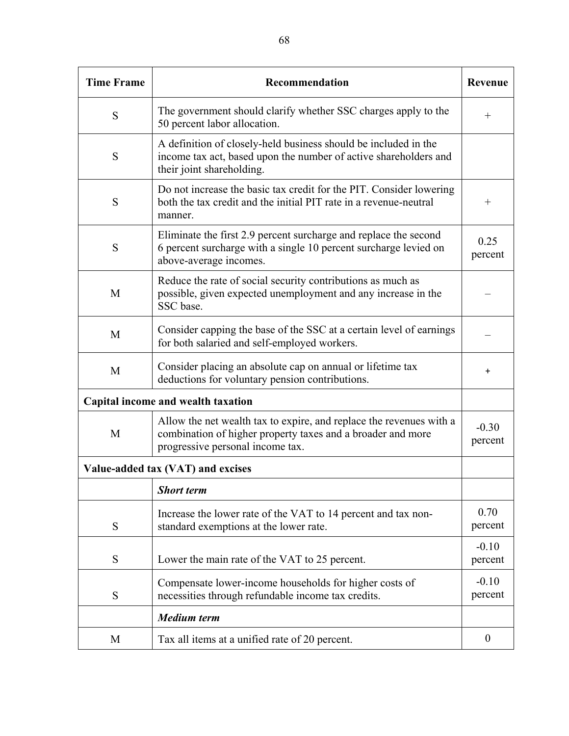| <b>Time Frame</b> | Recommendation                                                                                                                                                         | Revenue            |
|-------------------|------------------------------------------------------------------------------------------------------------------------------------------------------------------------|--------------------|
| S                 | The government should clarify whether SSC charges apply to the<br>50 percent labor allocation.                                                                         | $^{+}$             |
| S                 | A definition of closely-held business should be included in the<br>income tax act, based upon the number of active shareholders and<br>their joint shareholding.       |                    |
| S                 | Do not increase the basic tax credit for the PIT. Consider lowering<br>both the tax credit and the initial PIT rate in a revenue-neutral<br>manner.                    | $^{+}$             |
| S                 | Eliminate the first 2.9 percent surcharge and replace the second<br>6 percent surcharge with a single 10 percent surcharge levied on<br>above-average incomes.         | 0.25<br>percent    |
| M                 | Reduce the rate of social security contributions as much as<br>possible, given expected unemployment and any increase in the<br>SSC base.                              |                    |
| M                 | Consider capping the base of the SSC at a certain level of earnings<br>for both salaried and self-employed workers.                                                    |                    |
| M                 | Consider placing an absolute cap on annual or lifetime tax<br>deductions for voluntary pension contributions.                                                          | $\ddot{}$          |
|                   | Capital income and wealth taxation                                                                                                                                     |                    |
| M                 | Allow the net wealth tax to expire, and replace the revenues with a<br>combination of higher property taxes and a broader and more<br>progressive personal income tax. | $-0.30$<br>percent |
|                   | Value-added tax (VAT) and excises                                                                                                                                      |                    |
|                   | <b>Short term</b>                                                                                                                                                      |                    |
| S                 | Increase the lower rate of the VAT to 14 percent and tax non-<br>standard exemptions at the lower rate.                                                                | 0.70<br>percent    |
| S                 | Lower the main rate of the VAT to 25 percent.                                                                                                                          | $-0.10$<br>percent |
| S                 | Compensate lower-income households for higher costs of<br>necessities through refundable income tax credits.                                                           | $-0.10$<br>percent |
|                   | <b>Medium</b> term                                                                                                                                                     |                    |
| M                 | Tax all items at a unified rate of 20 percent.                                                                                                                         | $\boldsymbol{0}$   |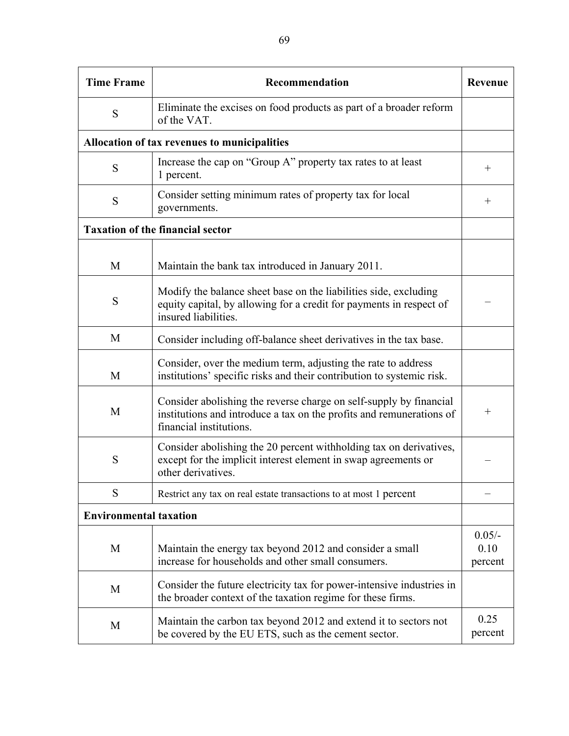| <b>Time Frame</b>             | Recommendation                                                                                                                                                        | <b>Revenue</b>              |
|-------------------------------|-----------------------------------------------------------------------------------------------------------------------------------------------------------------------|-----------------------------|
| S                             | Eliminate the excises on food products as part of a broader reform<br>of the VAT.                                                                                     |                             |
|                               | Allocation of tax revenues to municipalities                                                                                                                          |                             |
| S                             | Increase the cap on "Group A" property tax rates to at least<br>1 percent.                                                                                            | $\hspace{0.1mm} +$          |
| S                             | Consider setting minimum rates of property tax for local<br>governments.                                                                                              | $\hspace{0.1mm} +$          |
|                               | <b>Taxation of the financial sector</b>                                                                                                                               |                             |
| M                             | Maintain the bank tax introduced in January 2011.                                                                                                                     |                             |
| S                             | Modify the balance sheet base on the liabilities side, excluding<br>equity capital, by allowing for a credit for payments in respect of<br>insured liabilities.       |                             |
| M                             | Consider including off-balance sheet derivatives in the tax base.                                                                                                     |                             |
| M                             | Consider, over the medium term, adjusting the rate to address<br>institutions' specific risks and their contribution to systemic risk.                                |                             |
| M                             | Consider abolishing the reverse charge on self-supply by financial<br>institutions and introduce a tax on the profits and remunerations of<br>financial institutions. | $\hspace{0.1mm} +$          |
| S                             | Consider abolishing the 20 percent withholding tax on derivatives,<br>except for the implicit interest element in swap agreements or<br>other derivatives.            |                             |
| S                             | Restrict any tax on real estate transactions to at most 1 percent                                                                                                     |                             |
| <b>Environmental taxation</b> |                                                                                                                                                                       |                             |
| M                             | Maintain the energy tax beyond 2012 and consider a small<br>increase for households and other small consumers.                                                        | $0.05/-$<br>0.10<br>percent |
| M                             | Consider the future electricity tax for power-intensive industries in<br>the broader context of the taxation regime for these firms.                                  |                             |
| M                             | Maintain the carbon tax beyond 2012 and extend it to sectors not<br>be covered by the EU ETS, such as the cement sector.                                              | 0.25<br>percent             |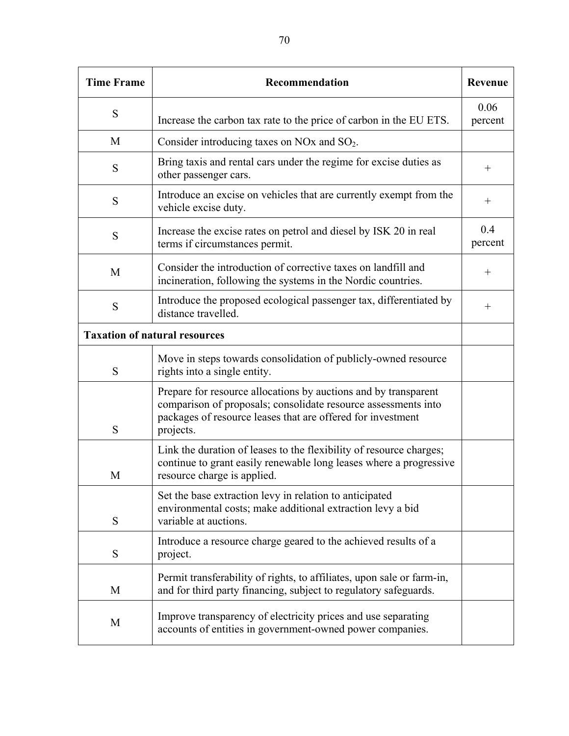| <b>Time Frame</b>                    | Recommendation                                                                                                                                                                                                | Revenue            |
|--------------------------------------|---------------------------------------------------------------------------------------------------------------------------------------------------------------------------------------------------------------|--------------------|
| S                                    | Increase the carbon tax rate to the price of carbon in the EU ETS.                                                                                                                                            | 0.06<br>percent    |
| M                                    | Consider introducing taxes on NOx and $SO_2$ .                                                                                                                                                                |                    |
| S                                    | Bring taxis and rental cars under the regime for excise duties as<br>other passenger cars.                                                                                                                    | $^{+}$             |
| S                                    | Introduce an excise on vehicles that are currently exempt from the<br>vehicle excise duty.                                                                                                                    | $^{+}$             |
| S                                    | Increase the excise rates on petrol and diesel by ISK 20 in real<br>terms if circumstances permit.                                                                                                            | 0.4<br>percent     |
| M                                    | Consider the introduction of corrective taxes on landfill and<br>incineration, following the systems in the Nordic countries.                                                                                 | $^{+}$             |
| S                                    | Introduce the proposed ecological passenger tax, differentiated by<br>distance travelled.                                                                                                                     | $\hspace{0.1mm} +$ |
| <b>Taxation of natural resources</b> |                                                                                                                                                                                                               |                    |
| S                                    | Move in steps towards consolidation of publicly-owned resource<br>rights into a single entity.                                                                                                                |                    |
| S                                    | Prepare for resource allocations by auctions and by transparent<br>comparison of proposals; consolidate resource assessments into<br>packages of resource leases that are offered for investment<br>projects. |                    |
| M                                    | Link the duration of leases to the flexibility of resource charges;<br>continue to grant easily renewable long leases where a progressive<br>resource charge is applied.                                      |                    |
| S                                    | Set the base extraction levy in relation to anticipated<br>environmental costs; make additional extraction levy a bid<br>variable at auctions.                                                                |                    |
| S                                    | Introduce a resource charge geared to the achieved results of a<br>project.                                                                                                                                   |                    |
| M                                    | Permit transferability of rights, to affiliates, upon sale or farm-in,<br>and for third party financing, subject to regulatory safeguards.                                                                    |                    |
| M                                    | Improve transparency of electricity prices and use separating<br>accounts of entities in government-owned power companies.                                                                                    |                    |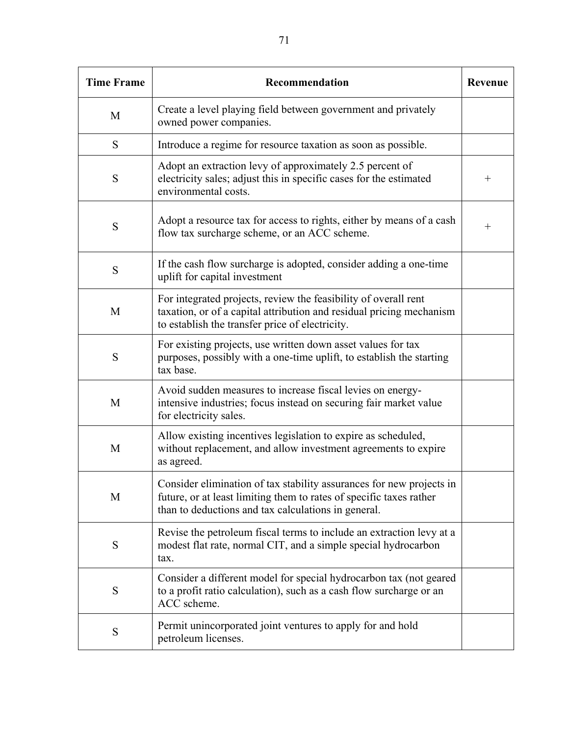| <b>Time Frame</b> | Recommendation                                                                                                                                                                                     |        |  |
|-------------------|----------------------------------------------------------------------------------------------------------------------------------------------------------------------------------------------------|--------|--|
| M                 | Create a level playing field between government and privately<br>owned power companies.                                                                                                            |        |  |
| S                 | Introduce a regime for resource taxation as soon as possible.                                                                                                                                      |        |  |
| S                 | Adopt an extraction levy of approximately 2.5 percent of<br>electricity sales; adjust this in specific cases for the estimated<br>environmental costs.                                             | $^{+}$ |  |
| S                 | Adopt a resource tax for access to rights, either by means of a cash<br>flow tax surcharge scheme, or an ACC scheme.                                                                               | $^{+}$ |  |
| S                 | If the cash flow surcharge is adopted, consider adding a one-time<br>uplift for capital investment                                                                                                 |        |  |
| M                 | For integrated projects, review the feasibility of overall rent<br>taxation, or of a capital attribution and residual pricing mechanism<br>to establish the transfer price of electricity.         |        |  |
| S                 | For existing projects, use written down asset values for tax<br>purposes, possibly with a one-time uplift, to establish the starting<br>tax base.                                                  |        |  |
| M                 | Avoid sudden measures to increase fiscal levies on energy-<br>intensive industries; focus instead on securing fair market value<br>for electricity sales.                                          |        |  |
| M                 | Allow existing incentives legislation to expire as scheduled,<br>without replacement, and allow investment agreements to expire<br>as agreed.                                                      |        |  |
| M                 | Consider elimination of tax stability assurances for new projects in<br>future, or at least limiting them to rates of specific taxes rather<br>than to deductions and tax calculations in general. |        |  |
| S                 | Revise the petroleum fiscal terms to include an extraction levy at a<br>modest flat rate, normal CIT, and a simple special hydrocarbon<br>tax.                                                     |        |  |
| S                 | Consider a different model for special hydrocarbon tax (not geared<br>to a profit ratio calculation), such as a cash flow surcharge or an<br>ACC scheme.                                           |        |  |
| S                 | Permit unincorporated joint ventures to apply for and hold<br>petroleum licenses.                                                                                                                  |        |  |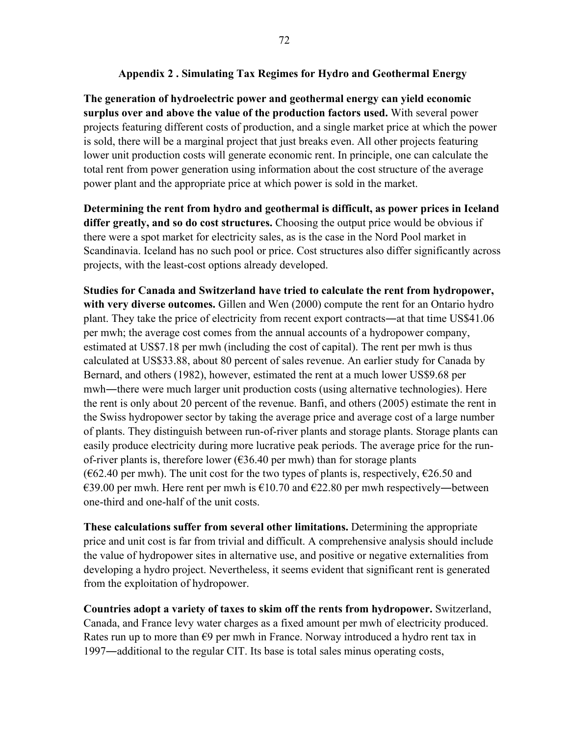**The generation of hydroelectric power and geothermal energy can yield economic surplus over and above the value of the production factors used.** With several power projects featuring different costs of production, and a single market price at which the power is sold, there will be a marginal project that just breaks even. All other projects featuring lower unit production costs will generate economic rent. In principle, one can calculate the total rent from power generation using information about the cost structure of the average power plant and the appropriate price at which power is sold in the market.

**Determining the rent from hydro and geothermal is difficult, as power prices in Iceland differ greatly, and so do cost structures.** Choosing the output price would be obvious if there were a spot market for electricity sales, as is the case in the Nord Pool market in Scandinavia. Iceland has no such pool or price. Cost structures also differ significantly across projects, with the least-cost options already developed.

**Studies for Canada and Switzerland have tried to calculate the rent from hydropower, with very diverse outcomes.** Gillen and Wen (2000) compute the rent for an Ontario hydro plant. They take the price of electricity from recent export contracts―at that time US\$41.06 per mwh; the average cost comes from the annual accounts of a hydropower company, estimated at US\$7.18 per mwh (including the cost of capital). The rent per mwh is thus calculated at US\$33.88, about 80 percent of sales revenue. An earlier study for Canada by Bernard, and others (1982), however, estimated the rent at a much lower US\$9.68 per mwh―there were much larger unit production costs (using alternative technologies). Here the rent is only about 20 percent of the revenue. Banfi, and others (2005) estimate the rent in the Swiss hydropower sector by taking the average price and average cost of a large number of plants. They distinguish between run-of-river plants and storage plants. Storage plants can easily produce electricity during more lucrative peak periods. The average price for the runof-river plants is, therefore lower ( $\epsilon$ 36.40 per mwh) than for storage plants ( $62.40$  per mwh). The unit cost for the two types of plants is, respectively,  $626.50$  and  $\epsilon$ 39.00 per mwh. Here rent per mwh is  $\epsilon$ 10.70 and  $\epsilon$ 22.80 per mwh respectively—between one-third and one-half of the unit costs.

**These calculations suffer from several other limitations.** Determining the appropriate price and unit cost is far from trivial and difficult. A comprehensive analysis should include the value of hydropower sites in alternative use, and positive or negative externalities from developing a hydro project. Nevertheless, it seems evident that significant rent is generated from the exploitation of hydropower.

**Countries adopt a variety of taxes to skim off the rents from hydropower.** Switzerland, Canada, and France levy water charges as a fixed amount per mwh of electricity produced. Rates run up to more than  $\epsilon$ 9 per mwh in France. Norway introduced a hydro rent tax in 1997―additional to the regular CIT. Its base is total sales minus operating costs,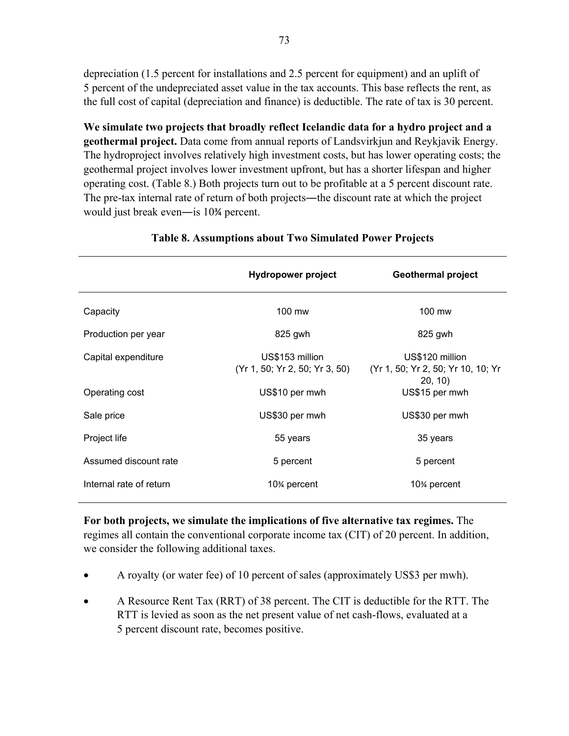depreciation (1.5 percent for installations and 2.5 percent for equipment) and an uplift of 5 percent of the undepreciated asset value in the tax accounts. This base reflects the rent, as the full cost of capital (depreciation and finance) is deductible. The rate of tax is 30 percent.

**We simulate two projects that broadly reflect Icelandic data for a hydro project and a geothermal project.** Data come from annual reports of Landsvirkjun and Reykjavik Energy. The hydroproject involves relatively high investment costs, but has lower operating costs; the geothermal project involves lower investment upfront, but has a shorter lifespan and higher operating cost. (Table 8.) Both projects turn out to be profitable at a 5 percent discount rate. The pre-tax internal rate of return of both projects—the discount rate at which the project would just break even―is 10¾ percent.

|                         | <b>Hydropower project</b>                         | <b>Geothermal project</b>                                        |  |
|-------------------------|---------------------------------------------------|------------------------------------------------------------------|--|
| Capacity                | 100 mw                                            | 100 mw                                                           |  |
| Production per year     | 825 gwh                                           | 825 gwh                                                          |  |
| Capital expenditure     | US\$153 million<br>(Yr 1, 50; Yr 2, 50; Yr 3, 50) | US\$120 million<br>(Yr 1, 50; Yr 2, 50; Yr 10, 10; Yr<br>20, 10) |  |
| Operating cost          | US\$10 per mwh                                    | US\$15 per mwh                                                   |  |
| Sale price              | US\$30 per mwh                                    | US\$30 per mwh                                                   |  |
| Project life            | 55 years                                          | 35 years                                                         |  |
| Assumed discount rate   | 5 percent                                         | 5 percent                                                        |  |
| Internal rate of return | 10 <sup>%</sup> percent                           | 10 <sup>%</sup> percent                                          |  |

## **Table 8. Assumptions about Two Simulated Power Projects**

**For both projects, we simulate the implications of five alternative tax regimes.** The regimes all contain the conventional corporate income tax (CIT) of 20 percent. In addition, we consider the following additional taxes.

- A royalty (or water fee) of 10 percent of sales (approximately US\$3 per mwh).
- A Resource Rent Tax (RRT) of 38 percent. The CIT is deductible for the RTT. The RTT is levied as soon as the net present value of net cash-flows, evaluated at a 5 percent discount rate, becomes positive.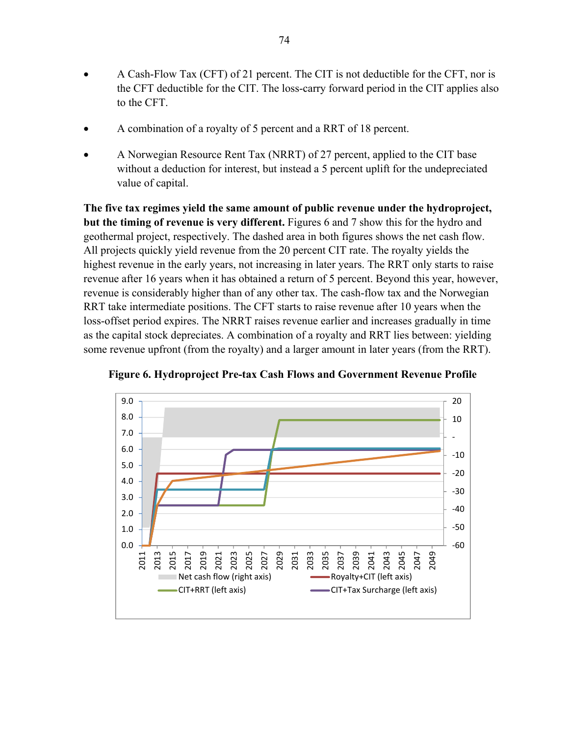- A Cash-Flow Tax (CFT) of 21 percent. The CIT is not deductible for the CFT, nor is the CFT deductible for the CIT. The loss-carry forward period in the CIT applies also to the CFT.
- A combination of a royalty of 5 percent and a RRT of 18 percent.
- A Norwegian Resource Rent Tax (NRRT) of 27 percent, applied to the CIT base without a deduction for interest, but instead a 5 percent uplift for the undepreciated value of capital.

**The five tax regimes yield the same amount of public revenue under the hydroproject, but the timing of revenue is very different.** Figures 6 and 7 show this for the hydro and geothermal project, respectively. The dashed area in both figures shows the net cash flow. All projects quickly yield revenue from the 20 percent CIT rate. The royalty yields the highest revenue in the early years, not increasing in later years. The RRT only starts to raise revenue after 16 years when it has obtained a return of 5 percent. Beyond this year, however, revenue is considerably higher than of any other tax. The cash-flow tax and the Norwegian RRT take intermediate positions. The CFT starts to raise revenue after 10 years when the loss-offset period expires. The NRRT raises revenue earlier and increases gradually in time as the capital stock depreciates. A combination of a royalty and RRT lies between: yielding some revenue upfront (from the royalty) and a larger amount in later years (from the RRT).



**Figure 6. Hydroproject Pre-tax Cash Flows and Government Revenue Profile**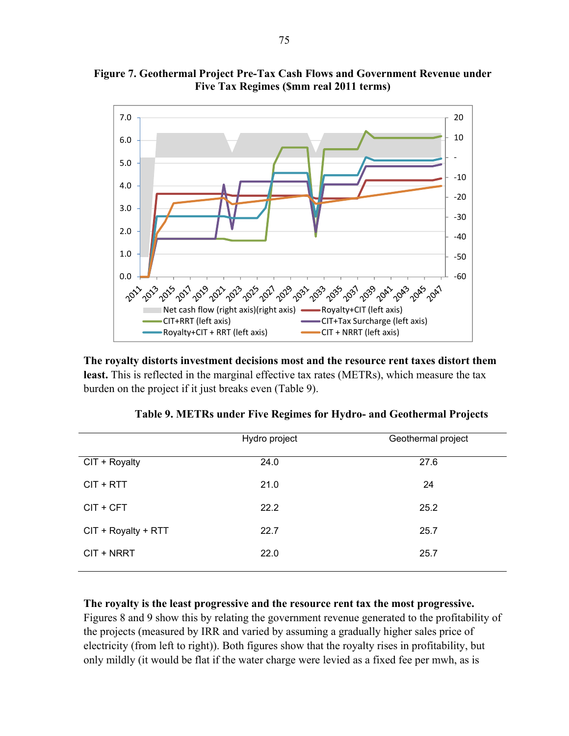

**Figure 7. Geothermal Project Pre-Tax Cash Flows and Government Revenue under Five Tax Regimes (\$mm real 2011 terms)** 

**The royalty distorts investment decisions most and the resource rent taxes distort them least.** This is reflected in the marginal effective tax rates (METRs), which measure the tax burden on the project if it just breaks even (Table 9).

Royalty+CIT + RRT (left axis)

|                     | Hydro project | Geothermal project |
|---------------------|---------------|--------------------|
| CIT + Royalty       | 24.0          | 27.6               |
| $CIT + RTT$         | 21.0          | 24                 |
| CIT + CFT           | 22.2          | 25.2               |
| CIT + Royalty + RTT | 22.7          | 25.7               |
| CIT + NRRT          | 22.0          | 25.7               |

|  |  | Table 9. METRs under Five Regimes for Hydro- and Geothermal Projects |  |
|--|--|----------------------------------------------------------------------|--|
|  |  |                                                                      |  |

**The royalty is the least progressive and the resource rent tax the most progressive.** Figures 8 and 9 show this by relating the government revenue generated to the profitability of the projects (measured by IRR and varied by assuming a gradually higher sales price of electricity (from left to right)). Both figures show that the royalty rises in profitability, but only mildly (it would be flat if the water charge were levied as a fixed fee per mwh, as is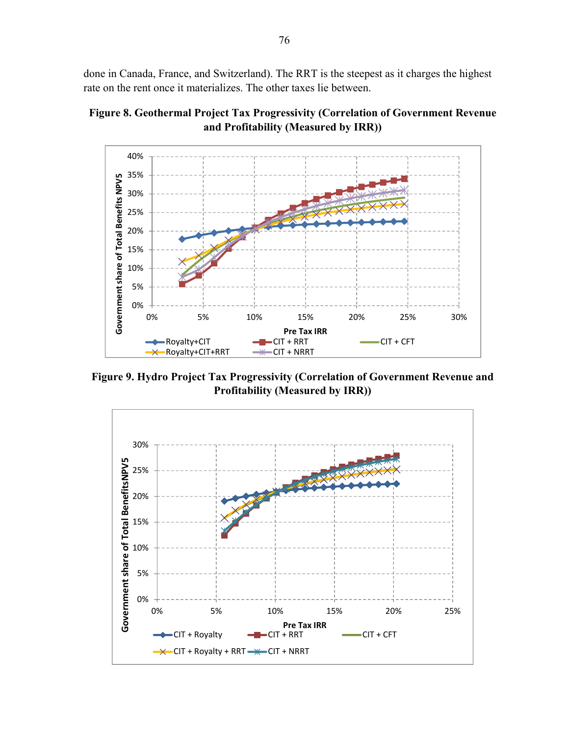done in Canada, France, and Switzerland). The RRT is the steepest as it charges the highest rate on the rent once it materializes. The other taxes lie between.

**Figure 8. Geothermal Project Tax Progressivity (Correlation of Government Revenue and Profitability (Measured by IRR))** 



**Figure 9. Hydro Project Tax Progressivity (Correlation of Government Revenue and Profitability (Measured by IRR))**